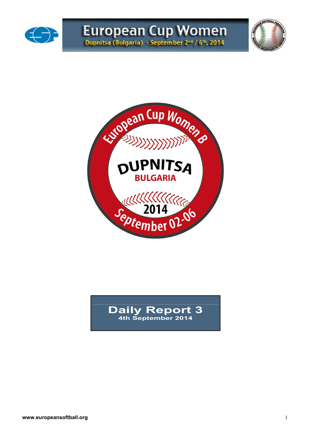





## **Daily Report 3 4th September 2014**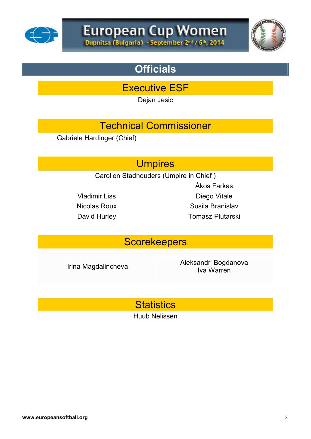



## **Officials**

Executive ESF

Dejan Jesic

## Technical Commissioner

Gabriele Hardinger (Chief)

## **Umpires**

Carolien Stadhouders (Umpire in Chief )

Ákos Farkas Vladimir Liss Diego Vitale Nicolas Roux Susila Branislav David Hurley **Tomasz Plutarski** 

## **Scorekeepers**

Irina Magdalincheva<br>
Irina Magdalincheva<br>
Interval and Aleksandri Bogdanova Iva Warren

**Statistics** 

Huub Nelissen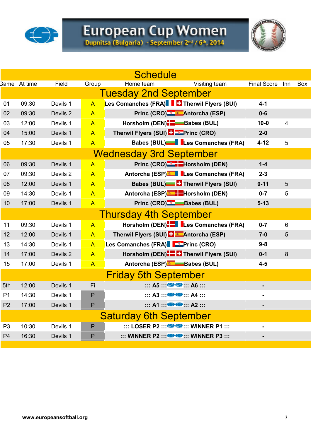

# European Cup Women<br>Dupnitsa (Bulgaria) - September 2nd / 6th, 2014

|                |                     |          |                | <b>Schedule</b>                                                             |                    |                  |            |
|----------------|---------------------|----------|----------------|-----------------------------------------------------------------------------|--------------------|------------------|------------|
|                | <b>3ame</b> At time | Field    | Group          | Home team<br>Visiting team                                                  | <b>Final Score</b> | Inn              | <b>Box</b> |
|                |                     |          |                | <b>Tuesday 2nd September</b>                                                |                    |                  |            |
| 01             | 09:30               | Devils 1 | $\overline{A}$ | Les Comanches (FRA)   Harwil Flyers (SUI)                                   | $4 - 1$            |                  |            |
| 02             | 09:30               | Devils 2 | $\overline{A}$ | Princ (CRO) & Antorcha (ESP)                                                | $0 - 6$            |                  |            |
| 03             | 12:00               | Devils 1 | $\mathsf{A}$   | Horsholm (DEN) <sup>-</sup> -Babes (BUL)                                    | $10 - 0$           | 4                |            |
| 04             | 15:00               | Devils 1 | $\overline{A}$ | Therwil Flyers (SUI) <b>ED</b> Princ (CRO)                                  | $2-0$              |                  |            |
| 05             | 17:30               | Devils 1 | $\overline{A}$ | Babes (BUL)   Les Comanches (FRA)                                           | $4 - 12$           | 5                |            |
|                |                     |          |                | <b>Wednesday 3rd September</b>                                              |                    |                  |            |
| 06             | 09:30               | Devils 1 | $\overline{A}$ | Princ (CRO) <sup>-3</sup> -Horsholm (DEN)                                   | $1-4$              |                  |            |
| 07             | 09:30               | Devils 2 | $\overline{A}$ | Antorcha (ESP) Les Comanches (FRA)                                          | $2 - 3$            |                  |            |
| 08             | 12:00               | Devils 1 | $\overline{A}$ | <b>Babes (BUL) C</b> Therwil Flyers (SUI)                                   | $0 - 11$           | 5                |            |
| 09             | 14:30               | Devils 1 | $\overline{A}$ | Antorcha (ESP) <sup>®</sup> - Horsholm (DEN)                                | $0 - 7$            | 5                |            |
| 10             | 17:00               | Devils 1 | $\overline{A}$ | Princ (CRO) <sup>-2</sup> -Babes (BUL)                                      | $5 - 13$           |                  |            |
|                |                     |          |                | <b>Thursday 4th September</b>                                               |                    |                  |            |
| 11             | 09:30               | Devils 1 | $\overline{A}$ | Horsholm (DEN)   Les Comanches (FRA)                                        | $0 - 7$            | 6                |            |
| 12             | 12:00               | Devils 1 | $\overline{A}$ | Therwil Flyers (SUI) <b>F Antorcha</b> (ESP)                                | $7-0$              | 5                |            |
| 13             | 14:30               | Devils 1 | $\overline{A}$ | Les Comanches (FRA) F Princ (CRO)                                           | $9 - 8$            |                  |            |
| 14             | 17:00               | Devils 2 | $\overline{A}$ | Horsholm (DEN)- Therwil Flyers (SUI)                                        | $0 - 1$            | $\boldsymbol{8}$ |            |
| 15             | 17:00               | Devils 1 | $\overline{A}$ | Antorcha (ESP) Babes (BUL)                                                  | $4-5$              |                  |            |
|                |                     |          |                | <b>Friday 5th September</b>                                                 |                    |                  |            |
| 5th            | 12:00               | Devils 1 | Fi             | $\cdots$ A5 $\cdots$ $\bigoplus$ $\cdots$ A6 $\cdots$                       |                    |                  |            |
| P <sub>1</sub> | 14:30               | Devils 1 | P              | $\cdots$ A3 $\cdots$ G $\cdots$ A4 $\cdots$                                 |                    |                  |            |
| P <sub>2</sub> | 17:00               | Devils 1 | P              | $\cdots$ A1 $\cdots$ G $\cdots$ A2 $\cdots$                                 |                    |                  |            |
|                |                     |          |                | <b>Saturday 6th September</b>                                               |                    |                  |            |
| P <sub>3</sub> | 10:30               | Devils 1 | P              | $\cdots$ LOSER P2 $\cdots$ $\bullet$ $\bullet$ $\cdots$ WINNER P1 $\cdots$  |                    |                  |            |
| P <sub>4</sub> | 16:30               | Devils 1 | P              | $\ldots$ WINNER P2 $\ldots$ $\bullet$ $\bullet$ $\ldots$ WINNER P3 $\ldots$ |                    |                  |            |
|                |                     |          |                |                                                                             |                    |                  |            |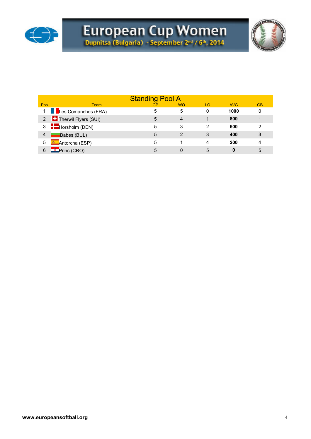



|     |                                       | <b>Standing Pool A</b> |                |    |            |           |
|-----|---------------------------------------|------------------------|----------------|----|------------|-----------|
| Pos | Team                                  | <b>GP</b>              | <b>WO</b>      | LO | <b>AVG</b> | <b>GB</b> |
|     | 1 Les Comanches (FRA)                 | 5                      | 5              | 0  | 1000       | 0         |
|     | 2 <b>Therwil Flyers (SUI)</b>         | 5                      | 4              |    | 800        |           |
|     | $3 \quad \blacksquare$ Horsholm (DEN) | 5                      | 3              | 2  | 600        | 2         |
| 4   | Babes (BUL)                           | 5                      | $\overline{2}$ | 3  | 400        | 3         |
| 5   | <sup>▲</sup> Antorcha (ESP)           | 5                      |                | 4  | 200        | 4         |
| 6   | Princ (CRO)                           | 5                      |                | 5  | 0          | 5         |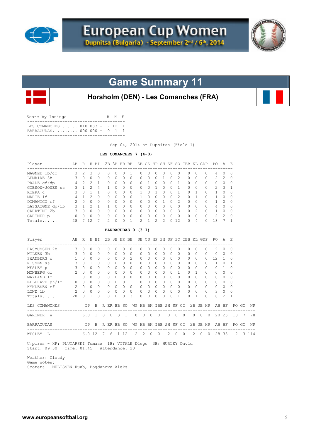



## **Game Summary 11**

## **Horsholm (DEN) - Les Comanches (FRA)**

| Score by Innings                                                |  | R H E |  |
|-----------------------------------------------------------------|--|-------|--|
| T.E.S. COMANCHES 010 033 - 7 12 1<br>BARRACUDAS 000 000 - 0 1 1 |  |       |  |

Sep 04, 2014 at Dupnitsa (Field 1)

#### **LES COMANCHES 7 (4-0)**

| Player<br>AB R H BI                                                  |                |               |                                     |                           |          |                                 |          |                      | 2B 3B HR BB SB CS HP SH SF SO IBB KL GDP PO |                          |                      |                       |                               |                      |                         |                              |                     |                |                |                                      | AE                   |                      |       |         |
|----------------------------------------------------------------------|----------------|---------------|-------------------------------------|---------------------------|----------|---------------------------------|----------|----------------------|---------------------------------------------|--------------------------|----------------------|-----------------------|-------------------------------|----------------------|-------------------------|------------------------------|---------------------|----------------|----------------|--------------------------------------|----------------------|----------------------|-------|---------|
| MAGNEE 1b/cf 3 2                                                     |                |               | 3                                   | $\Omega$                  |          | $\Omega$                        | $\Omega$ | $\Omega$             | 1                                           | $\Omega$                 | $\Omega$             | $\Omega$              | $\Omega$                      | $\Omega$             |                         | $\Omega$                     | $\Omega$            | $\Omega$       | $\Omega$       | 4                                    | $\Omega$             | $\Omega$             |       |         |
| LEMAIRE 3b 3 0                                                       |                |               | $\Omega$                            | $\Omega$                  |          | $\Omega$                        | $\Omega$ | $\Omega$             | $\Omega$                                    | $\Omega$                 | $\Omega$             | $\Omega$              | $\mathbf{1}$                  | $\Omega$             |                         | $\mathcal{L}$                | $\Omega$            | $\Omega$       | $\Omega$       | 2                                    | $\overline{c}$       | $\Omega$             |       |         |
| PRADE cf/dp 4 2 2                                                    |                |               |                                     | 1                         |          | $\Omega$                        | $\Omega$ | $\Omega$             | $\Omega$                                    | $\Omega$                 | $\mathbf{1}$         | $\Omega$              | $\Omega$                      | $\Omega$             |                         | $\mathbf{1}$                 | $\Omega$            | $\Omega$       | $\Omega$       | $\Omega$                             | $\Omega$             | $\Omega$             |       |         |
| GIBSON-JONES ss                                                      |                | $3 \t1 \t2$   |                                     | 4                         |          | $\mathbf{1}$                    | $\Omega$ | $\Omega$             | $\Omega$                                    | $\Omega$                 | $\cap$               | $\mathbf{1}$          | $\Omega$                      | $\Omega$             |                         | $\mathbf{1}$<br>$\mathbf{1}$ | $\Omega$            | $\Omega$       | $\Omega$       | 2<br>$\mathbf{1}$                    | 3                    | -1                   |       |         |
| RIERA C<br>$4 \quad 1 \quad 2$                                       |                | $3 \t 0 \t 1$ |                                     | $\mathbf{1}$<br>$\bigcap$ |          | $\Omega$                        | $\Omega$ | $\Omega$             | $\Omega$                                    | 1<br>$\mathbf{1}$        | $\Omega$             | $\mathbf{1}$          | $\Omega$                      | $\Omega$<br>$\Omega$ |                         |                              | $\Omega$            | $\mathbf{1}$   | $\Omega$       |                                      | $\Omega$             | $\Omega$             |       |         |
| MARIE 1f                                                             |                |               |                                     |                           |          | $\Omega$                        | $\Omega$ | $\Omega$             | $\Omega$                                    |                          | $\Omega$             | $\Omega$              | $\Omega$                      |                      |                         | 2<br>$\overline{c}$          | $\Omega$            | $\mathbf{1}$   | $\circ$        | $\mathbf{1}$                         | $\Omega$             | $\Omega$             |       |         |
| DOMANICO rf 2 0 0 0                                                  |                |               |                                     |                           |          | $\circ$                         | $\Omega$ | $\circ$              | $\circ$<br>$\bigcirc$                       | $\mathbf{0}$<br>$\Omega$ | $\Omega$             | $\Omega$              | $\mathbf{1}$<br>$\Omega$      | $\Omega$<br>$\Omega$ | $\bigcirc$              |                              | $\circ$<br>$\Omega$ | $\Omega$       | $\mathbf{0}$   | $\mathbf{1}$<br>$\overline{4}$       | $\circ$              | $\Omega$             |       |         |
|                                                                      |                |               |                                     |                           |          |                                 |          | $\Omega$<br>$\Omega$ | $\overline{0}$                              | $\Omega$                 | $\Omega$<br>$\Omega$ | $\bigcap$<br>$\Omega$ | $\Omega$                      | $\Omega$             | $\overline{\mathbf{3}}$ |                              | $0\quad 2$          | $\Omega$       | 0<br>0         | $\mathbf{1}$                         | $\Omega$<br>$\Omega$ | $\Omega$<br>$\Omega$ |       |         |
| $\begin{array}{ccc} & & 0 & 0 & 0 \end{array}$                       |                |               |                                     | $\Omega$                  |          | $\circ$                         | $\Omega$ | $\Omega$             | $\bigcirc$                                  | $\Omega$                 | $\Omega$             | $\bigcirc$            | $\bigcirc$                    | $\Omega$             | $\bigcirc$              |                              | $0 \quad 0$         |                | $\Omega$       | $\overline{2}$                       | $\overline{2}$       | $\Omega$             |       |         |
| GARTNER p<br>Totals                                                  | 28 7 12        |               |                                     | 7                         |          | $\mathcal{L}$                   | $\Omega$ | $\Omega$             | $\mathbf{1}$                                | $\mathfrak{D}$           | $\mathbf{1}$         |                       | $\mathfrak{D}$<br>$2^{\circ}$ | $\Omega$             | 12.                     |                              | $\cap$              | $\overline{4}$ | $\Omega$       | 18                                   | $\overline{7}$       | 1                    |       |         |
|                                                                      |                |               |                                     |                           |          |                                 |          |                      |                                             |                          |                      |                       |                               |                      |                         |                              |                     |                |                |                                      |                      |                      |       |         |
|                                                                      |                |               |                                     |                           |          |                                 |          |                      | BARRACUDAS 0 (3-1)                          |                          |                      |                       |                               |                      |                         |                              |                     |                |                |                                      |                      |                      |       |         |
| AB R H BI 2B 3B HR BB SB CS HP SH SF SO IBB KL GDP PO A E<br>Player  |                |               |                                     |                           |          |                                 |          |                      |                                             |                          |                      |                       |                               |                      |                         |                              |                     |                |                |                                      |                      |                      |       |         |
| RASMUSSEN 2b                                                         | 3 <sup>7</sup> | $\circ$       | $\circ$                             | $\Omega$                  |          | $\circ$                         | $\Omega$ | $\circ$              | $\circ$                                     | $\mathbf{0}$             | $\circ$              | 0                     | $\circ$                       | $\Omega$             |                         | $\Omega$                     | $\circ$             | $\Omega$       | $\mathbf{0}$   | 2                                    | $\Omega$             | $\Omega$             |       |         |
| WILKEN 3b                                                            | $\mathbf{3}$   | $\Omega$      | $\Omega$                            | $\Omega$                  |          | 0                               | $\Omega$ | $\Omega$             | $\circ$                                     | $\circ$                  | $\Omega$             | $\Omega$              | $\Omega$                      | $\Omega$             |                         | $\Omega$                     | 0                   | $\Omega$       | 0              | $\circ$                              | $\Omega$             | $\Omega$             |       |         |
| SWANBERG C                                                           | $\mathbf{1}$   | $\Omega$      | $\circ$                             | $\Omega$                  |          | 0                               | $\Omega$ | $\circ$              | 2                                           | $\circ$                  | $\Omega$             | $\mathbf{0}$          | 0                             | $\Omega$             |                         | $\circ$                      | 0                   | $\Omega$       | $\circ$        | 12                                   | $\mathbf{1}$         | 0                    |       |         |
| NISSEN ss                                                            | 3              | $\Omega$      | $\overline{1}$                      | $\Omega$                  |          | 0                               | $\Omega$ | $\circ$              | $\overline{0}$                              | $\mathbf{0}$             | $\Omega$             | $\circ$               | $\Omega$                      | $\Omega$             |                         | $\Omega$                     | $\Omega$            | $\Omega$       | 0              | $\mathbf{1}$                         | $\circ$              | $\mathbf{1}$         |       |         |
| WESLEY p                                                             | $\mathbf{3}$   | $\Omega$      | $\begin{matrix} 0 & 0 \end{matrix}$ |                           |          | $\circ$                         | $\Omega$ | $\overline{0}$       | $\circ$                                     | $\mathbf{0}$             | $\Omega$             | $\Omega$              | $\Omega$                      | $\Omega$             |                         | $\Omega$                     | $\Omega$            | $\Omega$       | $\circ$        | $\mathbf{0}$                         | $\mathbf{1}$         | $\Omega$             |       |         |
| MONBERG cf                                                           | 2              |               | $0 \quad 0 \quad 0$                 |                           |          | $\Omega$                        | $\Omega$ | $\Omega$             | $\bigcirc$                                  | $\Omega$                 | $\Omega$             |                       | $\Omega$<br>$\Omega$          | $\Omega$             |                         | $\mathbf{1}$                 | $\Omega$            | $\mathbf{1}$   | $\Omega$       | $\Omega$                             | $\Omega$             | $\Omega$             |       |         |
| $\begin{array}{ccccccccc}\n1 & 0 & 0 & 0\n\end{array}$<br>MAYLAND 1f |                |               |                                     |                           |          | $0 \quad 0$                     |          | $\Omega$             | $\Omega$                                    | $\Omega$                 | $\Omega$             | $\Omega$              | $\Omega$                      | $\Omega$             |                         | $\Omega$                     | $\Omega$            | $\Omega$       | $\Omega$       | $\Omega$                             | $\Omega$             | $\Omega$             |       |         |
| ELLEHAVE ph/lf 0 0 0 0<br>KYNDESEN rf 2 0 0 0<br>LIND 1b 2 0 0 0     |                |               |                                     |                           |          | $0\quad 0$                      |          | $\bigcirc$           | $\overline{1}$                              | $\mathbf{0}$             | $\Omega$             | $\bigcap$             | $\Omega$                      | $\Omega$             | $\bigcirc$              |                              | $\bigcirc$          | $\cap$         | $\Omega$       | $\circ$                              | $\Omega$             | $\Omega$             |       |         |
|                                                                      |                |               |                                     |                           |          | $\begin{matrix}0&0\end{matrix}$ |          | $\bigcirc$           | $\circ$                                     | $\circ$                  | $\bigcirc$           | $\bigcirc$            | $\circ$                       |                      | $0 \quad 0$             |                              | $\overline{0}$      | $\Omega$       | $\overline{0}$ | $\circ$                              | $\Omega$             | $\Omega$             |       |         |
|                                                                      |                |               |                                     |                           |          | $\Omega$                        | $\Omega$ | $\overline{0}$       | $\overline{0}$                              | $\mathbf{0}$             | $\overline{0}$       | $\overline{0}$        | $\circ$                       | $\Omega$             |                         | $\circ$                      | $\circ$             | $\Omega$       | $\Omega$       | 3                                    | $\Omega$             | 0                    |       |         |
| 20<br>Totals                                                         |                | $\Omega$      | $\mathbf{1}$                        | $\Omega$                  |          | $\Omega$                        | $\Omega$ | $\Omega$             | 3                                           | $\Omega$                 | $\Omega$             | $\Omega$              | $\Omega$                      | $\Omega$             |                         | $\mathbf{1}$                 | $\Omega$            | 1              | $\Omega$       | 18                                   | $\overline{c}$       | 1                    |       |         |
| LES COMANCHES IP                                                     |                |               |                                     | H R ER BB SO              |          |                                 |          |                      |                                             |                          |                      |                       |                               |                      |                         |                              |                     |                |                | WP HB BK IBB SH SF CI 2B 3B HR AB BF |                      |                      | FO GO | ΝP      |
| GARTNER W                                                            |                |               |                                     | 6.0 1 0 0 3               |          |                                 |          | $\overline{1}$       | $\circ$                                     |                          | $0\qquad 0\qquad 0$  |                       |                               |                      | $0\quad 0$              | $\overline{0}$               |                     | $0\quad 0$     |                | $0\quad 20\quad 23$                  |                      | 10                   | 7     | 78      |
| BARRACUDAS                                                           |                |               | IP -                                | H R ER BB SO              |          |                                 |          |                      |                                             | WP HB BK IBB SH SF CI    |                      |                       |                               |                      |                         |                              |                     |                |                | 2B 3B HR AB BF                       |                      |                      | FO GO | ΝP      |
| WESLEY L                                                             |                |               | 6.012                               |                           | 7 6 1 12 |                                 |          |                      |                                             | $2 \quad 2$              | $\overline{0}$       | $\overline{0}$        |                               |                      | $2 \quad 0$             | $\overline{0}$               |                     | $2 \quad 0$    | $\circ$        | 28 33                                |                      | $\overline{2}$       |       | 3 1 1 4 |

 Umpires - HP: PLUTARSKI Tomasz 1B: VITALE Diego 3B: HURLEY David Start: 09:30 Time: 01:45 Attendance: 20

 Weather: Cloudy Game notes: Scorers - NELISSEN Huub, Bogdanova Aleks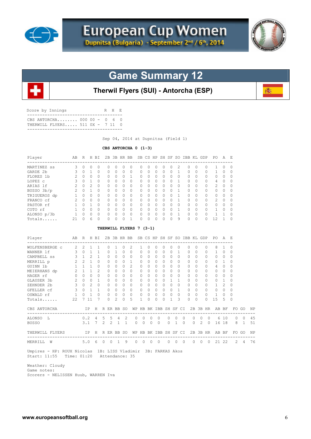



磷

## **Game Summary 12**



| CBS ANTORCHA 000 00 - 0 6 0<br>THERWILL FLYERS 511 0X - 7 11 |  |  |
|--------------------------------------------------------------|--|--|

Sep 04, 2014 at Dupnitsa (Field 1)

#### **CBS ANTORCHA 0 (1-3)**

| Player                                   | AB                      |                                     | R H BI                              |                 |                |                |              | 2B 3B HR BB SB CS HP SH SF SO IBB KL GDP PO |                       |                   |          |          |              |                   |                              |          |                |          |                | A              | – E         |            |    |
|------------------------------------------|-------------------------|-------------------------------------|-------------------------------------|-----------------|----------------|----------------|--------------|---------------------------------------------|-----------------------|-------------------|----------|----------|--------------|-------------------|------------------------------|----------|----------------|----------|----------------|----------------|-------------|------------|----|
| MARTINEZ ss                              | 3                       | $\Omega$                            | $\Omega$                            | $\Omega$        | $\Omega$       | $\Omega$       | $\Omega$     | $\Omega$                                    | $\Omega$              | $\Omega$          | $\Omega$ | $\Omega$ | 0            | $\overline{c}$    | $\Omega$                     | 0        |                | $\Omega$ | 1              | $\Omega$       | $\Omega$    |            |    |
| GARDE 2b                                 | 3                       | 0                                   | $\mathbf{1}$                        | 0               | 0              | $\mathbf{0}$   | $\circ$      | 0                                           | 0                     | 0                 | 0        | 0        | 0            | $\mathbf{1}$      | 0                            | 0        |                | 0        | $\mathbf{1}$   | 0              | $\mathbf 0$ |            |    |
| FLORES 1b                                | $\overline{c}$          | $\Omega$                            | $\Omega$                            | $\cap$          | $\Omega$       | $\Omega$       | $\Omega$     | $\mathbf{1}$                                | $\Omega$              | $\Omega$          | $\Omega$ | $\Omega$ | $\Omega$     | $\Omega$          | $\Omega$                     | $\Omega$ |                | $\Omega$ | $\Omega$       | $\Omega$       | $\Omega$    |            |    |
| LOPEZ C                                  | 3                       | $\Omega$                            | $\overline{1}$                      | $\Omega$        | $\Omega$       | $\Omega$       | $\Omega$     | $\Omega$                                    | $\Omega$              | $\Omega$          | $\Omega$ | $\circ$  | $\Omega$     | $\mathbf{1}$      | 0                            | $\Omega$ |                | 0        | 4              | 0              | 0           |            |    |
| ARIAS 1f                                 | 2                       | $\circ$                             | 2                                   | $\Omega$        | 0              | $\Omega$       | $\circ$      | $\circ$                                     | $\circ$               | $\Omega$          | 0        | 0        | $\Omega$     | $\Omega$          | 0                            | $\Omega$ |                | 0        | 2              | $\circ$        | 0           |            |    |
| BUSSO 3b/p<br>BUSSO 3b/p<br>TRIGUEROS dp | 2                       | $\Omega$                            | $\overline{1}$                      | $\Omega$        | $\Omega$       | $\Omega$       | $\Omega$     | $\Omega$                                    | 0                     | $\Omega$          | $\Omega$ | $\Omega$ | $\Omega$     | $\mathbf{1}$      | $\Omega$                     | $\Omega$ |                | 0        | $\circ$        | $\Omega$       | 0           |            |    |
|                                          | $\mathbf{1}$            |                                     | $0 \quad 0$                         | $\Omega$        | $\Omega$       | $\Omega$       | $\Omega$     | $\Omega$                                    | 0                     | $\Omega$          | $\Omega$ | $\circ$  | $\Omega$     | $\mathbf{1}$      | 0                            | $\Omega$ |                | 0        | $\circ$        | $\Omega$       | $\Omega$    |            |    |
| FRANCO cf                                | 2                       | $\Omega$                            | $\bigcirc$                          | $\Omega$        | $\Omega$       | $\Omega$       | $\Omega$     | $\Omega$                                    | $\Omega$              | $\Omega$          | $\Omega$ | $\Omega$ | $\Omega$     | $\mathbf{1}$      | $\Omega$                     | $\Omega$ |                | $\Omega$ | $\overline{c}$ | $\Omega$       | $\Omega$    |            |    |
| PASTOR rf                                | $\mathbf{1}$            |                                     | $\begin{matrix} 0 & 1 \end{matrix}$ | $\Omega$        | 0              | $\Omega$       | $\Omega$     | $\Omega$                                    | 0                     | $\Omega$          | $\circ$  | $\circ$  | $\Omega$     | $\Omega$          | 0                            | $\Omega$ |                | $\circ$  | 0              | $\circ$        | $\Omega$    |            |    |
| COTO rf                                  | 1                       |                                     | $0 \quad 0$                         | $\Omega$        | $\Omega$       | $\Omega$       | $\Omega$     | $\Omega$                                    | 0                     | $\Omega$          | $\Omega$ | $\Omega$ | $\Omega$     | $\overline{1}$    | $\circ$                      | $\Omega$ |                | $\circ$  | $\mathbf{1}$   | $\Omega$       | $\Omega$    |            |    |
| ALONSO p/3b                              | $\mathbf{1}$            | $\begin{matrix} 0 & 0 \end{matrix}$ |                                     | $\Omega$        | $\Omega$       | $\Omega$       | $\Omega$     | $\Omega$                                    | $\Omega$              | $\Omega$          | $\Omega$ | $\circ$  | $\Omega$     | $\overline{1}$    | $\overline{0}$               | $\Omega$ |                | $\Omega$ | $\mathbf{1}$   | 1              | $\Omega$    |            |    |
| Totals                                   | 21                      | $\Omega$                            | 6                                   | $\Omega$        | $\Omega$       | $\Omega$       | $\Omega$     | $\mathbf{1}$                                | $\Omega$              | $\Omega$          | $\Omega$ | $\Omega$ | $\Omega$     | 9                 | $\Omega$                     | $\Omega$ |                | $\Omega$ | 12             | $\mathbf{1}$   | $\Omega$    |            |    |
|                                          |                         |                                     |                                     |                 |                |                |              | THERWILL FLYERS 7 (3-1)                     |                       |                   |          |          |              |                   |                              |          |                |          |                |                |             |            |    |
| Player                                   | AВ                      | -----                               | R H BI                              |                 |                |                | 2B 3B HR BB  |                                             |                       |                   |          |          |              |                   | SB CS HP SH SF SO IBB KL GDP |          |                |          | PO.            | A              | - F.        |            |    |
| WOLFENSBERGE C                           | 2 2                     |                                     | $\mathbf{1}$                        | 1               | 0              | 1              | $\circ$      | 2                                           | 1                     | 0                 | 0        | 0        | 0            | 0                 | 0                            | $\Omega$ |                | 0        | 8              | 1              | 0           |            |    |
| WANNER 1f                                | 3                       | $\circ$                             | $\mathbf{1}$                        | 1               | 0              | $\mathbf{1}$   | $\Omega$     | $\Omega$                                    | $\circ$               | $\Omega$          | $\Omega$ | $\Omega$ | $\Omega$     | $\mathbf{1}$      | $\circ$                      | $\Omega$ |                | 0        | $\mathbf{1}$   | $\Omega$       | $\circ$     |            |    |
| CAMPBELL SS                              | $\mathbf{3}$            | 1                                   | $\mathfrak{D}$                      | $\mathbf{1}$    | 0              | $\Omega$       | $\Omega$     | $\circ$                                     | $\Omega$              | $\Omega$          | $\circ$  | $\Omega$ | $\Omega$     | $\Omega$          | $\circ$                      | $\Omega$ |                | 0        | $\Omega$       | $\Omega$       | $\Omega$    |            |    |
| MERRILL p                                | 2                       |                                     | $2 \quad 1$                         | $\Omega$        | $\Omega$       | $\Omega$       | $\Omega$     | $\mathbf{1}$                                | $\Omega$              | $\Omega$          | $\Omega$ | $\Omega$ | $\Omega$     | $\Omega$          | 0                            | $\Omega$ |                | 0        | 0              | $\mathbf{1}$   | $\Omega$    |            |    |
| GUINN 1b                                 |                         | $1 \quad 1 \quad 1$                 |                                     | $\circ$         | $\circ$        | $\Omega$       | $\circ$      | 2                                           | $\circ$               | $\Omega$          | $\Omega$ | $\circ$  | $\Omega$     | $\Omega$          | $\circ$                      | $\Omega$ |                | 0        | $\overline{4}$ | $\circ$        | 0           |            |    |
| MEIERHANS dp                             | $\overline{2}$          | 1                                   | $\sqrt{1}$                          | $\overline{c}$  | $\Omega$       | $\Omega$       | $\Omega$     | $\Omega$                                    | $\Omega$              | $\Omega$          | $\Omega$ | $\Omega$ | $\Omega$     | $\Omega$          | $\Omega$                     | $\Omega$ |                | 0        | $\mathbf{0}$   | $\Omega$       | $\Omega$    |            |    |
| HAGER rf                                 | $\circ$                 |                                     | $0 \quad 0$                         | $\Omega$        | $\Omega$       | $\Omega$       | $\Omega$     | $\Omega$                                    | $\mathbf{0}$          | $\Omega$          | $\Omega$ | $\Omega$ | $\Omega$     | $\Omega$          | $\Omega$                     | $\Omega$ |                | 0        | $\mathbf{0}$   | $\Omega$       | $\Omega$    |            |    |
| GLAUSER 3b                               | 2                       |                                     | $0\quad 0$                          | $\mathbf{1}$    | $\circ$        | $\circ$        | $\circ$      | $\circ$                                     | $\circ$               | $\circ$           | $\circ$  | $\circ$  | $\mathbf{1}$ | $\mathbf{1}$      | $\circ$                      | $\Omega$ |                | 0        | $\mathbf{0}$   | $\mathbf{1}$   | 0           |            |    |
| ZEHNDER 2b                               |                         | $3 \quad 0$                         | $\overline{2}$                      | $\bigcap$       | $\Omega$       | $\Omega$       | $\Omega$     | $\Omega$                                    | $\Omega$              | $\Omega$          | $\Omega$ | $\Omega$ | $\Omega$     | $\Omega$          | $\circ$                      | $\Omega$ |                | $\Omega$ | $\mathbf{1}$   | $\overline{c}$ | $\Omega$    |            |    |
| GFELLER cf                               | $\mathbf{3}$            |                                     | $0\quad1$                           | $\mathbf{1}$    | $\circ$        | $\Omega$       | $\circ$      | $\overline{0}$                              | 0                     | $\circ$           | $\circ$  | $\circ$  | $\Omega$     | $\overline{1}$    | $\circ$                      | $\Omega$ |                | 0        | 0              | 0              | 0           |            |    |
| OSWALD rf                                | $\mathbf{1}$            | $\circ$                             | $\mathbf{1}$                        | $\Omega$        | $\circ$        | $\circ$        | $\mathbf{0}$ | $\circ$                                     | 0                     | 0                 | $\circ$  | 0        | $\Omega$     | $\circ$           | $\mathbf{0}$                 | $\Omega$ |                | $\circ$  | $\mathbf{1}$   | $\mathbf{0}$   | 0           |            |    |
| Totals                                   | 22                      |                                     | 7 11                                | 7               | $\Omega$       | $\overline{2}$ | $\Omega$     | 5                                           | 1                     | $\Omega$          | $\Omega$ | $\Omega$ | 1            | 3                 | $\Omega$                     | $\Omega$ |                | $\Omega$ | 15             | 5              | $\Omega$    |            |    |
| CBS ANTORCHA                             |                         |                                     | IP -                                |                 | H R ER BB SO   |                |              |                                             | WP HB BK IBB SH SF CI |                   |          |          |              |                   |                              |          |                |          | 2B 3B HR AB BF |                |             | FO GO      | ΝP |
| --------------------------<br>ALONSO L   |                         | 0.2                                 |                                     | - 4             | 5              | 5              | 4            | 2                                           | 0<br>0                | 0                 | 0        |          | 0            | 0                 | 0                            | 0        | 0              | 0        |                | 6 10           | 0           | 0          | 45 |
| <b>BUSSO</b>                             |                         | 3.1                                 |                                     | $7\phantom{.0}$ | $\overline{2}$ | $\mathfrak{D}$ | $\mathbf{1}$ | $\mathbf{1}$                                | $\Omega$<br>$\Omega$  | $\Omega$          | $\Omega$ |          | 0            | $\mathbf{1}$      | $\Omega$                     | $\Omega$ | $\overline{2}$ | $\Omega$ |                | 16 18          | 8           | $\sqrt{1}$ | 51 |
| THERWILL FLYERS                          | $\mathbb{I} \mathbb{P}$ |                                     |                                     |                 | H R ER BB SO   |                |              |                                             | WP HB BK IBB SH SF CI |                   |          |          |              |                   |                              |          |                |          | 2B 3B HR AB BF |                |             | FO GO      | ΝP |
| ---------------------<br>MERRILL W       |                         |                                     | 5.06                                |                 | $0\quad 0$     |                | $\mathbf{1}$ | 9                                           | $\circ$               | $0\quad 0\quad 0$ |          |          |              | $0\quad 0\quad 0$ |                              |          |                |          | 0 0 0 21 22    |                | 2           | 4          | 76 |

 Weather: Cloudy Game notes: Scorers - NELISSEN Huub, WARREN Iva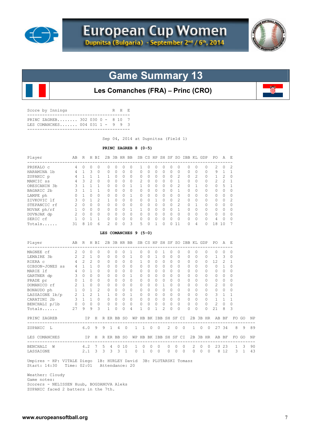



## **Game Summary 13**

**Les Comanches (FRA) – Princ (CRO)**

| Score by Innings                                                 | R H R |  |
|------------------------------------------------------------------|-------|--|
| PRINC ZAGREB 302 030 0 - 8 10 7<br>LES COMANCHES 004 031 1 - 9 9 |       |  |
|                                                                  |       |  |

Sep 04, 2014 at Dupnitsa (Field 1)

#### **PRINC ZAGREB 8 (0-5)**

| AB R H BI 2B 3B HR BB SB CS HP SH SF SO IBB KL GDP PO A E<br>Player<br>--------------------------------                                                                                                                                                       |                                                        |  |  |              |                 |                |                |                |              |                |                                                        |                |                          |                |                | --------------------                        |                |                    |                |              |  |
|---------------------------------------------------------------------------------------------------------------------------------------------------------------------------------------------------------------------------------------------------------------|--------------------------------------------------------|--|--|--------------|-----------------|----------------|----------------|----------------|--------------|----------------|--------------------------------------------------------|----------------|--------------------------|----------------|----------------|---------------------------------------------|----------------|--------------------|----------------|--------------|--|
| 4 0 0<br>PRSKALO C                                                                                                                                                                                                                                            |                                                        |  |  | $\circ$      | $\circ$         | $\Omega$       | $\circ$        | $\circ$        | 1            | $\Omega$       | $\mathbf{0}$                                           | $\circ$        | $\Omega$                 | $\circ$        |                | $0\quad 0$                                  | $\overline{0}$ | 2                  | $\Omega$       | 2            |  |
| HARAMINA $1b$ 4 1 3 0                                                                                                                                                                                                                                         |                                                        |  |  |              | $\overline{0}$  | $\Omega$       | $\bigcirc$     | $\circ$        | $\mathbf{0}$ | $\Omega$       | $\Omega$                                               | $\Omega$       | $\Omega$                 | $\bigcirc$     | $0\quad 0$     |                                             | 0              |                    | 9 1            | $\mathbf{1}$ |  |
| ZUPANIC p                                                                                                                                                                                                                                                     | $\begin{array}{ccccccccc}\n4 & 1 & 1 & 1\n\end{array}$ |  |  |              | $\overline{1}$  | $\overline{0}$ | $\overline{0}$ | $\overline{0}$ | $\circ$      | $\Omega$       | $\overline{0}$                                         | $\circ$        |                          | $0\quad 2$     | $\overline{0}$ | $\overline{2}$                              | $\overline{0}$ |                    | $1 \quad 2$    | $\mathbf 0$  |  |
| MANCIC ss                                                                                                                                                                                                                                                     | $4$ 3 2 0                                              |  |  |              | $0\quad 0$      |                | $\overline{0}$ | $\overline{0}$ | 2            | $\overline{0}$ | $\overline{0}$                                         | $\circ$        |                          | $0\quad1$      | $\circ$        | $\Omega$                                    | $\circ$        | $\overline{2}$     | $\overline{2}$ | $\mathbf{1}$ |  |
| ORESCANIN 3b                                                                                                                                                                                                                                                  | $\begin{array}{cccccc} 3 & 1 & 1 \end{array}$          |  |  | $\mathbf{1}$ | $0\quad 0$      |                | $\bigcirc$     | 1              | $\mathbf{1}$ | $\Omega$       | $\bigcirc$                                             | $\Omega$       | $\Omega$                 | 2              | $\Omega$       | $\mathbf{1}$                                | $\circ$        | $\Omega$           | $-5$           | $\mathbf{1}$ |  |
| BAGARIC 2b                                                                                                                                                                                                                                                    |                                                        |  |  |              |                 | $0\quad 0$     | $\overline{0}$ | $\overline{0}$ | $\mathbf{0}$ | $\Omega$       | $\Omega$                                               | $\Omega$       | $\Omega$                 | $\overline{1}$ | $\Omega$       | $\bigcap$                                   | $\circ$        | $\circ$            | $\bigcap$      | $\Omega$     |  |
| LAMPE ph                                                                                                                                                                                                                                                      |                                                        |  |  |              | $0\quad 0$      |                | $\overline{0}$ | 1              | $\circ$      | $\circ$        | $\overline{0}$                                         | $\circ$        | $\Omega$                 | $\overline{0}$ | $\circ$        | $\Omega$                                    | $\circ$        | $\circ$            | $\Omega$       | $\mathbf 0$  |  |
| ZIVKOVIC lf                                                                                                                                                                                                                                                   |                                                        |  |  |              | $1 \quad 0$     |                | $\overline{0}$ | $\overline{0}$ | $\mathbf{0}$ | $\overline{0}$ | 1                                                      | $\circ$        |                          | $0\quad 2$     | $\overline{0}$ | $\Omega$                                    | $\overline{0}$ | $\circ$            | $\Omega$       | 2            |  |
|                                                                                                                                                                                                                                                               |                                                        |  |  |              |                 |                |                |                |              |                |                                                        |                |                          |                |                |                                             |                |                    |                | $\Omega$     |  |
|                                                                                                                                                                                                                                                               |                                                        |  |  |              |                 |                |                |                |              |                |                                                        |                |                          |                |                |                                             |                |                    |                | $\Omega$     |  |
|                                                                                                                                                                                                                                                               |                                                        |  |  |              |                 |                |                |                |              |                |                                                        |                |                          |                |                |                                             |                |                    |                | $\mathbf 0$  |  |
|                                                                                                                                                                                                                                                               |                                                        |  |  |              |                 |                |                |                |              |                |                                                        |                |                          |                |                |                                             |                |                    |                | $\mathbf 0$  |  |
|                                                                                                                                                                                                                                                               |                                                        |  |  | 6            |                 | $\Omega$       |                |                | 5            |                |                                                        |                | $\Omega$                 |                |                |                                             |                |                    |                | 7            |  |
| $\overline{\mathbf{3}}$<br>Totals 31 8 10<br>$2^{\circ}$<br>$\bigcirc$<br>11 0 4 0 18 10<br>$0 \quad 1 \quad 0$<br>LES COMANCHES 9 (5-0)<br>Player ABR HBI 2B3BHRBB SBCS HP SH SF SO IBBKL GDP PO A E<br>------------------------                             |                                                        |  |  |              |                 |                |                |                |              |                |                                                        |                |                          |                |                |                                             |                |                    |                |              |  |
|                                                                                                                                                                                                                                                               |                                                        |  |  |              |                 |                |                |                |              |                |                                                        |                |                          |                |                |                                             |                |                    |                |              |  |
| MAGNEE cf 2 0 0 0                                                                                                                                                                                                                                             |                                                        |  |  |              | $\Omega$        | $\Omega$       |                | $0\quad 1$     | $\Omega$     | $\Omega$       | 0 1 0 0                                                |                |                          |                |                | $0\quad 0$                                  | $\overline{0}$ |                    | $0\quad 0$     | $\Omega$     |  |
| LEMAIRE 3b 2 2 1 0 0 0                                                                                                                                                                                                                                        |                                                        |  |  |              |                 |                |                | $0\quad 1$     | $\circ$      | $\bigcirc$     | 1 0 0 0                                                |                |                          |                | 0 0 0 1 3      |                                             |                |                    |                | 0            |  |
| RIERA C                                                                                                                                                                                                                                                       |                                                        |  |  |              | 4 2 2 0 0 0 0 0 |                |                |                | $\mathbf{1}$ | $\bigcirc$     | $0\quad 0\quad 0\quad 0$                               |                |                          |                |                | 0 0 0 12 2                                  |                |                    |                | 1            |  |
|                                                                                                                                                                                                                                                               |                                                        |  |  |              |                 |                |                |                |              | $\bigcirc$     | $\begin{array}{ccccccccc}\n0 & 0 & 0 & 0\n\end{array}$ |                |                          |                |                | $\begin{matrix} 0 & 0 & 0 & 0 \end{matrix}$ |                |                    | $\overline{1}$ | $\Omega$     |  |
| $\begin{array}{cccccccccccc} \texttt{GIBSON-JONES} & \texttt{ss} & & 4 & 1 & 1 & 0 & 0 & 0 & 0 & 0 & 0 \\ \texttt{MARKIE}\ \texttt{lf} & & & & 4 & 0 & 1 & 0 & 0 & 0 & 0 & 0 & 0 \\ \end{array}$                                                              |                                                        |  |  |              |                 |                |                |                |              | $\bigcirc$     | $\begin{matrix} 0 & 0 & 0 & 0 \end{matrix}$            |                |                          |                |                | $\begin{matrix} 0 & 0 & 0 & 0 \end{matrix}$ |                |                    | $\bigcirc$     | $\circ$      |  |
| GARTNER dp 3 0 0 0 0 0                                                                                                                                                                                                                                        |                                                        |  |  |              |                 |                |                | $0\quad 1$     | $\circ$      | $\circ$        |                                                        |                | $0\quad 0\quad 0\quad 0$ |                |                | $0\quad 0$                                  |                | $0\qquad 0$        | $\circ$        | $\mathbf 0$  |  |
|                                                                                                                                                                                                                                                               |                                                        |  |  |              |                 |                |                |                |              |                |                                                        |                |                          |                |                | $0\quad 0$                                  |                | $0\qquad 0$        | $\Omega$       | $\Omega$     |  |
|                                                                                                                                                                                                                                                               |                                                        |  |  |              |                 |                |                |                |              |                |                                                        |                |                          |                | $\Omega$       | $\Omega$                                    | 0              | 2                  | $\Omega$       | $\Omega$     |  |
|                                                                                                                                                                                                                                                               |                                                        |  |  |              |                 |                |                |                |              |                |                                                        |                |                          |                | $\Omega$       | $\cap$                                      |                | $0\qquad 0$        | $\overline{0}$ | $\Omega$     |  |
|                                                                                                                                                                                                                                                               |                                                        |  |  |              |                 |                |                |                |              |                |                                                        |                |                          |                | $\overline{0}$ | $\Omega$                                    |                | $0\qquad 3\quad 1$ |                | $\mathbf 1$  |  |
|                                                                                                                                                                                                                                                               |                                                        |  |  |              |                 |                |                |                |              |                |                                                        |                |                          |                | $\bigcirc$     | $\bigcirc$                                  |                | $0 \t 1 \t 1$      |                |              |  |
|                                                                                                                                                                                                                                                               |                                                        |  |  |              |                 |                |                |                |              |                |                                                        |                |                          |                |                |                                             |                |                    |                | $\mathbf{1}$ |  |
|                                                                                                                                                                                                                                                               |                                                        |  |  |              |                 |                |                |                |              |                |                                                        |                |                          |                | $\bigcirc$     | $\Omega$                                    | $\overline{0}$ |                    | $2 \quad 0$    | $\Omega$     |  |
| PRADE pr<br>DOMANICO rf 2 1 0 0 0 0 0 0 0 0 0 0 0 0 0<br>DOMANICO rf 2 1 0 0 0 0 0 0 0 0 0 0 0 0 0<br>BONAUDO ph 1 0 1 2 0 0 0 0 0 0 0 0 0 0 0<br>LASSATINE 1 2 1 1 0 0 0 0 0 0 0 0 0 0 0<br>CARATINE 2 3 1 1 0 0 0 0 0 0 0 0 0 0 0 0<br>C<br>Totals 27 9 9 3 |                                                        |  |  |              | $\sim$ 1        | $\Omega$       | $\bigcirc$     | $\overline{4}$ | $\mathbf{1}$ | $\Omega$       | $\mathbf{1}$                                           | $\mathfrak{D}$ | $\Omega$                 | $\Omega$       | $\Omega$       | $\Omega$                                    | $\Omega$       | 21                 | 8              | 3            |  |

 ZUPANIC L 6.0 9 9 1 4 0 1 1 0 0 2 0 0 1 0 0 27 34 8 9 89 LES COMANCHES IP H R ER BB SO WP HB BK IBB SH SF CI 2B 3B HR AB BF FO GO NP ------------------------------------------------------------------------------------------- BENCHALI W 4.2 7 5 4 0 10 1 0 0 0 0 0 0 2 0 0 23 23 1 3 90 LASSAIGNE 2.1 3 3 3 3 1 0 1 0 0 0 0 0 0 0 0 8 12 3 1 43

 Umpires - HP: VITALE Diego 1B: HURLEY David 3B: PLUTARSKI Tomasz Start: 14:30 Time: 02:01 Attendance: 20

Weather: Cloudy

Game notes:

 Scorers - NELISSEN Huub, BOGDANOVA Aleks ZUPANIC faced 2 batters in the 7th.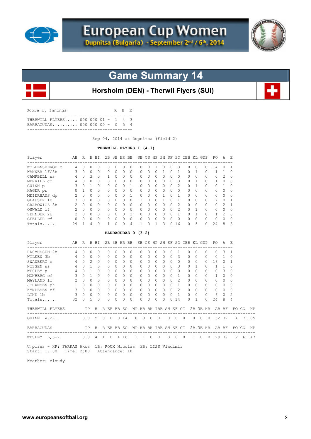



## **Game Summary 14**

**Horsholm (DEN) - Therwil Flyers (SUI)**

| Score by Innings |                                                                   |  |  | R H E |  |
|------------------|-------------------------------------------------------------------|--|--|-------|--|
|                  | THERWILL FLYERS 000 000 01 - 1 4 3<br>BARRACUDAS 000 000 00 - 0 5 |  |  |       |  |

Sep 04, 2014 at Dupnitsa (Field 2)

#### **THERWILL FLYERS 1 (4-1)**

| Player                                                       | AB                       |             |                | R H BI       |                     |            |              |              | 2B 3B HR BB SB CS HP SH SF SO IBB KL GDP |                       |          |                |                           |          |                            |                |                |              |                |                | PO.            | A              | - E            |       |          |
|--------------------------------------------------------------|--------------------------|-------------|----------------|--------------|---------------------|------------|--------------|--------------|------------------------------------------|-----------------------|----------|----------------|---------------------------|----------|----------------------------|----------------|----------------|--------------|----------------|----------------|----------------|----------------|----------------|-------|----------|
| WOLFENSBERGE c 4                                             |                          | $\Omega$    | $\Omega$       | $\Omega$     | $\Omega$            |            | $\Omega$     | $\Omega$     | $\Omega$                                 | 0                     | $\Omega$ | $\mathbf{1}$   | $\circ$                   | $\Omega$ |                            | 3              | $\circ$        | $\Omega$     |                | $\Omega$       | 14             | $\Omega$       | -1             |       |          |
| WANNER 1f/3b                                                 | 3                        | $\circ$     | $\Omega$       | $\Omega$     | 0                   |            | $\mathbf{0}$ | $\Omega$     | $\Omega$                                 | 0                     | $\Omega$ | $\Omega$       | 1                         |          | $\Omega$                   | $\mathbf{1}$   | 0              | 1            |                | 0              | $\mathbf{1}$   | 1              | 0              |       |          |
| CAMPBELL SS                                                  | 4                        | $\Omega$    | 3              | $\Omega$     | 1                   |            | $\Omega$     | $\Omega$     | $\Omega$                                 | $\Omega$              | $\Omega$ | $\Omega$       | $\Omega$                  |          | $\Omega$                   | $\Omega$       | $\Omega$       | $\Omega$     |                | $\Omega$       | $\Omega$       | 2              | $\Omega$       |       |          |
| MERRILL cf                                                   | 4                        | $\Omega$    | $\mathbf{0}$   | $\Omega$     | 0                   |            | $\circ$      | $\Omega$     | 0                                        | 0                     | $\Omega$ | 0              | 0                         |          | $\Omega$                   | 3              | 0              | 1            |                | 0              | 1              | 0              | 0              |       |          |
| GUINN p                                                      | 3                        | $\Omega$    | $\overline{1}$ | $\Omega$     | $\Omega$            |            | $\Omega$     | $\Omega$     | $\mathbf{1}$                             | 0                     | $\Omega$ | $\Omega$       | $\Omega$                  |          | $\Omega$                   | $\overline{c}$ | $\Omega$       | $\mathbf{1}$ |                | 0              | 0              | 1              | 0              |       |          |
| HAGER pr                                                     | 0                        | 1           | $\Omega$       | $\Omega$     | $\Omega$            |            | $\Omega$     | $\Omega$     | $\Omega$                                 | $\Omega$              | $\Omega$ | $\Omega$       | 0                         |          | $\Omega$                   | $\Omega$       | 0              | $\Omega$     |                | 0              | 0              | $\Omega$       | $\Omega$       |       |          |
| MEIERHANS dp                                                 | 2                        | $\Omega$    | $\Omega$       | $\Omega$     | $\Omega$            |            | $\Omega$     | $\Omega$     | $\mathbf{1}$                             | $\Omega$              | $\Omega$ | $\Omega$       | $\mathbf{1}$              |          | $\Omega$                   | $\mathbf{1}$   | $\Omega$       | $\Omega$     |                | 0              | $\Omega$       | $\Omega$       | 0              |       |          |
| GLAUSER 1b                                                   | 3                        | $\Omega$    | $\Omega$       | $\cap$       | $\Omega$            |            | $\Omega$     | $\Omega$     | $\Omega$                                 | 1                     | $\cap$   | $\Omega$       | $\mathbf{1}$              |          | $\Omega$                   | $\mathbf{1}$   | $\Omega$       | $\Omega$     |                | $\Omega$       | 7              | $\cap$         | 1              |       |          |
| GRABOWICZ 3b                                                 | $\overline{2}$           | $\Omega$    | $\Omega$       | $\Omega$     | 0                   |            | $\Omega$     | $\Omega$     | 0                                        | 0                     | $\Omega$ | $\circ$        | $\circ$                   |          | $\Omega$                   | 2              | $\circ$        | 0            |                | 0              | $\mathbf{0}$   | $\overline{c}$ | $\mathbf 1$    |       |          |
| OSWALD lf                                                    | $\overline{\phantom{a}}$ | $\Omega$    | $\bigcirc$     | $\cap$       | $\Omega$            |            | $\Omega$     | $\Omega$     | $\circ$                                  | 0                     | $\Omega$ |                | $\circ$<br>$\overline{0}$ |          | $\Omega$                   | $\overline{c}$ | 0              | $\mathbf{1}$ |                | $\circ$        | 0              | $\circ$        | $\mathbf{0}$   |       |          |
| ZEHNDER 2b                                                   |                          | 200         |                | $\Omega$     | $\Omega$            |            | $\Omega$     | $\Omega$     | 2                                        | 0                     | $\Omega$ | $\Omega$       | $\circ$                   |          | $\Omega$<br>$\overline{1}$ |                | $\circ$        | $\mathbf{1}$ |                | $\circ$        | $\mathbf{1}$   | $\overline{c}$ | 0              |       |          |
| GFELLER rf                                                   | $0 \quad 0$              |             | $\Omega$       | $\Omega$     | $\Omega$            |            | $\Omega$     | $\Omega$     | $\circ$                                  | 0                     | $\Omega$ | $\mathbf{0}$   | $\circ$                   |          | $\Omega$                   | $\Omega$       | $\circ$        | $\Omega$     |                | $\circ$        | $\circ$        | $\Omega$       | 0              |       |          |
| Totals                                                       | 29                       | 1           | 4              | $\Omega$     | 1                   |            | $\Omega$     | $\Omega$     | $\overline{4}$                           | $\mathbf{1}$          | $\Omega$ | $\mathbf{1}$   | 3                         |          | $\Omega$<br>16             |                | $\Omega$       | 5            |                | $\Omega$       | 24             | 8              | 3              |       |          |
|                                                              |                          |             |                |              |                     |            |              |              | BARRACUDAS 0 (3-2)                       |                       |          |                |                           |          |                            |                |                |              |                |                |                |                |                |       |          |
| Player<br>------------------------                           | AB                       |             |                | R H BI       | -----------         |            |              |              | 2B 3B HR BB SB CS HP SH SF SO IBB KL GDP |                       |          |                | ------                    |          | ------                     |                |                |              |                |                | PO A E         |                |                |       |          |
| RASMUSSEN 2b                                                 | 4                        | $\circ$     | 0              | $\circ$      | 0                   |            | $\mathbf{0}$ | $\circ$      | $\circ$                                  | $\circ$               | 0        | 0              | $\circ$                   |          | 0                          | 1              | 0              | 0            |                | $\circ$        | 0              | 3              | $\mathbf{1}$   |       |          |
| WILKEN 3b                                                    | 4 0                      |             | $\Omega$       | $\Omega$     | $\Omega$            |            | $\Omega$     | $\Omega$     | $\Omega$                                 | $\Omega$              | $\Omega$ | $\Omega$       | $\Omega$                  |          | $\Omega$                   | 3              | $\Omega$       | $\Omega$     |                | $\Omega$       | $\Omega$       | $\mathbf{1}$   | $\Omega$       |       |          |
| SWANBERG c                                                   |                          | 4 0         | $\overline{2}$ | $\Omega$     | $\Omega$            |            | $\Omega$     | $\Omega$     | $\Omega$                                 | $\circ$               | $\Omega$ | $\Omega$       | $\circ$                   |          | $\Omega$                   | $\Omega$       | 0              | $\Omega$     |                | 0              | 16             | 0              | $\mathbf{1}$   |       |          |
| NISSEN SS                                                    |                          | 4 0 1       |                | $\bigcap$    | $\Omega$            |            | $\Omega$     | $\Omega$     | $\Omega$                                 | $\Omega$              | $\Omega$ | $\Omega$       | $\Omega$                  |          | $\Omega$                   | 3              | $\Omega$       | 1            |                | $\Omega$       | 1              | 1              | $\Omega$       |       |          |
| WESLEY p                                                     | 4                        | $\Omega$    | $\overline{1}$ | $\Omega$     | $\Omega$            |            | $\Omega$     | $\Omega$     | $\Omega$                                 | $\Omega$              | $\Omega$ | $\Omega$       | $\Omega$                  |          | $\Omega$                   | $\Omega$       | $\Omega$       | $\Omega$     |                | 0              | $\Omega$       | 3              | 0              |       |          |
| MONBERG cf                                                   | 3                        | $0 \quad 1$ |                | <sup>0</sup> | $\Omega$            |            | $\Omega$     | $\Omega$     | $\Omega$                                 | $\Omega$              | $\Omega$ | $\Omega$       | $\Omega$                  | $\Omega$ |                            | $\mathbf{1}$   | $\Omega$       | $\Omega$     |                | 0              | 1              | $\Omega$       | $\Omega$       |       |          |
| MAYLAND 1f                                                   | $2^{\circ}$              | $0 \quad 0$ |                | $\Omega$     | $\Omega$            |            | $\Omega$     | $\Omega$     | $\Omega$                                 | $\Omega$              | $\Omega$ | $\Omega$       | $\Omega$                  |          | $\Omega$                   | $\overline{c}$ | $\Omega$       | $\Omega$     |                | $\circ$        | $\Omega$       | $\Omega$       | $\Omega$       |       |          |
| JOHANSEN ph                                                  | $1 \quad 0 \quad 0$      |             |                | $\Omega$     | $\Omega$            |            | $\Omega$     | $\Omega$     | $\Omega$                                 | $\mathbf{0}$          | $\Omega$ | $\Omega$       | $\circ$                   |          | $0 \quad 1$                |                | $\circ$        | $\Omega$     |                | $\circ$        | $\mathbf{0}$   | $\Omega$       | $\Omega$       |       |          |
| KYNDESEN rf                                                  | $\overline{3}$ 0 0       |             |                | $\Omega$     | $\Omega$            | $\bigcirc$ |              | $\Omega$     | $\bigcirc$                               | $\Omega$              | $\Omega$ | $\Omega$       | $\Omega$                  |          | $\Omega$                   | 2              | $\overline{0}$ | $\Omega$     |                | $\Omega$       | $\Omega$       | $\Omega$       | $\Omega$       |       |          |
| LIND 1b                                                      | 3                        | $\Omega$    | $\circ$        | $\Omega$     | 0                   |            | $\Omega$     | $\mathbf{0}$ | $\Omega$                                 | 0                     | $\Omega$ | $\mathbf{0}$   | 0                         |          | $\Omega$                   | $\mathbf{1}$   | $\circ$        | $\Omega$     |                | 0              | 6              | $\Omega$       | $\overline{c}$ |       |          |
| Totals                                                       | 32                       | $\Omega$    | 5              | $\Omega$     | $\Omega$            |            | $\Omega$     | $\Omega$     | $\Omega$                                 | 0                     | $\Omega$ | $\Omega$       | $\Omega$                  |          | $\Omega$<br>14             |                | $\Omega$       | 1            |                | $\Omega$       | 24             | 8              | 4              |       |          |
| THERWILL FLYERS<br>----------------                          |                          |             | IP             |              | H R ER BB SO        |            |              |              |                                          | WP HB BK IBB SH SF CI |          |                |                           |          |                            |                |                |              |                |                | 2B 3B HR AB BF |                |                | FO GO | ΝP       |
| GUINN $W, 2-1$                                               |                          | 8.0         |                | 5            | $0 \t 0 \t 0 \t 14$ |            |              |              |                                          | $\circ$<br>0          | $\circ$  | $\overline{0}$ |                           |          | $0\quad 0$                 | $\overline{0}$ |                | $\circ$      | $\overline{0}$ | $\overline{0}$ |                | 32 32          | 4              |       | 7 105    |
| BARRACUDAS                                                   |                          |             |                |              | IP H R ER BB SO     |            |              |              |                                          | WP HB BK IBB SH SF CI |          |                |                           |          |                            |                |                |              |                |                | 2B 3B HR AB BF |                |                |       | FO GO NP |
| --------------------------<br>WESLEY $L, 3-2$                |                          |             |                |              | 8.0 4 1 0 4 16      |            |              |              |                                          | 1 1 0 0               |          |                |                           |          | 3 0 0                      |                |                | $1 \quad 0$  |                | $\circ$        |                | 29 37          | 2              |       | 6 147    |
| Umpires - HP: FARKAS Akos 1B: ROUX Nicolas 3B: LISS Vladimir |                          |             |                |              |                     |            |              |              |                                          |                       |          |                |                           |          |                            |                |                |              |                |                |                |                |                |       |          |

Start: 17.00 Time: 2:08 Attendance: 10

Weather: cloudy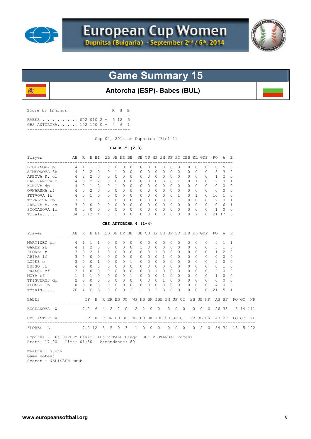

屬



## **Game Summary 15**

## **Antorcha (ESP)- Babes (BUL)**

| Score by Innings                 | R H E |  |
|----------------------------------|-------|--|
| CBS ANTORCHA $102 100 0 - 4 6 1$ |       |  |
|                                  |       |  |

Sep 04, 2014 at Dupnitsa (Fiel 1)

#### **BABES 5 (2-3)**

| Player<br>-----------------                                                      | AB R H BI      |                     |                |                |                       |                |          |                                          |                       |              |                |                |              |            |                |                |              |                | 2B 3B HR BB SB CS HP SH SF SO IBB KL GDP PO |                | AE           |                  |       |          |
|----------------------------------------------------------------------------------|----------------|---------------------|----------------|----------------|-----------------------|----------------|----------|------------------------------------------|-----------------------|--------------|----------------|----------------|--------------|------------|----------------|----------------|--------------|----------------|---------------------------------------------|----------------|--------------|------------------|-------|----------|
| BOGDANOVA p 4 1                                                                  |                |                     | 1              | 0              | 0                     | 0              | 0        | 0                                        |                       | 0            | $\Omega$       | 0              | 0            | 0          | $\Omega$       |                | 0            | $\Omega$       | 0                                           | 0              | 5            | 0                |       |          |
| SIMEONOVA 3b                                                                     | -4             | 2                   | 2              | $\Omega$       | 0                     | 1              | $\Omega$ | $\Omega$                                 |                       | 0            | $\Omega$       | $\Omega$       | $\Omega$     | $\Omega$   | $\Omega$       |                | $\Omega$     | 0              | $\Omega$                                    | 5              | 3            | 2                |       |          |
| ARBOVA K. cf                                                                     | $\overline{4}$ | $2^{\circ}$         | 2              | 0              | 0                     | $\Omega$       | 0        | 0                                        |                       | 0            | $\Omega$       | 0              | 0            | $\Omega$   | $\Omega$       |                | $\circ$      | $\Omega$       | 0                                           | 1              | 2            | 0                |       |          |
| HARIZANOVA C                                                                     | 4              | $\Omega$            | 2              | $\overline{c}$ | $\circ$               | $\Omega$       | $\Omega$ | $\Omega$                                 |                       | $\mathbf{0}$ | $\Omega$       | $\circ$        | $\Omega$     | $\Omega$   | 1              |                | $\Omega$     | 1              | 0                                           | 2              | $\Omega$     | 1                |       |          |
| KONOVA dp                                                                        | $\overline{4}$ |                     | $0 \quad 1$    | $\mathcal{L}$  | $\Omega$              | $\mathbf{1}$   | $\Omega$ | $\Omega$                                 |                       | 0            | $\Omega$       | $\Omega$       | $\Omega$     | $\Omega$   | $\Omega$       |                | $\Omega$     | $\Omega$       | $\Omega$                                    | $\Omega$       | $\Omega$     | $\Omega$         |       |          |
| OVNARSKA rf                                                                      | 4              | $\Omega$            | 2              | $\Omega$       | $\Omega$              | $\Omega$       | $\Omega$ | $\Omega$                                 |                       | 0            | $\Omega$       | $\Omega$       | 0            | $\Omega$   | $\Omega$       |                | 0            | $\Omega$       | $\Omega$                                    | 0              | $\Omega$     | $\Omega$         |       |          |
| FETVOVA 1b                                                                       | 4              | $\Omega$            | $\overline{1}$ | $\bigcap$      | $\Omega$              | $\Omega$       | $\Omega$ | $\Omega$                                 |                       | $\Omega$     | $\Omega$       | $\Omega$       | $\Omega$     | $\Omega$   | $\mathbf{1}$   |                | $\Omega$     | 1              | $\Omega$                                    | 10             | 1            | $\Omega$         |       |          |
| TOPALOVA 2b                                                                      | 3              | $\circ$             | $\overline{1}$ | $\Omega$       | 0                     | $\circ$        | 0        | 0                                        |                       | 0            | 0              | $\overline{0}$ | $\circ$      | $\Omega$   | $\mathbf{1}$   |                | 0            | 0              | 0                                           | 2              | 0            | 1                |       |          |
| ARBOVA A. ss                                                                     | 3              | $\Omega$            | $\bigcirc$     | $\bigcap$      | $\Omega$              | $\Omega$       | $\Omega$ | $\Omega$                                 |                       | $\Omega$     | $\Omega$       | $\Omega$       | $\Omega$     | $\Omega$   | $\Omega$       |                | $\circ$      | $\Omega$       | $\Omega$                                    | $\Omega$       | - 6          | 1                |       |          |
| STOYANOVA lf                                                                     | $\circ$        | 0                   | 0              | $\Omega$       | 0                     | $\mathbf{0}$   | $\circ$  | $\circ$                                  |                       | 0            | $\circ$        | $\circ$        | $\circ$      | 0          | $\circ$        |                | $\circ$      | 0              | 0                                           | $\mathbf{1}$   | $\circ$      | 0                |       |          |
| Totals                                                                           | 34             |                     | 5 12           | 4              | $\Omega$              | $\overline{c}$ | $\Omega$ | $\Omega$                                 |                       | 0            | $\Omega$       | $\Omega$       | $\Omega$     | $\Omega$   | 3              |                | $\Omega$     | $\mathfrak{D}$ | $\Omega$                                    | 21 17          |              | 5                |       |          |
|                                                                                  |                |                     |                |                | CBS ANTORCHA $4(1-4)$ |                |          |                                          |                       |              |                |                |              |            |                |                |              |                |                                             |                |              |                  |       |          |
| Player                                                                           | AB             |                     |                | R H BI         |                       |                |          | 2B 3B HR BB SB CS HP SH SF SO IBB KL GDP |                       |              |                |                |              |            |                |                |              |                |                                             | PO A E         |              |                  |       |          |
| MARTINEZ SS                                                                      |                | 4 1                 | 1              | 1              | 0                     | 0              | 0        | 0                                        |                       | 0            | 0              | 0              | $\circ$      | 0          | 0              |                | 0            | 0              | $\mathbf{0}$                                | 5              | $\mathbf{1}$ | -1               |       |          |
| GARDE 2b                                                                         | $\overline{4}$ | $\mathbf{1}$        | 2              | $\Omega$       | 0                     | $\circ$        | $\circ$  | $\circ$                                  |                       | $\mathbf{1}$ | $\Omega$       | 0              | 0            | $\Omega$   | $\circ$        |                | 0            | $\Omega$       | 0                                           | 3              | $\mathbf{1}$ | $\circ$          |       |          |
| FLORES p                                                                         | 3              | $\Omega$            | $\mathfrak{D}$ | 1              | $\Omega$              | $\Omega$       | $\Omega$ | $\Omega$                                 |                       | $\mathbf{0}$ | $\Omega$       | $\mathbf{1}$   | $\Omega$     | $\Omega$   | $\Omega$       |                | $\Omega$     | $\Omega$       | 0                                           | $\mathbf{1}$   | 2            | $\Omega$         |       |          |
| ARIAS 1f                                                                         | 3              | $\Omega$            | $\Omega$       | $\circ$        | $\circ$               | $\mathbf{0}$   | $\circ$  | $\circ$                                  |                       | $\mathbf{0}$ | $\Omega$       | $\circ$        | $\mathbf{1}$ | $\Omega$   | $\Omega$       |                | $\circ$      | $\Omega$       | 0                                           | $\mathbf{0}$   | $\Omega$     | $\circ$          |       |          |
| LOPEZ C                                                                          | 3              | $\Omega$            | $\Omega$       | 1              | $\Omega$              | $\Omega$       | 0        | $\mathbf{1}$                             |                       | $\Omega$     | $\Omega$       | $\Omega$       | $\circ$      | $\Omega$   | $\Omega$       |                | 0            | $\Omega$       | 0                                           | 5              | $\circ$      | $\Omega$         |       |          |
| BUSSO 3b                                                                         | 4              | $\Omega$            | $\Omega$       | $\Omega$       | 0                     | $\Omega$       | $\Omega$ | $\Omega$                                 |                       | $\Omega$     | $\Omega$       | 0              | $\Omega$     | $\Omega$   | $\Omega$       |                | $\Omega$     | $\Omega$       | $\Omega$                                    | $\mathbf{0}$   | 1            | $\Omega$         |       |          |
| FRANCO cf                                                                        | 2              | 1                   | $\bigcirc$     | $\Omega$       | 0                     | $\Omega$       | $\Omega$ | $\circ$                                  |                       | $\mathbf{0}$ | $\Omega$       | $\mathbf{1}$   | $\circ$      | $\Omega$   | $\Omega$       |                | $\Omega$     | $\Omega$       | 0                                           | 2              | $\Omega$     | $\Omega$         |       |          |
| MOYA rf                                                                          | 1              | 1                   | $\overline{1}$ | $\Omega$       | 0                     | $\circ$        | $\circ$  | $\mathbf{1}$                             |                       | $\mathbf{0}$ | $\circ$        | $\circ$        | $\mathbf{1}$ | $\Omega$   | $\Omega$       |                | $\circ$      | $\Omega$       | $\circ$                                     | $\mathbf{1}$   | 0            | $\circ$          |       |          |
| MOYA rf<br>TRIGUEROS dp                                                          |                | $2 \quad 0 \quad 0$ |                | $\Omega$       | $\circ$               | $\bigcirc$     | $\Omega$ | $\overline{0}$                           |                       | $\mathbf{0}$ | $\Omega$       | $\overline{0}$ | $\mathbf{1}$ | $\Omega$   | $\Omega$       |                | $\Omega$     | $\Omega$       | $\mathbf{0}$                                | $\Omega$       | $\Omega$     | $\Omega$         |       |          |
| ALONSO 1b                                                                        | $0\quad 0$     |                     | $\circ$        | $\Omega$       | $\Omega$              | $\Omega$       | $\Omega$ | $\Omega$                                 |                       | 0            | $\Omega$       | $\circ$        | $\circ$      | $\Omega$   | $\Omega$       |                | $\circ$      | $\Omega$       | $\Omega$                                    | 4              | $\Omega$     | 0                |       |          |
| Totals                                                                           | 26             | 4                   | 6              | 3              | 0                     | $\circ$        | $\Omega$ | $\overline{c}$                           |                       | $\mathbf{1}$ | $\Omega$       | 2              | 3            | $\Omega$   | $\Omega$       |                | $\Omega$     | $\Omega$       | $\Omega$                                    | 21             | 5            | $\mathbf 1$      |       |          |
| <b>BABES</b>                                                                     |                |                     | ΙP             |                | H R ER BB SO          |                |          |                                          | WP HB BK IBB SH SF CI |              |                |                |              |            |                |                |              |                |                                             | 2B 3B HR AB BF |              |                  | FO GO | ΝP       |
| BOGDANOVA W                                                                      |                | 7.0                 |                | 6              | $4\quad 2$            |                | 2        | $\overline{0}$                           | 2                     | 2            | $\overline{0}$ | $\circ$        |              | 3          | $\overline{0}$ | $\overline{0}$ |              | $0\quad 0$     | $\overline{0}$                              |                | 26 33        |                  |       | 5 14 111 |
| CBS ANTORCHA<br>___________________________________                              |                |                     | IP             |                | H R ER BB SO          |                |          |                                          | WP HB BK IBB SH SF CI |              |                |                |              |            |                |                |              |                |                                             | 2B 3B HR AB BF |              |                  | FO GO | ΝP       |
| <b>FLORES</b><br>L                                                               |                |                     | 7.0 12         |                | 5 <sub>5</sub>        |                | $\circ$  | 3                                        | $\mathbf{1}$          | 0            | $\overline{0}$ | $\overline{0}$ |              | $0\quad 0$ |                | $\overline{0}$ | $\mathbf{0}$ | 2              | $\circ$                                     |                | 34 34        | ----------<br>13 |       | 5 102    |
| Umpires - HP: HURLEY David 1B: VITALE Diego 3B: PLUTARSKI Tomasz<br>Start: 17:00 | Time: 01:50    |                     |                |                | Attendance: 80        |                |          |                                          |                       |              |                |                |              |            |                |                |              |                |                                             |                |              |                  |       |          |

 Weather: Sunny Game notes: Scorer - NELISSEN Huub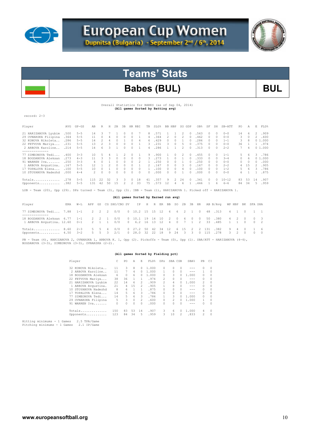



## **Teams' Stats**

## Babes (BUL) BUL

Overall Statistics for BABES (as of Sep 04, 2014)  **(All games Sorted by Batting avg)** 

| record: 2-3                                                                                                         | $H$ 2B<br>$SLG$ <sup>8</sup><br>BB HBP<br>SO GDP<br>SH SB-ATT<br>E<br>A                                                                                                                                                                                                                                                                                                                                                                                                                                                                                                                                                                                                                                                                                                                                                                                                      |           |                |                |                |               |               |                                      |              |    |      |                |                |                |               |               |                |          |              |                |                |              |                       |
|---------------------------------------------------------------------------------------------------------------------|------------------------------------------------------------------------------------------------------------------------------------------------------------------------------------------------------------------------------------------------------------------------------------------------------------------------------------------------------------------------------------------------------------------------------------------------------------------------------------------------------------------------------------------------------------------------------------------------------------------------------------------------------------------------------------------------------------------------------------------------------------------------------------------------------------------------------------------------------------------------------|-----------|----------------|----------------|----------------|---------------|---------------|--------------------------------------|--------------|----|------|----------------|----------------|----------------|---------------|---------------|----------------|----------|--------------|----------------|----------------|--------------|-----------------------|
| Player                                                                                                              | AVG                                                                                                                                                                                                                                                                                                                                                                                                                                                                                                                                                                                                                                                                                                                                                                                                                                                                          | $GP - GS$ | AB             | R              |                |               | 3B            | HR RBI                               | TB           |    |      |                |                |                |               | OB%           | SF             |          |              | PO.            |                |              | FLD%                  |
| 21 HARIZANOVA Lyubim                                                                                                | .500                                                                                                                                                                                                                                                                                                                                                                                                                                                                                                                                                                                                                                                                                                                                                                                                                                                                         | $5 - 5$   | 14             | 3              |                |               | 0             | 0                                    | 8            |    | .571 |                |                | 2              | 0             | .563          |                |          | $0 - 0$      | 14             | 6              |              | 2 .909                |
| 29 OVNARSKA Filipina                                                                                                | .364                                                                                                                                                                                                                                                                                                                                                                                                                                                                                                                                                                                                                                                                                                                                                                                                                                                                         | $5 - 5$   | 11             | $\circ$        | 4              | 0             | 0             | $\circ$                              | 4            |    | .364 | $\overline{2}$ | $\Omega$       | 2              | $\mathcal{O}$ | .462          | $\circ$        | $\Omega$ | $0 - 0$      | 3              | $\Omega$       |              | 2 .600                |
| 32 KONOVA Nikoleta                                                                                                  | .286                                                                                                                                                                                                                                                                                                                                                                                                                                                                                                                                                                                                                                                                                                                                                                                                                                                                         | $5 - 5$   | 14             | $\overline{c}$ | 4              | $\circ$       | <sup>1</sup>  | $\circ$<br>4                         | 6            |    | .429 | $\circ$        | $\Omega$       | $\mathbf{1}$   | $\Omega$      | .286          | $\circ$        | $\Omega$ | $1 - 1$      | 3              | 8              |              | 01.000                |
| 22 FETVOVA Mariya .231                                                                                              |                                                                                                                                                                                                                                                                                                                                                                                                                                                                                                                                                                                                                                                                                                                                                                                                                                                                              | $5 - 5$   | 13             | $\overline{c}$ | 3              | $\circ$       | $\Omega$      | $\circ$<br>$\overline{1}$            | 3            |    | .231 | 3              | $\circ$        | 5              | $\Omega$      | .375          | $\Omega$       | $\circ$  | $0 - 0$      | 36             | $\overline{1}$ |              | 1 .974                |
| 2 ARBOVA Karoline . 214<br>--------------                                                                           |                                                                                                                                                                                                                                                                                                                                                                                                                                                                                                                                                                                                                                                                                                                                                                                                                                                                              | $5 - 5$   | 14             | 6              | 3              |               | $\Omega$      | $\Omega$                             | 4            |    | .286 | $\mathbf{1}$   | $\mathbf{1}$   | $\mathfrak{D}$ | $\Omega$      | .313          | $\mathcal{O}$  | $\Omega$ | $2 - 2$      | 7              | 4              |              | 01.000                |
| 77 SIMEONOVA Tedi                                                                                                   | 10<br>.900<br>3.786<br>.400<br>.5<br>1<br>2<br>$\Omega$<br>$\mathcal{O}$<br>2<br>.455<br>$1 - 1$<br>$3 - 3$<br>4<br>9<br>$\Omega$<br>0<br>$\cap$<br>3<br>11<br>3<br>$\Omega$<br>$\Omega$<br>.273<br>.273<br>$\Omega$<br>$\Omega$<br>$\mathbf{1}$<br>$\Omega$<br>$\mathbf{1}$<br>.333<br>$3 - 4$<br>$\Omega$<br>6<br>01.000<br>$4 - 3$<br>3<br>$\cap$<br>$\mathcal{O}$<br>$\Omega$<br>$\circ$<br>$\mathbf{1}$<br>.250<br>$\overline{4}$<br>$\Omega$<br>$\circ$<br>$\circ$<br>2<br>.250<br>.250<br>.000<br>$3 - 3$<br>$\circ$<br>$\Omega$<br>$\mathbf{1}$<br>$0 - 0$<br>$\Omega$<br>$\circ$<br>$\mathbf{1}$<br>$\mathcal{O}$<br>$\circ$<br>$\Omega$<br>$\mathcal{O}$<br>12<br>$\mathbf{1}$<br>2<br>$\circ$<br>$\Omega$<br>$\circ$<br>.167<br>.167<br>$2 - 2$<br>15<br>2 .905<br>.167<br>$5 - 5$<br>1<br>$\Omega$<br>$\Omega$<br>3<br>2<br>$\Omega$<br>$\circ$<br>$\Omega$<br>4 |           |                |                |                |               |               |                                      |              |    |      |                |                |                |               |               |                |          |              |                |                |              |                       |
| 18 BOGDANOVA Aleksan                                                                                                |                                                                                                                                                                                                                                                                                                                                                                                                                                                                                                                                                                                                                                                                                                                                                                                                                                                                              |           |                |                |                |               |               |                                      |              |    |      |                |                |                |               |               |                |          |              |                |                |              |                       |
| 91 WARREN Iva                                                                                                       |                                                                                                                                                                                                                                                                                                                                                                                                                                                                                                                                                                                                                                                                                                                                                                                                                                                                              |           |                |                |                |               |               |                                      |              |    |      |                |                |                |               |               |                |          |              |                |                |              |                       |
| 1 ARBOVA Avqustina.                                                                                                 |                                                                                                                                                                                                                                                                                                                                                                                                                                                                                                                                                                                                                                                                                                                                                                                                                                                                              |           |                |                |                |               |               |                                      |              |    |      |                |                |                |               |               |                |          |              |                |                |              |                       |
| 17 TOPALOVA Elena                                                                                                   | .100                                                                                                                                                                                                                                                                                                                                                                                                                                                                                                                                                                                                                                                                                                                                                                                                                                                                         | $5 - 5$   | 10             | $\circ$        | $\mathbf{1}$   | $\Omega$      | $\Omega$      | $\circ$<br>$\Omega$                  | $\mathbf{1}$ |    | .100 | $\Omega$       | $\Omega$       | $\overline{4}$ | $\mathcal{O}$ | .100          | $\mathcal{O}$  | $\Omega$ | $1 - 2$      | 5              |                | 6            | $\mathcal{B}$<br>.786 |
| 10 STOYANOVA Nadezhd                                                                                                | .000                                                                                                                                                                                                                                                                                                                                                                                                                                                                                                                                                                                                                                                                                                                                                                                                                                                                         | $4 - 4$   | 2              | $\cap$         | $\cap$         | $\Omega$      | $\Omega$      | $\Omega$<br>$\Omega$                 | $\cap$       |    | .000 | $\Omega$       | $\Omega$       | $\mathbf{1}$   | $\cap$        | .000          | $\mathcal{O}$  | $\Omega$ | $0 - 0$      | 6              | $\mathbf{1}$   | 1            | .875                  |
| Totals .278                                                                                                         |                                                                                                                                                                                                                                                                                                                                                                                                                                                                                                                                                                                                                                                                                                                                                                                                                                                                              | $5 - 5$   | 115            | 22             | 32             | 3             | 3             | $\Omega$<br>18                       | 41           |    | .357 | 9              | 2              | 24             | $\Omega$      | .341          | $\Omega$       | $\cap$   | $10 - 12$    | 83             | 53             | 14           | .907                  |
| Opponents .382                                                                                                      |                                                                                                                                                                                                                                                                                                                                                                                                                                                                                                                                                                                                                                                                                                                                                                                                                                                                              | $5 - 5$   |                | 131 42         |                | 50 15         | $\mathcal{L}$ | 33<br>2                              | 75           |    | .573 | 12             | $\overline{4}$ | 6              |               | 1 .446        | $\overline{1}$ | 6        | $6 - 6$      | 84             | -34            |              | 5.959                 |
| LOB - Team (20), Opp (29). DPs turned - Team (3), Opp (3). IBB - Team (1), HARIZANOVA 1. Picked off - HARIZANOVA 1. |                                                                                                                                                                                                                                                                                                                                                                                                                                                                                                                                                                                                                                                                                                                                                                                                                                                                              |           |                |                |                |               |               |                                      |              |    |      |                |                |                |               |               |                |          |              |                |                |              |                       |
|                                                                                                                     |                                                                                                                                                                                                                                                                                                                                                                                                                                                                                                                                                                                                                                                                                                                                                                                                                                                                              |           |                |                |                |               |               | (All games Sorted by Earned run avg) |              |    |      |                |                |                |               |               |                |          |              |                |                |              |                       |
| Player                                                                                                              | ERA                                                                                                                                                                                                                                                                                                                                                                                                                                                                                                                                                                                                                                                                                                                                                                                                                                                                          | $W-L$     | APP            | GS             |                | CG SHO/CBO SV |               | IP                                   | Н            |    | R ER | BB             | SO.            |                |               | 2B 3B HR      |                | AB B/Avq | WP HBP       |                |                | BK SFA SHA   |                       |
| 77 SIMEONOVA Tedi 7.88                                                                                              |                                                                                                                                                                                                                                                                                                                                                                                                                                                                                                                                                                                                                                                                                                                                                                                                                                                                              | $1 - 1$   | $2^{\circ}$    | 2              | 2              | 0/0           |               | $0$ 10.2 15                          |              | 15 | 12   | 6              | 6              | $2^{1}$        | 1             | $\Box$        | 48             | .313     | 4            | $\overline{1}$ | $\Omega$       | $\mathbf{1}$ | $\overline{1}$        |
| ----------------<br>18 BOGDANOVA Aleksan 6.77                                                                       |                                                                                                                                                                                                                                                                                                                                                                                                                                                                                                                                                                                                                                                                                                                                                                                                                                                                              | $1 - 1$   | 2              | 2              | -1             | 0/0           |               | 0 10.1                               | 19           | 14 | 10   | 2              | 0              | 6              | 0             | 0             | 50             | .380     | 4            | 2              | 0              | 0            | 3                     |
|                                                                                                                     |                                                                                                                                                                                                                                                                                                                                                                                                                                                                                                                                                                                                                                                                                                                                                                                                                                                                              | $0 - 1$   | $\mathfrak{D}$ | 1              | $\overline{1}$ | 0/0           | $\Omega$      | 6.2                                  | 16           | 13 | 12   | $\overline{4}$ | $\Omega$       | 7              | $\mathbf{1}$  | $\mathcal{L}$ | 33             | .485     | $\mathbf{1}$ | 1              | $\Omega$       | $\Omega$     | $\overline{2}$        |
| 1 ARBOVA Avqustina. 12.60                                                                                           |                                                                                                                                                                                                                                                                                                                                                                                                                                                                                                                                                                                                                                                                                                                                                                                                                                                                              |           |                |                |                |               |               |                                      |              |    |      |                |                |                |               |               |                |          |              |                |                |              |                       |
| Totals 8.60                                                                                                         |                                                                                                                                                                                                                                                                                                                                                                                                                                                                                                                                                                                                                                                                                                                                                                                                                                                                              | $2 - 3$   | 5              | 5              | 4              | 0/0           | $\Omega$      | 27.2                                 | 50           | 42 | 34   | 12             | 6              | 15             | 2             | 2             | 131            | .382     | 9            |                | $\Omega$       | $\mathbf{1}$ | 6                     |

PB - Team (4), HARIZANOVA 2, OVNARSKA 1, ARBOVA K. 1, Opp (2). Pickoffs - Team (0), Opp (1). SBA/ATT - HARIZANOVA (4-4),<br>BOGDANOVA (3-3), SIMEONOVA (3-3), OVNARSKA (2-2).

#### **(All games Sorted by Fielding pct)**

|     | Player               |     | PO | A        | Е             | FLD%  | DPs            | SBA CSB        |          | SBA%    | PB            | СI       |
|-----|----------------------|-----|----|----------|---------------|-------|----------------|----------------|----------|---------|---------------|----------|
|     | 32 KONOVA Nikoleta   | 11  | 3  | 8        | 0             | 1,000 | 0              | 0              | $\Box$   | ---     | 0             | $\Omega$ |
|     | 2 ARBOVA Karoline    | 11  | 7  | 4        | 0             | 1,000 |                | 0              | $\Omega$ | ---     | 1.            | 0        |
| 18. | BOGDANOVA Aleksan    | 6   | 0  | 6        | 0             | 1,000 | 0              | 3.             | 0        | 1,000   | $\mathcal{O}$ | 0        |
|     | 22 FETVOVA Mariya    | 38  | 36 |          | 1             | .974  | $\mathfrak{D}$ | 0              |          | $- - -$ | $\mathcal{O}$ | 0        |
|     | 21 HARIZANOVA Lyubim | 22  | 14 | 6        | $\mathcal{L}$ | .909  | $\mathfrak{D}$ | 4              | 0.       | 1,000   | 2             | $\Omega$ |
|     | 1 ARBOVA Avqustina.  | 21  | 4  | 1.5      | 2             | .905  |                | 0              | 0        | $- - -$ | 0             | 0        |
| 10. | STOYANOVA Nadezhd    | 8   | 6. |          | 1             | .875  | 0              | 0              | $\Omega$ | ---     | 0             | 0        |
| 17  | TOPALOVA Elena       | 14  | 5. | 6        | 3             | .786  | 0              |                | $\Omega$ | ---     | 0             | 0        |
| 77. | SIMEONOVA Tedi       | 14  | 5. | 6        | 3             | .786  |                | 3              | 0        | 1,000   | $\mathcal{O}$ | 0        |
|     | 29 OVNARSKA Filipina | 5   | 3  | $\Omega$ | $\mathcal{L}$ | .600  | 0              | $\mathfrak{D}$ | 0        | 1,000   | 1.            | $\Omega$ |
| 91  | WARREN Iva           |     | 0  | $\Omega$ | 0             | .000  | 0              | n              | $\cap$   | ---     | 0             | $\Omega$ |
|     | Totals               | 150 | 83 | 53       | 14            | .907  | 3              | 6              | 0        | 1,000   | 4             | $\Omega$ |
|     | Opponents            | 123 | 84 | 34       | 5             | .959  | 3.             | 10             | 2        | .833    | 2             | $\Omega$ |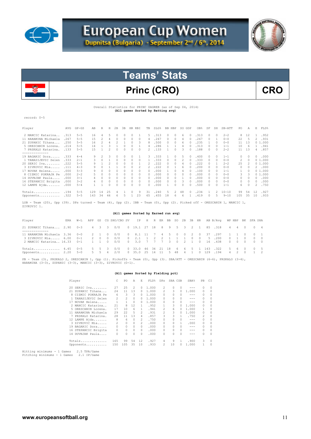



## Princ (CRO) CRO

#### Overall Statistics for PRINC ZAGREB (as of Sep 04, 2014) **(All games Sorted by Batting avg)**

record: 0-5

| Player               | AVG   | $GP - GS$ | AB  | R              | Н  | 2B       | 3B | HR.      | RBI      | TB       | SLG% | BB. | HBP       | SO. | GDP       | OB%  | SF            | SH       | $SB-ATT$  | PO.           | Α        | E     | FLD%   |
|----------------------|-------|-----------|-----|----------------|----|----------|----|----------|----------|----------|------|-----|-----------|-----|-----------|------|---------------|----------|-----------|---------------|----------|-------|--------|
| 2 MANCIC Katarina    | .313  | $5 - 5$   | 16  | 4              | 5  | $\Omega$ | 0  |          |          | 5.       | 313  |     |           | 6   | 0         | .313 | $\cap$        | $\Omega$ | $2 - 2$   | 8             | 12       |       | .952   |
| 11 HARAMINA Michaela | .267  | $5 - 5$   | 1.5 | $\mathfrak{D}$ |    | $\Omega$ |    | $\Omega$ | 0        | 4        | 267  | 0   | $\bigcap$ | 4   |           | .267 | $\cap$        |          | $0 - 0$   | 22            | 5        | 2     | .931   |
| 21 ZUPANIC Tihana    | .250  | $5 - 5$   | 16  |                |    |          |    | 0        | 3        | 8        | .500 | 0   | $\Omega$  | 6   |           | 235  |               | n        | $0 - 0$   | 11            | 13       |       | 01.000 |
| 5 ORESCANIN Lorena.  | .214  | $5 - 5$   | 14  |                |    |          |    |          |          | 4        | 286  |     |           |     |           | .313 |               | n        | $1 - 1$   | 10            | 6        |       | .941   |
| 7 PRSKALO Katarina.  | .133  | $5 - 5$   | 1.5 |                |    |          |    | 0        | 0        |          | .133 |     |           | 3.  |           | .188 | $\cap$        | n        | $2 - 2$   | 11            | 13       | 4     | .857   |
| ------------         |       |           |     |                |    |          |    |          |          |          |      |     |           |     |           |      |               |          |           |               |          |       |        |
| 19 BAGARIC Dora      | .333  | $4 - 4$   | 9   | 2              | 3  | $\Omega$ |    | 0        |          | 3        | .333 |     | $\circ$   | 5.  | 0         | .400 | $\Box$        | 0        | $1 - 1$   | 0             | 0        | 0     | .000   |
| 1 TANASIJEVIC Selen  | .333  | $2 - 1$   | 3.  |                |    |          |    |          | 0        |          | .333 |     |           |     |           | .333 |               | 0        | $0 - 0$   | 2             | $\Omega$ |       | 01.000 |
| 20 SERIC Iva         | .222  | $5 - 5$   | 9   |                |    | $\Omega$ |    | $\Omega$ |          |          | 222  |     |           | 4   |           | .222 | $\cap$        |          | $2 - 2$   | 25            |          |       | 01.000 |
| 3 ZIVKOVIC Mia       | .111  | $4 - 3$   | ٩   |                |    |          |    | n        |          | 2        | 222  | O.  |           | 6   |           | .200 | $\cap$        | n        | $0 - 0$   | $\mathcal{O}$ | $\Omega$ | $2 -$ | .000   |
| 17 NOVAK Helena      | .000  | $5 - 3$   | 9   | $\Omega$       |    | 0        |    | 0        | 0        | 0        | .000 |     |           |     |           | .100 | $\bigcap$     | n        | $1 - 1$   |               | $\Omega$ |       | 01.000 |
| 8 CIZMIC POKRAJA Pe  | . 000 | $2 - 2$   | 5.  | $\Omega$       |    | $\Omega$ |    | $\Omega$ | $\Omega$ | $\Omega$ | .000 |     | $\Omega$  | 0   |           | .000 | $\bigcap$     | $\Omega$ | $0 - 0$   | 3.            | 3        |       | 01.000 |
| 14 DUVNJAK Paula     | .000  | $3 - 1$   | 4   |                |    | $\Omega$ |    | 0        | $\Omega$ | $\Omega$ | .000 |     |           |     |           | .000 | $\cap$        | $\cap$   | $0 - 0$   | $\Omega$      | $\Omega$ | 0.    | .000   |
| 16 STEPANCIC Brigita | .000  | $3 - 2$   | 4   | $\Omega$       | 0  | $\Omega$ | 0  | $\Omega$ | $\Omega$ | $\Omega$ | .000 | 0   | $\Box$    | 3.  | $\bigcap$ | .000 | $\mathcal{O}$ | $\Omega$ | $0 - 0$   | $\Omega$      | $\Omega$ | 0     | .000   |
| 12 LAMPE Ajda        | .000  | $5 - 4$   |     |                |    |          |    | 0        | $\Omega$ | $\Omega$ | .000 |     | $\Omega$  |     |           | .500 | $\cap$        | n        | $1 - 1$   | 6.            |          | 2.    | .750   |
| Totals               | .194  | $5 - 5$   | 129 | 14             | 25 |          |    |          | 9        | 31       | .240 | 5.  | 2         | 48  | $\bigcap$ | .234 |               |          | $10 - 10$ | 99            | 54       | 12    | .927   |
| Opponents            | .322  | $5 - 5$   | 143 | 34             | 46 | 6        | 5  |          | 23       | 65       | .455 | 18  | 6         | 6   |           | .419 | $\Omega$      | 5        | $9 - 10$  | 105           | 35       | 10    | .933   |
|                      |       |           |     |                |    |          |    |          |          |          |      |     |           |     |           |      |               |          |           |               |          |       |        |

LOB - Team (20), Opp (39). DPs turned - Team (4), Opp (2). IBB - Team (0), Opp (2). Picked off - ORESCANIN 1, MANCIC 1, ZIVKOVIC 1.

#### **(All games Sorted by Earned run avg)**

| Player                                                                                                                                                  | ERA | $W - T$ |       | APP GS CG SHO/CBO SV IP H R ER BB SO 2B 3B HR AB B/Avq WP HBP BK SFA SHA |                              |  |  |  |  |                                               |  |             |                         |  |
|---------------------------------------------------------------------------------------------------------------------------------------------------------|-----|---------|-------|--------------------------------------------------------------------------|------------------------------|--|--|--|--|-----------------------------------------------|--|-------------|-------------------------|--|
| 21 ZUPANIC Tihana 2.90 0-3 4 3 3 0/0 0 19.1 27 18 8 9 5 3 2 1 85 .318 4 4 0 0 4<br>-----------                                                          |     |         |       |                                                                          |                              |  |  |  |  |                                               |  |             |                         |  |
| 11 HARAMINA Michaela 3.36  0-0  2  1  0  0/0<br>3 ZIVKOVIC Mia 6.00 0-1<br>2 MANCIC Katarina 16.33 0-1 1 1 0 0/0 0 3.0 7 7 7 3 0 2 1 0 16 438 0 0 0 0 0 |     |         |       | 2 0 0 0/0                                                                | 0 2.1 1 2 2 1 1 1 0 0 5 .200 |  |  |  |  | 0 8.1 11 7 4 5 0 0 2 0 37 .297                |  | $0 \t1 \t0$ | 1 1 0 0 1<br>$0\quad 0$ |  |
| Totals 4.45 0-5<br>Opponents $2.20 5-0$                                                                                                                 |     |         | 5 5 3 | 0/0<br>5 5 4 2/0 0 35.0 25 14 11 5 48 4 1 0 129 194                      |                              |  |  |  |  | 0 33.0 46 34 21 18 6 6 5 1 143 .322 5 6 0 0 5 |  |             | 4 2 0 1 2               |  |

PB - Team (3), PRSKALO 2, ORESCANIN 1, Opp (1). Pickoffs - Team (0), Opp (3). SBA/ATT - ORESCANIN (6-6), PRSKALO (3-4),<br>HARAMINA (3-3), ZUPANIC (3-3), MANCIC (3-3), ZIVKOVIC (0-1).

#### **(All games Sorted by Fielding pct)**

| Player |                      |     | PO  | Α        | E.       | FLD%  | <b>DPs</b>                                                                                                                                                                                                                                                                                                                                                                                                                 | SBA CSB  |               | SBA%    | PB.           | C1       |
|--------|----------------------|-----|-----|----------|----------|-------|----------------------------------------------------------------------------------------------------------------------------------------------------------------------------------------------------------------------------------------------------------------------------------------------------------------------------------------------------------------------------------------------------------------------------|----------|---------------|---------|---------------|----------|
| 20     | SERIC Iva            | 27  | 25  | 2        | 0        | 1,000 | 2                                                                                                                                                                                                                                                                                                                                                                                                                          | 0        | $\Box$        | ---     | 0             | $\Omega$ |
|        | 21 ZUPANIC Tihana    | 24  | 11  | 13       | 0        | 1,000 | 2                                                                                                                                                                                                                                                                                                                                                                                                                          | 3        | $\mathcal{O}$ | 1,000   | 0             | 0        |
| 8.     | CIZMIC POKRAJA Pe    | 6   | 3   | 3        |          | 1,000 | 0                                                                                                                                                                                                                                                                                                                                                                                                                          | 0        | 0             | ---     | 0             | 0        |
|        | 1 TANASIJEVIC Selen  | 2   | 2   | 0        | n.       | 1,000 | 0                                                                                                                                                                                                                                                                                                                                                                                                                          | 0        | $\Omega$      | ---     | 0             | $\Omega$ |
| 17     | NOVAK Helena         | 1   | 1   | $\Omega$ |          | 1,000 | 0                                                                                                                                                                                                                                                                                                                                                                                                                          | 0        | $\Omega$      | $- - -$ | 0             | $\Omega$ |
|        | 2 MANCIC Katarina    | 21  | 8   | 12       | 1        | .952  | 1.                                                                                                                                                                                                                                                                                                                                                                                                                         | 3        | $\mathcal{O}$ | 1,000   | 0             | 0        |
|        | 5 ORESCANIN Lorena.  | 17  | 10  | 6        | 1        | .941  | $\mathfrak{D}_{1}^{2}(\mathfrak{D}_{1})=\mathfrak{D}_{2}^{2}(\mathfrak{D}_{2})=\mathfrak{D}_{2}^{2}(\mathfrak{D}_{1})=\mathfrak{D}_{2}^{2}(\mathfrak{D}_{2})=\mathfrak{D}_{2}^{2}(\mathfrak{D}_{1})=\mathfrak{D}_{2}^{2}(\mathfrak{D}_{2})=\mathfrak{D}_{2}^{2}(\mathfrak{D}_{1})=\mathfrak{D}_{2}^{2}(\mathfrak{D}_{2})=\mathfrak{D}_{2}^{2}(\mathfrak{D}_{1})=\mathfrak{D}_{2}^{2}(\mathfrak{D}_{2})=\mathfrak{D}_{2}^{$ | 6        |               | 1,000   |               | $\Omega$ |
|        | 11 HARAMINA Michaela | 29  | 22  | 5        | 2        | .931  | $\mathfrak{D}$                                                                                                                                                                                                                                                                                                                                                                                                             | 3        | 0             | 1,000   | $\mathcal{O}$ | $\Omega$ |
| 7      | PRSKALO Katarina.    | 28  | 11  | 13       | 4        | .857  | 3                                                                                                                                                                                                                                                                                                                                                                                                                          | 3        |               | .750    | 2             | $\Omega$ |
|        | 12 LAMPE Ajda        | 8   | 6   | $\Omega$ | 2        | .750  | 0                                                                                                                                                                                                                                                                                                                                                                                                                          | 0        | $\Omega$      | $- - -$ | 0             | $\Omega$ |
|        | 3 ZIVKOVIC Mia       | 2   | 0   | 0        | 2        | .000  | 0                                                                                                                                                                                                                                                                                                                                                                                                                          | O.       | 1.            | .000    | 0             | $\Omega$ |
|        | 19 BAGARIC Dora      | 0   | 0   | $\Omega$ | $\Omega$ | .000  | 0                                                                                                                                                                                                                                                                                                                                                                                                                          | 0        | $\Omega$      | ---     | 0             | $\Omega$ |
|        | 16 STEPANCIC Brigita | 0   | 0   | 0        | $\Omega$ | .000  | 0                                                                                                                                                                                                                                                                                                                                                                                                                          | $\Omega$ | $\Omega$      | ---     | 0             | 0        |
| 14     | DUVNJAK Paula        | 0   | 0   | 0        | $\Omega$ | .000  | 0                                                                                                                                                                                                                                                                                                                                                                                                                          | n        | $\Box$        | ---     | 0             | $\Omega$ |
|        | Totals               | 165 | 99  | 54       | 12       | .927  | 4                                                                                                                                                                                                                                                                                                                                                                                                                          | 9        |               | .900    | 3             | $\Omega$ |
|        | Opponents            | 150 | 105 | 35       | 10       | .933  | 2                                                                                                                                                                                                                                                                                                                                                                                                                          | 10       | O.            | 1,000   | 1             | $\Omega$ |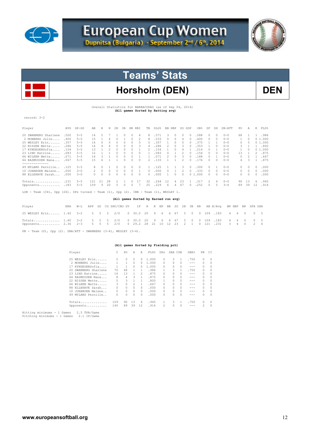



## Horsholm (DEN) DEN

Overall Statistics for BARRACUDAS (as of Sep 04, 2014) **(All games Sorted by Batting avg)** 

record: 3-2

| Player                                                                                                 | AVG  | $GP - GS$ | AB  | R        | Н  | 2B | 3B     | HR.      | RBI | TB       | SLG%                                 |    | BB HBP   | SO.            | GDP      | OB%  | SF            | SH       | SB-ATT  | PO.      | Α        | E.            | FLD%   |
|--------------------------------------------------------------------------------------------------------|------|-----------|-----|----------|----|----|--------|----------|-----|----------|--------------------------------------|----|----------|----------------|----------|------|---------------|----------|---------|----------|----------|---------------|--------|
| 20 SWANBERG Sharlene                                                                                   | .500 | $5 - 5$   | 14  | 5        |    |    |        |          | 4   | 8        | .571                                 |    | 0        | 0.             | 0        | .588 | $\Omega$      | $\Omega$ | $0 - 0$ | 68       |          | 1.            | .986   |
| 2 MONBERG Julie                                                                                        | .400 | $5 - 5$   | 15  |          |    |    |        |          |     | 8        | .533                                 |    |          |                |          | .400 | 0             | 0        | $0 - 0$ |          |          |               | 01.000 |
| 25 WESLEY Erin                                                                                         | .357 | $5 - 5$   | 14  | $\Omega$ | 5  | 0  | 0      | $\Omega$ | 5   | 5        | .357                                 |    |          | $\Omega$       |          | 375  |               |          | $0 - 0$ | 0        |          |               | 01.000 |
| 22 NISSEN Mette                                                                                        | .286 | $5 - 5$   | 14  | 4        |    | 0  | $\cap$ | n        | З   | 4        | .286                                 |    | $\Omega$ | 3              |          | .353 |               | 0        | $0 - 0$ | 3        |          |               | .800   |
| 17 KYNDESENSofia                                                                                       | .154 | $5 - 5$   | 13  |          |    |    |        |          |     |          | .154                                 |    |          |                |          | .214 |               |          | $0 - 0$ |          |          |               | 01.000 |
| 23 LIND Katrine                                                                                        | .083 | $5 - 5$   | 12  |          |    |    |        |          |     |          | .083                                 |    |          |                |          | .154 | 0             | 0        | $0 - 0$ | 13       |          | 2             | .875   |
| 66 WILKEN Mette                                                                                        | .071 | $5 - 5$   | 14  | 3        |    |    |        |          |     |          | .071                                 |    | $\Omega$ | 3              |          | .188 | 0             |          | $0 - 0$ | 0        |          |               | .667   |
| 64 RASMUSSEN Nana                                                                                      | .067 | $5 - 5$   | 1.5 | 6        |    |    |        |          |     | 2        | .133                                 |    |          | $\mathfrak{D}$ |          | .176 | 0             | 0        | $0 - 0$ | 4        | З        |               | .875   |
| . _ _ _ _ _ _ _ _ _ _ _<br>49 MYLAND Pernille                                                          | .125 | $5 - 5$   | 8   | $\Omega$ |    |    |        | 0        | 0   |          | .125                                 |    |          | 3              | $\Omega$ | .300 | $\mathcal{O}$ |          | $0 - 0$ | $\circ$  | $\Omega$ | $\mathcal{O}$ | .000   |
| 10 JOHANSEN Malene                                                                                     | .000 | $3 - 0$   | 2   | $\Omega$ | 0  | 0  |        |          |     | 0        | .000                                 |    |          |                |          | .333 | $\mathcal{O}$ | 0        | $0 - 0$ | $\Omega$ | 0        | $\mathcal{O}$ | .000   |
| 88 ELLEHAVE Sarah                                                                                      | .000 | $3 - 0$   | 0   | $\Omega$ |    |    |        |          |     | $\Omega$ | .000                                 |    |          | $\Omega$       |          | .000 | 0             | 0        | $0 - 0$ | 0        |          | 0             | .000   |
| Totals                                                                                                 | .231 | $5 - 5$   | 121 | 21       | 28 |    |        |          | 17  | 32       | .264                                 | 12 | 4        | 23             |          | .317 | 2             | 4        | $0 - 0$ | 90       | 13       | 6.            | .945   |
| Opponents                                                                                              | .183 | $5 - 5$   | 109 | 9        | 20 | 5  |        |          |     | 25       | .229                                 | 6  | 4        | 67             |          | 252  | 0             | 5        | $3 - 4$ | 89       | 39       | 12            | .914   |
| Team $(34)$ , Opp $(26)$ . DPs turned - Team $(1)$ , Opp $(2)$ . IBB - Team $(1)$ , WESLEY 1.<br>LOB - |      |           |     |          |    |    |        |          |     |          |                                      |    |          |                |          |      |               |          |         |          |          |               |        |
|                                                                                                        |      |           |     |          |    |    |        |          |     |          | (All games Sorted by Earned run avg) |    |          |                |          |      |               |          |         |          |          |               |        |

| Player                                                                                                                                              |  |  | ERA W-L APP GS CG SHO/CBO SV IP H R ER BB SO 2B 3B HR AB B/Avq WP HBP BK SFA SHA |  |  |  |  |  |  |  |  |  |
|-----------------------------------------------------------------------------------------------------------------------------------------------------|--|--|----------------------------------------------------------------------------------|--|--|--|--|--|--|--|--|--|
| 25 WESLEY Erin 1.40 3-2 5 5 5 2/0 0 30.0 20 9 6 6 67 5 0 0 109 183 4 4 0 0 5                                                                        |  |  |                                                                                  |  |  |  |  |  |  |  |  |  |
| Totals 1.40 3-2 5 5 5 2/0 0 30.0 20 9 6 6 67 5 0 0 109 183 4 4 0 0 5<br>0pponents 2.36 2-3 5 5 5 2/0 0 29.2 28 21 10 12 23 2 1 0 121 .231 3 4 0 2 4 |  |  |                                                                                  |  |  |  |  |  |  |  |  |  |

 $\texttt{PB = Team (0), Opp (2). SBA/ATT = SWANBERG (3-4), WESLEY (3-4).}$ 

 **(All games Sorted by Fielding pct)** 

| Player |                            | PO       | Α        | E        | FLD%  | DPs            | SBA CSB |          | SBA%    | PB            | C1       |
|--------|----------------------------|----------|----------|----------|-------|----------------|---------|----------|---------|---------------|----------|
|        | 25 WESLEY Erin<br>5.       | $\Omega$ | 5        | $\Omega$ | 1,000 | 0              | 3.      | 1        | .750    | $\Omega$      | $\Omega$ |
|        | 2 MONBERG Julie            | 1.       | $\Omega$ | 0.       | 1,000 | 0              | O.      | $\Omega$ | $- - -$ | $\mathcal{O}$ | 0        |
|        | 17 KYNDESENSofia           |          | $\Omega$ | 0        | 1,000 | 0              | n       | 0        | $- - -$ | $\cap$        | $\Omega$ |
|        | 70<br>20 SWANBERG Sharlene | 68       |          | 1.       | .986  |                | 3       |          | .750    | $\mathcal{O}$ | 0        |
|        | 23 LIND Katrine<br>16      | 13       |          | 2        | .875  | 0              | n       | 0        | $- - -$ | $\mathcal{O}$ | $\Omega$ |
|        | 8<br>64 RASMUSSEN Nana     | 4        | २        |          | .875  | n              | O.      | 0        | $- - -$ | $\mathcal{O}$ | $\Omega$ |
|        | 5<br>22 NISSEN Mette       | 3        |          | 1.       | .800  |                |         | 0        | $- - -$ | $\Omega$      | $\Omega$ |
|        | 3<br>66 WILKEN Mette       | 0        | 2        |          | .667  | 0              |         | 0        | $- - -$ | $\mathcal{O}$ | $\Omega$ |
|        | 88 ELLEHAVE Sarah<br>0     | 0        | $\Omega$ | $\Omega$ | .000  | 0              | O.      | 0        |         | $\mathcal{O}$ | $\Omega$ |
|        | 10 JOHANSEN Malene<br>0    | 0        | $\Omega$ | $\Omega$ | .000  | 0              | O.      | $\Omega$ | $- - -$ | $\cap$        | $\Omega$ |
|        | 49 MYLAND Pernille<br>0    | 0        | $\Omega$ | $\Omega$ | .000  | 0              |         | 0        |         | $\cap$        | $\Omega$ |
|        | 109<br>Totals              | 90       | 13       | 6        | .945  |                | 3       |          | .750    | $\Omega$      | $\Omega$ |
|        | 140<br>Opponents           | 89       | 39       | 12       | .914  | $\mathfrak{D}$ | O.      | $\Omega$ | $- - -$ | 2             | $\Omega$ |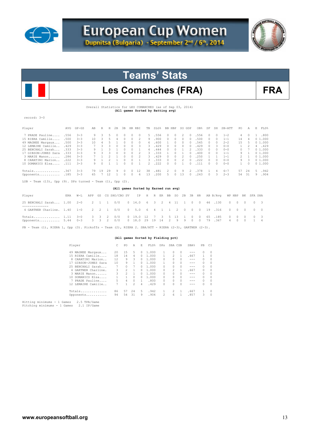



## Les Comanches (FRA) FRA

Overall Statistics for LES COMANCHES (as of Sep 03, 2014) **(All games Sorted by Batting avg)** 

record: 3-0

| Player               | AVG  | $GP - GS$ | AB  | R  | Н             | 2B | 3B         |          | HR RBI        | TB            | SLG%  |                | BB HBP   | SO.           | GDP           | OB%   | SF     | SH     | SB-ATT  | PO.           | Α        | E. | FLD%      |
|----------------------|------|-----------|-----|----|---------------|----|------------|----------|---------------|---------------|-------|----------------|----------|---------------|---------------|-------|--------|--------|---------|---------------|----------|----|-----------|
| 7 PRADE Pauline      | .556 | $3 - 3$   | 9.  | 3  | $\mathcal{L}$ |    | $^{\circ}$ | 0        | 0             | 5.            | .556  | $\Omega$       | $\Box$   | 2             | $\Omega$      | .556  | $\Box$ | 0      | $1 - 2$ | 4             | $\Omega$ | 1  | .800      |
| 15 RIERA Camille     | .500 | $3 - 3$   | 1 N | २  |               |    | 0          | $\Omega$ | 2             | 9             | .900  | 0.             | $\Box$   | $\Omega$      | $\mathcal{O}$ | .500  | 0      | 0      | $1 - 1$ | 14            | 4        |    | 01.000    |
| 49 MAGNEE Margaux    | .500 | $3 - 3$   | 10  | 4  |               |    | 0          | 0        | 0             | 6.            | .600  |                | $\Box$   | 0             | $\Box$        | .545  | 0      | 0      | $2 - 2$ | 1.5           |          |    | 01.000    |
| 12 LEMAIRE Camille   | .429 | $3 - 3$   |     | 3  |               |    | $\cap$     | $\Omega$ | 3.            | 3.            | .429  | $\Omega$       | $\Box$   | $\Omega$      | $\Omega$      | .429  | 0      | 3      | $0 - 0$ | $\mathbf{1}$  | 2        |    | 4.429     |
| 25 BENCHALI Sarah    | .333 | $3 - 3$   | 9.  |    |               |    | $\Omega$   |          |               | 4             | .444  | 0.             |          |               | 2             | .333  | $\Box$ | n.     | $0 - 0$ | $\cap$        |          |    | 01.000    |
| 17 GIBSON-JONES Sara | .333 | $3 - 3$   |     | 3  |               |    | $\Omega$   | $\Omega$ | $\mathcal{L}$ | 3.            | .333  |                | 0        |               | $\mathcal{O}$ | .400  | 0      | n.     | $1 - 1$ | 9.            |          |    | 01.000    |
| 3 MARIE Manon        | .286 | $3 - 3$   |     |    |               |    | $\cap$     | $\cap$   | 2             | 3.            | .429  | $\cap$         | $\Omega$ | $\mathcal{P}$ | $\Omega$      | .250  |        |        | $1 - 1$ | $\mathcal{P}$ |          |    | 01.000    |
| 8 CARATINI Marion    | .222 | $3 - 3$   |     |    |               |    | $\cap$     | 0        |               | 3.            | .333  | $\Omega$       | $\Omega$ | 2             | $\Omega$      | . 222 | $\cap$ | n.     | $0 - 0$ | 9             | 3        |    | 01.000    |
| 10 DOMANICO Elsa     | .111 | $3 - 3$   |     |    |               |    |            |          |               | $\mathcal{P}$ | .222  | $\cap$         | $\cap$   |               | $\cap$        | 111   | $\cap$ | $\cap$ | $0 - 0$ |               | $\Box$   |    | 0, 1, 000 |
| Totals               | .367 | $3 - 3$   | 79  | 19 | 29            | -9 | 0          | 0        | 12            | 38            | .481  | $\overline{2}$ | $\Omega$ | 9             | 2             | .378  |        | 4      | $6 - 7$ | 57            | 24       | .5 | .942      |
| Opponents .185       |      | $3 - 3$   | 65  |    | 12            |    |            | n        | 6             | 13            | . 200 | 5.             |          | 13            | $\cap$        | .243  | $\cap$ | ₹      | $2 - 3$ | .54           | -31      | 9. | .904      |
|                      |      |           |     |    |               |    |            |          |               |               |       |                |          |               |               |       |        |        |         |               |          |    |           |

 $LOB$  - Team  $(13)$ , Opp  $(9)$ . DPs turned - Team  $(1)$ , Opp  $(2)$ .

#### **(All games Sorted by Earned run avg)**

| Player                                                                                                                                         |  |  | ERA W-L APP GS CG SHO/CBO SV IP H R ER BB SO 2B 3B HR AB B/Avq WP HBP BK SFA SHA |  |  |  |  |  |  |  |  |  |
|------------------------------------------------------------------------------------------------------------------------------------------------|--|--|----------------------------------------------------------------------------------|--|--|--|--|--|--|--|--|--|
| 25 BENCHALI Sarah 1.00 2-0 2 1 1 0/0 0 14.0 6 3 2 4 11 1 0 0 46 130 0 0 0 0 3                                                                  |  |  |                                                                                  |  |  |  |  |  |  |  |  |  |
| 4 GARTNER Charline. 1.40 1-0 2 2 1 0/0 0 5.0 6 4 1 1 2 0 0 0 19 .316 0 0 0 0 0                                                                 |  |  |                                                                                  |  |  |  |  |  |  |  |  |  |
| Totals 1.11 3-0 3 3 2 0/0 0 19.0 12 7 3 5 13 1 0 0 65 185 0 0 0 0 3<br>Opponents 5.44 0-3 3 3 2 0/0 0 18.0 29 19 14 2 9 9 0 0 79 367 4 0 0 1 4 |  |  |                                                                                  |  |  |  |  |  |  |  |  |  |

PB - Team (1), RIERA 1, Opp (3). Pickoffs - Team (2), RIERA 2. SBA/ATT - RIERA (2-3), GARTNER (2-3).

#### **(All games Sorted by Fielding pct)**

| Player |                     |    | PO             | Α        | Е            | FLD%  | DPs                                                                                                                                                                                                                                                                                                                                                                                                                        | SBA CSB       |          | SBA%    | PB.           | C1       |
|--------|---------------------|----|----------------|----------|--------------|-------|----------------------------------------------------------------------------------------------------------------------------------------------------------------------------------------------------------------------------------------------------------------------------------------------------------------------------------------------------------------------------------------------------------------------------|---------------|----------|---------|---------------|----------|
|        | 49 MAGNEE Margaux   | 20 | 1.5            | 5.       | $\Omega$     | 1,000 |                                                                                                                                                                                                                                                                                                                                                                                                                            | 0             | $\Box$   | $- - -$ | $\Box$        | $\Omega$ |
|        | 15 RIERA Camille    | 18 | 14             | 4        | 0.           | 1,000 |                                                                                                                                                                                                                                                                                                                                                                                                                            | 2             |          | .667    |               | $\Omega$ |
|        | 8 CARATINI Marion   | 12 | 9              | 3        | 0            | 1,000 | 0                                                                                                                                                                                                                                                                                                                                                                                                                          | 0             | 0        | $- - -$ | $\mathcal{O}$ | 0        |
| 17     | GIBSON-JONES Sara   | 10 | 9              |          | 0            | 1,000 |                                                                                                                                                                                                                                                                                                                                                                                                                            | O.            | $\Omega$ | $- - -$ | $\mathcal{O}$ | 0        |
|        | 25 BENCHALI Sarah   |    | 0              |          | 0            | 1,000 | 0                                                                                                                                                                                                                                                                                                                                                                                                                          | 0             | 0        | $- - -$ | $\mathcal{O}$ | $\Omega$ |
|        | 4 GARTNER Charline. | 3  | 2              |          | 0.           | 1,000 | 0                                                                                                                                                                                                                                                                                                                                                                                                                          | $\mathcal{L}$ |          | .667    | $\Omega$      | 0        |
|        | 3 MARIE Manon       | 3  | $\mathfrak{D}$ |          | 0            | 1,000 | n                                                                                                                                                                                                                                                                                                                                                                                                                          | O.            | 0        | $- - -$ | $\mathcal{O}$ | 0        |
|        | 10 DOMANICO Elsa    |    |                | $\Omega$ | 0            | 1,000 | 0                                                                                                                                                                                                                                                                                                                                                                                                                          | 0             | $\Omega$ | $- - -$ | $\bigcap$     | $\Omega$ |
|        | PRADE Pauline       | 5  | 4              | $\Omega$ | $\mathbf{1}$ | .800  | 0                                                                                                                                                                                                                                                                                                                                                                                                                          | 0             | $\Omega$ | $- - -$ | $\Omega$      | $\Omega$ |
|        | 12 LEMAIRE Camille  |    |                | 2        | 4            | .429  | 0                                                                                                                                                                                                                                                                                                                                                                                                                          | n             | 0        | $- - -$ | $\Omega$      | $\Omega$ |
|        | Totals              | 86 | 57             | 24       | 5.           | .942  |                                                                                                                                                                                                                                                                                                                                                                                                                            | 2             |          | .667    |               | $\Omega$ |
|        | Opponents           | 94 | 54             | 31       | 9            | .904  | $\mathfrak{D}_{1}^{2}(\mathfrak{D}_{1})=\mathfrak{D}_{2}^{2}(\mathfrak{D}_{2})=\mathfrak{D}_{2}^{2}(\mathfrak{D}_{1})=\mathfrak{D}_{2}^{2}(\mathfrak{D}_{2})=\mathfrak{D}_{2}^{2}(\mathfrak{D}_{1})=\mathfrak{D}_{2}^{2}(\mathfrak{D}_{2})=\mathfrak{D}_{2}^{2}(\mathfrak{D}_{1})=\mathfrak{D}_{2}^{2}(\mathfrak{D}_{2})=\mathfrak{D}_{2}^{2}(\mathfrak{D}_{1})=\mathfrak{D}_{2}^{2}(\mathfrak{D}_{2})=\mathfrak{D}_{2}^{$ | 6             |          | .857    | 3             | $\Omega$ |
|        |                     |    |                |          |              |       |                                                                                                                                                                                                                                                                                                                                                                                                                            |               |          |         |               |          |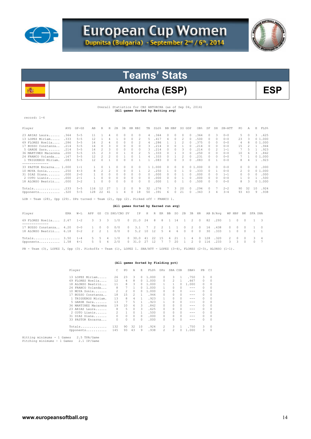



## Antorcha (ESP) BSP

Overall Statistics for CBS ANTORCHA (as of Sep 04, 2014)  **(All games Sorted by Batting avg)** 

record: 1-4

逃

| Player                  | AVG  | $GP - GS$ | AB  | R  | Н  | 2B | 3B | HR. | RBI      | TB         | SLG%  | BB. | HBP      | SO.      | GDP            | OB%   | SF            | SH       | SB-ATT  | PO.        | Α        | E  | FLD%   |
|-------------------------|------|-----------|-----|----|----|----|----|-----|----------|------------|-------|-----|----------|----------|----------------|-------|---------------|----------|---------|------------|----------|----|--------|
| 23 ARIAS Laura          | .364 | $5 - 5$   | 11  |    |    |    |    | 0   | 0        | 4          | .364  |     | $\Omega$ | $\Omega$ | $\Box$         | .364  | $\mathcal{O}$ | 3        | $0 - 0$ | 5.         | $\Omega$ | 3. | .625   |
| 13 LOPEZ Miriam         | .333 | $5 - 5$   | 12  |    |    |    |    |     |          | 5          | .417  |     |          |          | $\circ$        | .500  | $\bigcap$     | $\Omega$ | $0 - 0$ | 23         | 3        |    | 01.000 |
| 69 FLORES Noelia        | .286 | $5 - 5$   | 14  |    |    |    |    |     |          | 4          | 286   |     |          |          |                | .375  | O.            | $\Omega$ | $0 - 0$ | 4          | 8        |    | 01.000 |
| 17 BUSSO Constanza.     | .214 | $5 - 5$   | 14  |    |    |    |    |     |          | 3          | .214  |     |          |          |                | .214  | 0             | n        | $0 - 0$ | 15         |          |    | .944   |
| 5 GARDE Sara            | .214 | $5 - 5$   | 14  |    |    |    |    |     |          | 3          | .214  |     |          |          |                | .214  | 0             |          | $1 - 1$ |            | ц        |    | .923   |
| 36 MARTINEZ Macarena    | .200 | $5 - 5$   | 15  |    |    |    |    | 0   |          | 5.         | .333  |     |          | २        |                | .250  | $\bigcap$     | n        | $0 - 0$ | 10         | 6        | 3  | .842   |
| 24 FRANCO Yolanda       | .167 | $5 - 5$   | 12  |    |    |    |    |     |          | 4          | .333  |     |          |          |                | .231  | 0             | 0        | $0 - 0$ |            |          |    | 01.000 |
| 1 TRIGUEROS Miriam.     | .083 | $5 - 5$   | 12  |    |    |    |    |     |          |            | .083  |     |          | 3        |                | .083  | 0             |          | $0 - 0$ | 8.         | 4        |    | .923   |
|                         |      |           |     |    |    |    |    |     |          |            |       |     |          |          |                |       |               |          |         |            |          |    |        |
| 33 PASTOR Encarna 1.000 |      | $1 - 1$   |     |    |    |    |    |     |          |            | . 000 |     |          |          | 0 <sub>1</sub> | . 000 | O.            | $\Omega$ | $0 - 0$ | $\Omega$   |          | 0  | .000   |
| 10 MOYA Sonia           | .250 | $4 - 3$   | 8   |    |    |    |    |     |          |            | .250  |     |          |          |                | .333  | n             |          | $0 - 0$ | 2          | $\Omega$ |    | 01.000 |
| 31 DIAZ Diana           | .000 | $2 - 0$   |     |    |    |    |    |     |          | 0          | .000  |     |          |          |                | .000  | $\Omega$      | n        | $1 - 1$ | $^{\circ}$ | 0        | 0  | .000   |
| $2$ COTO Lianis         | .000 | $2 - 1$   |     | 0  |    |    |    | 0   | $\Omega$ | $^{\circ}$ | .000  |     |          |          | $\Box$         | .000  | $\mathcal{O}$ | $\Omega$ | $0 - 0$ |            | 0        |    | .500   |
| 18 ALONSO Beatriz       | .000 | $3 - 2$   |     |    |    |    |    |     | $\Omega$ | $\Omega$   | .000  |     |          |          | $\Omega$       | .500  | 0             | n        | $0 - 0$ | 8          | 3        |    | 01.000 |
| Totals                  | .233 | $5 - 5$   | 116 | 12 | 27 |    |    |     | 9        | 32         | .276  |     | २        | 20       | $\bigcap$      | .294  | $\mathcal{O}$ |          | $2 - 2$ | 90         | 32       | 10 | .924   |
| Opponents               | .320 | $5 - 5$   | 128 | 22 | 41 |    |    |     | 18       | 50         | .391  | 'n  |          | 21       |                | .343  | З             |          | $3 - 4$ | 93         | 43       | 9  | .938   |

LOB - Team (28), Opp (29). DPs turned - Team (2), Opp (2). Picked off - FRANCO 1.

#### **(All games Sorted by Earned run avg)**

| Player                                                                                                                                                        |  | ERA W-L APP GS CG SHO/CBO SV IP H R ER BB SO 2B 3B HR AB B/Avq WP HBP BK SFA SHA |  |  |  |  |  |  |  |  |  |  |
|---------------------------------------------------------------------------------------------------------------------------------------------------------------|--|----------------------------------------------------------------------------------|--|--|--|--|--|--|--|--|--|--|
| 69 FLORES Noelia 2.67 1-2 3 3 3 1/0 0 21.0 24 8 8 1 14 1 2 0 82 .293 1 0 0 1 3                                                                                |  |                                                                                  |  |  |  |  |  |  |  |  |  |  |
| 17 BUSSO Constanza 4.20 0-0 1 0 0 0/0 0 3.1 7 2 2 1 1 0 2 0 16 438 0 0 0 1 0<br>18 ALONSO Beatriz 6.18 0-2 2 2 1 0/0 0 5.2 10 12 5 4 6 0 0 0 30 333 1 0 0 1 1 |  |                                                                                  |  |  |  |  |  |  |  |  |  |  |
| Totals 3.50 1-4 5 5 4 1/0 0 30.0 41 22 15 6 21 1 4 0 128 320 2 0 0 3 4<br>Opponents 1.58 4-1 5 5 4 2/0 0 31.0 27 12 7 7 20 1 2 0 116 .233 3 3 0 0 7           |  |                                                                                  |  |  |  |  |  |  |  |  |  |  |
| PB - Team (3), LOPEZ 3, Opp (3). Pickoffs - Team (1), LOPEZ 1. SBA/ATT - LOPEZ (3-4), FLORES (2-3), ALONSO (1-1).                                             |  |                                                                                  |  |  |  |  |  |  |  |  |  |  |

#### **(All games Sorted by Fielding pct)**

| Player               | C   | PO           | A  | E.       | FLD%  | DPs            | SBA CSB  |          | SBA%    | PB.      | C1       |
|----------------------|-----|--------------|----|----------|-------|----------------|----------|----------|---------|----------|----------|
|                      |     |              |    |          |       |                |          |          |         |          |          |
| 13 LOPEZ Miriam      | 26  | 23           | 3  | 0        | 1,000 | 0              | 3        |          | .750    | 3        | 0        |
| 69 FLORES Noelia     | 12  | 4            | 8  | 0        | 1,000 | 0              | 2        |          | .667    | 0        | 0        |
| 18 ALONSO Beatriz    | 11  | 8            | 3  | 0        | 1,000 |                |          | 0        | 1,000   | 0        | 0        |
| 24 FRANCO Yolanda    | 8   | 7            |    | 0        | 1,000 |                | $\Omega$ | 0        | $- - -$ | $\Omega$ | $\Omega$ |
| 10 MOYA Sonia        | 2   | 2            | 0  | 0        | 1,000 | 0              | $\Omega$ | $\Omega$ | ---     | $\Omega$ | 0        |
| 17 BUSSO Constanza   | 18  | 1.5          | 2  | 1.       | .944  | O.             | $\Omega$ | $\Omega$ | ---     | $\Omega$ | $\Omega$ |
| 1 TRIGUEROS Miriam.  | 13  | 8            | 4  | 1.       | .923  |                | $\Omega$ | $\Omega$ | ---     | $\Omega$ | $\Omega$ |
| $5$ GARDE Sara       | 13  | 7            | 5. | 1.       | .923  |                | $\Omega$ | $\Omega$ | ---     | $\Omega$ | $\Omega$ |
| 36 MARTINEZ Macarena | 19  | 10           | 6  | 3        | .842  | 0              | $\Omega$ | $\Omega$ | ---     | $\Omega$ | $\Omega$ |
| 23 ARIAS Laura       | 8   | 5            | 0  | 3        | .625  | 0              | $\Omega$ | $\Omega$ | ---     | $\Omega$ | $\Omega$ |
| 2 COTO Lianis        | 2   | $\mathbf{1}$ | 0  |          | .500  | 0              | $\Omega$ | $\Omega$ |         | $\Omega$ | $\Omega$ |
| 31 DIAZ Diana        | 0   | 0            | 0  | $\Omega$ | .000  | 0              | $\Omega$ | $\Omega$ | ---     | $\Omega$ | $\Omega$ |
| 33 PASTOR Encarna    | 0   | 0            | 0  | $\Omega$ | .000  | 0              | $\Omega$ | $\Omega$ | ---     | 0        | $\Omega$ |
|                      |     |              |    |          |       |                |          |          |         |          |          |
| Totals               | 132 | 90           | 32 | 10       | .924  | 2              | 3        |          | .750    | 3        | $\Omega$ |
| Opponents            | 145 | 93           | 43 | 9        | .938  | $\mathfrak{D}$ | 2        | n        | 1,000   | 3        | $\Omega$ |
|                      |     |              |    |          |       |                |          |          |         |          |          |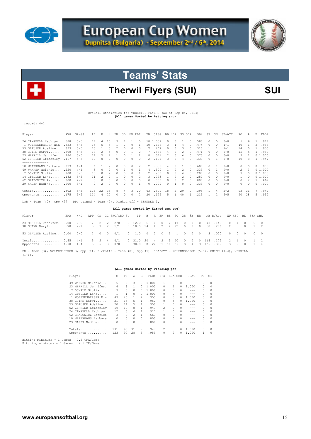



## Therwil Flyers (SUI) **SUI**

 Overall Statistics for THERWILL FLYERS (as of Sep 04, 2014) **(All games Sorted by Batting avg)** 

record: 4-1

| Player               | AVG   | $GP - GS$ | AB  | R             | Н  | 2B | 3B | HR.      | RBI      | TB            | SLG%  | BB. | HBP      | so            | GDP    | OB%   | SF     | SH     | $SB-ATT$ | PO.           | Α             | E  | FLD%   |
|----------------------|-------|-----------|-----|---------------|----|----|----|----------|----------|---------------|-------|-----|----------|---------------|--------|-------|--------|--------|----------|---------------|---------------|----|--------|
| 24 CAMPBELL Kathryn. | .588  | $5 - 5$   | 17  | 4             | 10 |    |    |          | 5.       | 18 1          | .059  | 0   | $\Omega$ |               | $\Box$ | .588  | 0      | 0      | $0 - 0$  | 5.            | 6             |    | .917   |
| 1 WOLFENSBERGER Nin  | .333  | $5 - 5$   | 1.5 | 5             |    |    |    | 0        |          | 10            | .667  | ₹   |          | 4             | $\Box$ | .474  | $\cap$ | $\cap$ | $1 - 1$  | 40            |               | 2. | .953   |
| 53 GLAUSER Adeline   | .333  | $5 - 5$   | 1.5 |               | 5  |    |    | $\Omega$ | 3        |               | .467  |     | 0        | 3             |        | .313  |        |        | $1 - 1$  | 14            | $\mathcal{D}$ |    | .950   |
| 38 GUINN Daryl       | .308  | $5 - 5$   | 13  |               |    |    |    |          |          |               | .538  | 4   |          |               |        | .471  |        |        | $0 - 0$  | 15            |               |    | .952   |
| 23 MERRILL Jennifer. | .286  | $5 - 5$   | 14  |               |    |    |    |          |          | 8             | .571  |     |          |               |        | .375  | $\cap$ | $\cap$ | $0 - 0$  | 3.            |               |    | 01.000 |
| 52 ZEHNDER Kimberley | .167  | $5 - 5$   | 12  | $\Omega$      |    |    |    |          | $\cap$   | $\mathcal{P}$ | .167  | ₹   |          | 4             |        | .333  | $\cap$ |        | $0 - 0$  | 10            | R             |    | .947   |
|                      |       |           |     |               |    |    |    |          |          |               |       |     |          |               |        |       |        |        |          |               |               |    |        |
| 10 MEIERHANS Barbara | . 333 | $4 - 4$   |     |               |    |    |    |          |          | 2             | 333   |     |          |               |        | . 600 | $\cap$ |        | $0 - 0$  | $\mathcal{O}$ |               | 0  | .000   |
| 49 WANNER Melanie    | .250  | $4 - 4$   | 8.  |               |    |    |    |          |          |               | 500   |     |          |               |        | .333  |        |        | $0 - 0$  | $\mathcal{L}$ | 3             |    | 01.000 |
| 7 OSWALD Giulia      | .200  | $5 - 3$   | 10  |               |    |    |    |          |          |               | .200  |     |          |               |        | 200   | $\cap$ | n      | $0 - 0$  | 3.            |               |    | 01.000 |
| 14 GFELLER Lena      | .182  | $5 - 5$   | 11  | $\mathcal{D}$ |    |    |    |          |          | २             | 273   |     |          | $\mathcal{P}$ |        | .250  | $\cap$ | n      | $0 - 0$  | 1.            | $\cup$        |    | 01.000 |
| 62 GRABOWICZ Patrici | . 000 | $2 - 2$   | 3   | $\Omega$      |    |    |    | $\Omega$ | $\Omega$ | 0             | .000  | 0   | $\Box$   |               | $\Box$ | . 000 | $\cap$ | n      | $0 - 0$  | $\Omega$      |               |    | .667   |
| 29 HAGER Nadine      | .000  | $3 - 1$   |     | 2             | 0  |    |    | 0        |          | 0             | .000  |     |          | n             |        | .333  | $\cap$ | n      | $0 - 0$  | 0             | $\Omega$      | 0  | .000   |
|                      |       |           |     |               |    |    |    |          |          |               |       |     |          |               |        |       |        |        |          |               |               |    |        |
| Totals               | .302  | $5 - 5$   | 126 | 22            | 38 | 8  | 4  | 3        | 20       | 63            | .500  | 18  | 2        | 29            | $\Box$ | .395  |        | 4      | $2 - 2$  | 93            | 31            |    | .947   |
| Opponents            | .175  | $5 - 5$   | 114 | 4             | 20 |    |    | $\Omega$ | 2        | 20            | . 175 | ь.  |          | 40            |        | .215  |        |        | $5 - 5$  | 90            | 28            | 5. | .959   |

LOB - Team (40), Opp (27). DPs turned - Team (2). Picked off - ZEHNDER 1.

|                                                                                                           |     |      |  | (All games Sorted by Earned run avg)                                     |                      |     |  |        |  |  |                        |  |                        |  |
|-----------------------------------------------------------------------------------------------------------|-----|------|--|--------------------------------------------------------------------------|----------------------|-----|--|--------|--|--|------------------------|--|------------------------|--|
| Player                                                                                                    | ERA | W-T. |  | APP GS CG SHO/CBO SV IP H R ER BB SO 2B 3B HR AB B/Avq WP HBP BK SFA SHA |                      |     |  |        |  |  |                        |  |                        |  |
| 23 MERRILL Jennifer. 0.00 2-0 2 2 2<br>38 GUINN Daryl 0.78 2-1 3 3 2 1/1 0 18.0 14 4 2 2 22 0 0 0 68 .206 |     |      |  | 2/0                                                                      | $0\quad 12.0$        | 600 |  | 2 17 0 |  |  | $0 \t 0 \t 43 \t 140$  |  | 0 1 0 0 0<br>2 0 0 1 2 |  |
| 53 GLAUSER Adeline 0.00 0-0 1 0 0 0/1 0 1.0 0 0 0 1 1 0 0 0 3 .000                                        |     |      |  |                                                                          |                      |     |  |        |  |  |                        |  |                        |  |
| Opponents 4.90 1-4 5 5 3 0/0 0 30.0 38 22 21 18 29 8 4 3 126 .302 3 2 0 1 4                               |     |      |  |                                                                          | 0 31.0 20 4 2 5 40 0 |     |  |        |  |  | $0 \t 0 \t 114 \t 175$ |  | 2 1 0 1 2              |  |

PB - Team (3), WOLFENSBERGE 3, Opp (1). Pickoffs - Team (0), Opp (1). SBA/ATT - WOLFENSBERGE (5-5), GUINN (4-4), MERRILL<br>(1-1).

#### **(All games Sorted by Fielding pct)**

|    | Player               | C   | PO.            | A            | E.       | FLD%  | DPs            | SBA CSB  |               | <b>SBA%</b> | PB.           | CI       |
|----|----------------------|-----|----------------|--------------|----------|-------|----------------|----------|---------------|-------------|---------------|----------|
| 49 | WANNER Melanie       | 5.  | $\mathfrak{D}$ | 3            | 0        | 1,000 |                | $\Omega$ | $\Omega$      | ---         | $\mathcal{O}$ | $\Omega$ |
|    | 23 MERRILL Jennifer. | 4   | 3              | $\mathbf{1}$ | 0        | 1,000 | 0              | 1.       | $\Box$        | 1,000       | 0             | $\Omega$ |
|    | 7 OSWALD Giulia      | 3   | 3              | $\Omega$     | 0        | 1,000 | 0              | 0        | $\Omega$      | $- - -$     | 0             | $\Omega$ |
|    | 14 GFELLER Lena      |     | 1              | 0            | 0        | 1,000 | 0              | 0        | $\Omega$      | $- - -$     | $\mathcal{O}$ | $\Omega$ |
|    | 1 WOLFENSBERGER Nin  | 43  | 40             |              | 2        | .953  | 0              | 5.       | $\mathcal{O}$ | 1,000       | 3             | $\Omega$ |
|    | 38 GUINN Daryl       | 21  | 15             | 5            | 1        | .952  | 0              | 4        | 0             | 1,000       | 0             | $\Omega$ |
|    | 53 GLAUSER Adeline   | 20  | 14             | 5            | 1.       | .950  |                | 0        | $\cap$        | ---         | 0             | $\Omega$ |
|    | 52 ZEHNDER Kimberley | 19  | 10             | 8            | 1.       | .947  | $\mathfrak{D}$ | 0        | $\cap$        | ---         | 0             | $\Omega$ |
|    | 24 CAMPBELL Kathryn. | 12  | 5              | 6            |          | .917  |                | 0        | $\Omega$      | ---         | 0             | $\Omega$ |
|    | 62 GRABOWICZ Patrici | 3   | 0              | 2            | 1.       | .667  | 0              | O.       | $\Omega$      | ---         | 0             | $\Omega$ |
|    | 10 METERHANS Barbara | 0   | 0              | $\Omega$     | $\Omega$ | .000  | 0              | 0        | $\Omega$      | ---         | 0             | $\Omega$ |
|    | 29 HAGER Nadine      | 0   | $\Omega$       | 0            | $\Omega$ | .000  | 0              | n        | $\Box$        | ---         | 0             | $\Omega$ |
|    | Totals               | 131 | 93             | 31           | 7        | .947  | $\mathfrak{D}$ | 5.       | $\cap$        | 1,000       | 3             | $\Omega$ |
|    | Opponents            | 123 | 90             | 28           | 5        | .959  | 0              | 2        | O.            | 1,000       |               | $\Omega$ |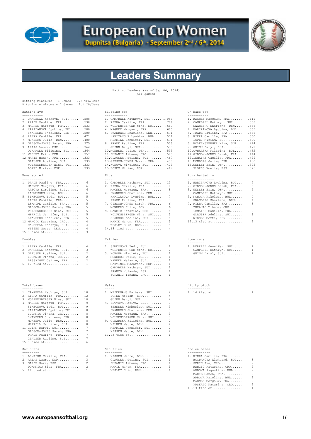

## **European Cup Women**

Dupnitsa (Bulgaria) - September 2<sup>nd</sup> / 6<sup>th</sup>, 2014



## **Leaders Summary**

Batting Leaders (as of Sep 04, 2014) (All games)

| Hitting minimums - 1 Games<br>Pitching minimums - 1 Games                                                                                                                                                                                                                                                                                                                                                                                                                    | 2.5 TPA/Game<br>2.1 IP/Game                                                          |                                                                                                                                                                                                                                                                                                                                                                                                                                                                                |                                                                            |                                                                                                                                                                                                                                                                                                                                                                                                                                                                    |                                                                       |
|------------------------------------------------------------------------------------------------------------------------------------------------------------------------------------------------------------------------------------------------------------------------------------------------------------------------------------------------------------------------------------------------------------------------------------------------------------------------------|--------------------------------------------------------------------------------------|--------------------------------------------------------------------------------------------------------------------------------------------------------------------------------------------------------------------------------------------------------------------------------------------------------------------------------------------------------------------------------------------------------------------------------------------------------------------------------|----------------------------------------------------------------------------|--------------------------------------------------------------------------------------------------------------------------------------------------------------------------------------------------------------------------------------------------------------------------------------------------------------------------------------------------------------------------------------------------------------------------------------------------------------------|-----------------------------------------------------------------------|
| Batting avg<br>-----------                                                                                                                                                                                                                                                                                                                                                                                                                                                   |                                                                                      | Slugging pct<br>------------                                                                                                                                                                                                                                                                                                                                                                                                                                                   |                                                                            | On base pct<br>-----------                                                                                                                                                                                                                                                                                                                                                                                                                                         |                                                                       |
| 1. CAMPBELL Kathryn, SUI . 588<br>2. PRADE Pauline, FRA .538<br>3. MAGNEE Margaux, FRA .533<br>4. HARIZANOVA Lyubima, BUL .500<br>SWANBERG Sharlene, DEN .500<br>6. RIERA Camille, FRA . 471<br>7. MONBERG Julie, DEN . 400<br>8. GIBSON-JONES Sarah, FRA .375<br>9. ARIAS Laura, ESP .364<br>OVNARSKA Filipina, BUL .364<br>11. WESLEY Erin, DEN . 357<br>12. MARIE Manon, FRA . 333<br>GLAUSER Adeline, SUI .333<br>WOLFENSBERGER Nina, SUI .333<br>LOPEZ Miriam, ESP .333 |                                                                                      | 1. CAMPBELL Kathryn, SUI 1.059<br>2. RIERA Camille, FRA .706<br>3. WOLFENSBERGER Nina, SUI . 667<br>4. MAGNEE Margaux, FRA . 600<br>5. SWANBERG Sharlene, DEN<br>HARIZANOVA Lyubima, BUL .571<br>MERRILL Jennifer, SUI . 571<br>8. PRADE Pauline, FRA .538<br>GUINN Daryl, SUI<br>10. MONBERG Julie, DEN . 533<br>11.ZUPANIC Tihana, CRO .500<br>12. GLAUSER Adeline, SUI . 467<br>13.GIBSON-JONES Sarah, FRA<br>14. KONOVA Nikoleta, BUL . 429<br>15. LOPEZ Miriam, ESP . 417 | .571<br>.538<br>.438                                                       | 1. MAGNEE Margaux, FRA . 611<br>2. CAMPBELL Kathryn, SUI .588<br>SWANBERG Sharlene, DEN .588<br>4. HARIZANOVA Lyubima, BUL .563<br>5. PRADE Pauline, FRA<br>6. RIERA Camille, FRA .500<br>LOPEZ Miriam, ESP .500<br>8. WOLFENSBERGER Nina, SUI . 474<br>9. GUINN Daryl, SUI<br>10. OVNARSKA Filipina, BUL<br>11.GIBSON-JONES Sarah, FRA . 444<br>12. LEMAIRE Camille, FRA . 429<br>13. MONBERG Julie, DEN<br>14. WESLEY Erin, DEN . 375<br>FLORES Noelia, ESP .375 | .538<br>.471<br>.462<br>.400                                          |
| Runs scored<br>-----------                                                                                                                                                                                                                                                                                                                                                                                                                                                   |                                                                                      | Hits                                                                                                                                                                                                                                                                                                                                                                                                                                                                           |                                                                            | Runs batted in<br>--------------                                                                                                                                                                                                                                                                                                                                                                                                                                   |                                                                       |
| 1. PRADE Pauline, FRA<br>MAGNEE Margaux, FRA<br>ARBOVA Karoline, BUL<br>RASMUSSEN Nana, DEN<br>5. SIMEONOVA Tedi, BUL<br>RIERA Camille, FRA<br>LEMAIRE Camille, FRA<br>GIBSON-JONES Sarah, FRA<br>WOLFENSBERGER Nina, SUI<br>MERRILL Jennifer, SUI<br>SWANBERG Sharlene, DEN<br>12. MANCIC Katarina, CRO<br>CAMPBELL Kathryn, SUI<br>NISSEN Mette, DEN<br>$15.3$ tied at                                                                                                     | 6<br>6<br>6<br>6<br>5<br>5<br>5<br>5<br>5<br>5<br>5<br>4<br>4<br>$\overline{4}$<br>3 | 1. CAMPBELL Kathryn, SUI<br>2. RIERA Camille, FRA<br>MAGNEE Margaux, FRA<br>4. SWANBERG Sharlene, DEN<br>HARIZANOVA Lyubima, BUL<br>PRADE Pauline, FRA<br>7. GIBSON-JONES Sarah, FRA<br>MONBERG Julie, DEN<br>9. MANCIC Katarina, CRO<br>WOLFENSBERGER Nina, SUI<br>GLAUSER Adeline, SUI<br>MARIE Manon, FRA<br>WESLEY Erin, DEN<br>$14.13$ tied at                                                                                                                            | 10<br>8<br>8<br>7<br>7<br>7<br>-6<br>6<br>5<br>5<br>5<br>5<br>5<br>4       | 1. HARIZANOVA Lyubima, BUL<br>2. GIBSON-JONES Sarah, FRA<br>3. WESLEY Erin, DEN<br>CAMPBELL Kathryn, SUI<br>5. KONOVA Nikoleta, BUL<br>SWANBERG Sharlene, DEN<br>7. RIERA Camille, FRA<br>ZUPANIC Tihana, CRO<br>LEMAIRE Camille, FRA<br>GLAUSER Adeline, SUI<br>NISSEN Mette, DEN<br>$12.13$ tied at                                                                                                                                                              | 7<br>6<br>5<br>5<br>4<br>4<br>3<br>3<br>3<br>3<br>3<br>$\overline{2}$ |
| Doubles                                                                                                                                                                                                                                                                                                                                                                                                                                                                      |                                                                                      | Triples                                                                                                                                                                                                                                                                                                                                                                                                                                                                        |                                                                            | Home runs                                                                                                                                                                                                                                                                                                                                                                                                                                                          |                                                                       |
| -------<br>1. RIERA Camille, FRA<br>2. CAMPBELL Kathryn, SUI<br>3. GLAUSER Adeline, SUI<br>ZUPANIC Tihana, CRO<br>LASSAIGNE Celine, FRA<br>6. 17 tied at                                                                                                                                                                                                                                                                                                                     | 4<br>3<br>2<br>2<br>2<br>1                                                           | -------<br>1. SIMEONOVA Tedi, BUL<br>WOLFENSBERGER Nina, SUI<br>3. KONOVA Nikoleta, BUL<br>MONBERG Julie, DEN<br>WANNER Melanie, SUI<br>MARTINEZ Macarena, ESP<br>CAMPBELL Kathryn, SUI<br>FRANCO Yolanda, ESP<br>ZUPANIC Tihana, CRO                                                                                                                                                                                                                                          | 2<br>2<br>1<br>$\mathbf{1}$<br>1<br>1<br>1<br>1<br>1                       | ---------<br>1. MERRILL Jennifer, SUI<br>CAMPBELL Kathryn, SUI<br>GUINN Daryl, SUI                                                                                                                                                                                                                                                                                                                                                                                 | 1<br>1<br>1                                                           |
| Total bases<br>-----------                                                                                                                                                                                                                                                                                                                                                                                                                                                   |                                                                                      | Walks<br>$- - - - - -$                                                                                                                                                                                                                                                                                                                                                                                                                                                         |                                                                            | Hit by pitch<br>------------                                                                                                                                                                                                                                                                                                                                                                                                                                       |                                                                       |
| 1. CAMPBELL Kathryn, SUI<br>2. RIERA Camille, FRA<br>3. WOLFENSBERGER Nina, SUI<br>4. MAGNEE Margaux, FRA<br>SIMEONOVA Tedi, BUL<br>6. HARIZANOVA Lyubima, BUL<br>ZUPANIC Tihana, CRO<br>SWANBERG Sharlene, DEN<br>MONBERG Julie, DEN<br>MERRILL Jennifer, SUI<br>11. GUINN Daryl, SUI<br>GIBSON-JONES Sarah, FRA<br>PRADE Pauline, FRA<br>GLAUSER Adeline, SUI<br>$15.3$ tied at                                                                                            | 18<br>12<br>10<br>9<br>9<br>8<br>8<br>8<br>8<br>8<br>7<br>7<br>7<br>7<br>6           | 1. MEIERHANS Barbara, SUI<br>LOPEZ Miriam, ESP<br>GUINN Daryl, SUI<br>4. FETVOVA Mariya, BUL<br>ZEHNDER Kimberley, SUI<br>SWANBERG Sharlene, DEN<br>MAGNEE Margaux, FRA<br>WOLFENSBERGER Nina, SUI<br>9. OVNARSKA Filipina, BUL<br>WILKEN Mette, DEN<br>MERRILL Jennifer, SUI<br>NISSEN Mette, DEN<br>13.23 tied at                                                                                                                                                            | 4<br>4<br>4<br>3<br>3<br>3<br>3<br>3<br>2<br>2<br>2<br>$\mathcal{P}$<br>-1 | 1. 16 tied at                                                                                                                                                                                                                                                                                                                                                                                                                                                      | 1                                                                     |
| Sac bunts<br>---------                                                                                                                                                                                                                                                                                                                                                                                                                                                       |                                                                                      | Sac flies<br>---------                                                                                                                                                                                                                                                                                                                                                                                                                                                         |                                                                            | Stolen bases<br>------------                                                                                                                                                                                                                                                                                                                                                                                                                                       |                                                                       |
| 1. LEMAIRE Camille, FRA<br>2. ARIAS Laura, ESP<br>3. GARDE Sara, ESP<br>DOMANICO Elsa, FRA<br>5. 14 tied at                                                                                                                                                                                                                                                                                                                                                                  | 4<br>3<br>2<br>2<br>$\mathbf{1}$                                                     | 1. NISSEN Mette, DEN<br>GLAUSER Adeline, SUI<br>ZUPANIC Tihana, CRO<br>MARIE Manon, FRA<br>WESLEY Erin, DEN                                                                                                                                                                                                                                                                                                                                                                    | -1.<br>1<br>$\mathbf{1}$<br>1<br>1                                         | 1. RIERA Camille, FRA<br>BOGDANOVA Aleksand, BUL<br>3. SERIC Iva, CRO<br>MANCIC Katarina, CRO<br>ARBOVA Avgustina, BUL<br>MARIE Manon, FRA<br>ARBOVA Karoline, BUL<br>MAGNEE Margaux, FRA<br>PRSKALO Katarina, CRO<br>$10.13$ tied at                                                                                                                                                                                                                              | 3<br>3<br>2<br>2<br>2<br>2<br>2<br>2<br>2<br>$\mathbf{1}$             |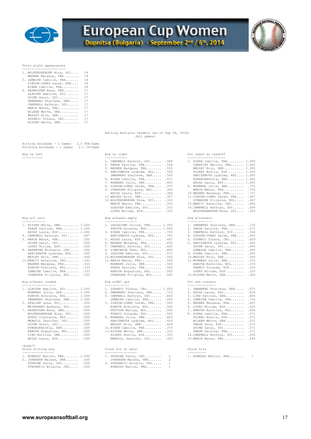

# **European Cup Women**

Dupnitsa (Bulgaria) - September 2<sup>nd</sup> / 6<sup>th</sup>, 2014



Total plate appearances

| 1. WOLFENSBERGER Nina, SUI | 19 |
|----------------------------|----|
| MAGNEE Margaux, FRA        | 19 |
| 3. LEMAIRE Camille, FRA    | 18 |
| GIBSON-JONES Sarah, FRA    | 18 |
| RIERA Camille, FRA         | 18 |
| 6. RASMUSSEN Nana, DEN     | 17 |
| GLAUSER Adeline, SUI       | 17 |
| GUINN Daryl, SUI           | 17 |
| SWANBERG Sharlene, DEN     | 17 |
| CAMPBELL Kathryn, SUI      | 17 |
| MARIE Manon, FRA           | 17 |
| WILKEN Mette, DEN          | 17 |
| WESLEY Erin, DEN           | 17 |
| ZUPANIC Tihana, CRO        | 17 |
| NISSEN Mette, DEN          | 17 |

Hitting minimums - 1 Games 2.5 TPA/Game Pitching minimums - 1 Games 2.1 IP/Game

#### Avg w/2 outs

| 1. NISSEN Mette, DEN 1.000<br>PRADE Pauline, FRA 1.000 | 1. LASSAIGNE Celine, FRA 1.000<br>PASTOR Encarna, ESP 1.000                                                                  | 1. SWANBERG Shar<br>2. PRADE Pauline |
|--------------------------------------------------------|------------------------------------------------------------------------------------------------------------------------------|--------------------------------------|
| ARIAS Laura, ESP 1.000                                 | 3. RIERA Camille, FRA .750                                                                                                   | 3. CAMPBELL Kath                     |
| 4. CAMPBELL Kathryn, SUI . 667                         | HARIZANOVA Lyubima, BUL .750                                                                                                 | 4. GIBSON-JONES                      |
| 5. MARIE Manon, FRA .500                               | 5. ARIAS Laura, ESP . 667                                                                                                    | 5. ZUPANIC Tihan                     |
| GUINN Daryl, SUI .500                                  | 6. MAGNEE Margaux, FRA .636                                                                                                  | 6. HARIZANOVA Ly                     |
| LOPEZ Miriam, ESP .500                                 | 7. CAMPBELL Kathryn, SUI<br>.625                                                                                             | GUINN Daryl,                         |
| 8. HARAMINA Michaela, CRO<br>.400                      | 8. SIMEONOVA Tedi, BUL<br>.600                                                                                               | LEMAIRE Camil                        |
| HARIZANOVA Lyubima, BUL<br>.400                        | 9. GLAUSER Adeline, SUI . 571                                                                                                | 9. RIERA Camille                     |
| WESLEY Erin, DEN<br>.400                               | 10. WOLFENSBERGER Nina, SUI<br>.556                                                                                          | 10.WESLEY Erin.                      |
| 11. MANCIC Katarina, CRO<br>.333                       | 11. MARIE Manon, FRA 500                                                                                                     | 11. MONBERG Julie                    |
| MAGNEE Margaux, FRA .333                               | MONBERG Julie, DEN .500                                                                                                      | ARBOVA Karoli                        |
| KONOVA Nikoleta, BUL .333                              | PRADE Pauline, FRA .500                                                                                                      | FRANCO Yoland                        |
| LEMAIRE Camille, FRA .333                              | ARBOVA Avqustina, BUL .500                                                                                                   | LOPEZ Miriam,                        |
| OVNARSKA Filipina, BUL .333                            | OVNARSKA Filipina, BUL .500                                                                                                  | 15.NISSEN Mette,                     |
| Avg w/bases loaded<br>-------------------              | Avg w/RBI ops<br>-------------                                                                                               | Pct adv runners<br>---------------   |
|                                                        | 1. GLAUSER Adeline, SUI 1.000 1. ZUPANIC Tihana, CRO 1.000 1. SWANBERG Shar<br>$\Omega$ crassmone classics constant $\Omega$ | 2.577727                             |

| I. GUAUUER AUGIING, UUI I.UUU |  |
|-------------------------------|--|
| MONBERG Julie, DEN 1.000      |  |
| KONOVA Nikoleta, BUL 1.000    |  |
| SWANBERG Sharlene, DEN 1.000  |  |
| 5. GEELLER Lena, SUI 500      |  |

<page/><br>Pinch hitting avg<br>------------------

Batting Analysis Leaders (as of Sep 04, 2014) (All games)

| 1. RIERA Camille, FRA 1.000<br>1. CAMPBELL Kathryn, SUI<br>.588<br>2. PRADE Pauline, FRA<br>CARATINI Marion, FRA 1.000<br>.538<br>WESLEY Erin, DEN 1.000<br>3. MAGNEE Margaux, FRA<br>.533<br>FLORES Noelia, ESP 1.000<br>4. HARIZANOVA Lyubima, BUL<br>.500<br>HARIZANOVA Lyubima, BUL 1.000<br>SWANBERG Sharlene, DEN<br>.500<br>6. RIERA Camille, FRA<br>.471<br>KYNDESENSofia, DEN 1.000<br>7. MONBERG Julie, DEN<br>.400<br>ARIAS Laura, ESP 1.000<br>8. MONBERG Julie, DEN<br>8. GIBSON-JONES Sarah, FRA<br>.375<br>.750<br>MARIE Manon, FRA<br>9. OVNARSKA Filipina, BUL<br>.364<br>.750<br>10. MAGNEE Margaux, FRA<br>ARIAS Laura, ESP<br>.364<br>.727<br>11.GIBSON-JONES Sarah, FRA<br>11. WESLEY Erin, DEN<br>.357<br>.667<br>12. WOLFENSBERGER Nina, SUI<br>.333<br>OVNARSKA Filipina, BUL<br>.667<br>MARIE Manon, FRA<br>.333<br>13. MANCIC Katarina, CRO<br>.600<br>GLAUSER Adeline, SUI .333<br>14. CAMPBELL Kathryn, SUI . 500<br>LOPEZ Miriam, ESP<br>.333<br>WOLFENSBERGER Nina, SUI .500<br>Avq $w/2$ outs<br>Avg w/bases empty<br>Avq w/runners<br>------------<br>-----------------<br>-------------<br>1. NISSEN Mette, DEN 1.000<br>1. LASSAIGNE Celine, FRA 1.000<br>1. SWANBERG Sharlene, DEN<br>.714<br>PRADE Pauline, FRA 1.000<br>PASTOR Encarna, ESP 1.000<br>2. PRADE Pauline, FRA<br>.571<br>ARIAS Laura, ESP 1.000<br>3. RIERA Camille, FRA<br>3. CAMPBELL Kathryn, SUI<br>.556<br>.750<br>4. CAMPBELL Kathryn, SUI . 667<br>.455<br>HARIZANOVA Lyubima, BUL<br>.750<br>4. GIBSON-JONES Sarah, FRA<br>.429<br>5. MARIE Manon, FRA . 500<br>5. ARIAS Laura, ESP<br>.667<br>5. ZUPANIC Tihana, CRO<br>GUINN Daryl, SUI .500<br>.400<br>6. MAGNEE Margaux, FRA<br>.636<br>6. HARIZANOVA Lyubima, BUL<br>LOPEZ Miriam, ESP .500<br>.400<br>7. CAMPBELL Kathryn, SUI<br>.625<br>GUINN Daryl, SUI<br>LEMAIRE Camille, FRA<br>.400<br>8. HARAMINA Michaela, CRO<br>.400<br>8. SIMEONOVA Tedi, BUL<br>.600<br>.385<br>HARIZANOVA Lyubima, BUL<br>.400<br>9. GLAUSER Adeline, SUI<br>.571<br>9. RIERA Camille, FRA<br>.400<br>10. WESLEY Erin, DEN<br>.364<br>10. WOLFENSBERGER Nina, SUI<br>.556<br>WESLEY Erin, DEN<br>.333<br>.333<br>11. MANCIC Katarina, CRO<br>11. MARIE Manon, FRA<br>.500<br>11. MONBERG Julie, DEN<br>.333<br>MONBERG Julie, DEN<br>.333<br>MAGNEE Margaux, FRA<br>.500<br>ARBOVA Karoline, BUL<br>KONOVA Nikoleta, BUL .333<br>FRANCO Yolanda, ESP<br>.333<br>PRADE Pauline, FRA<br>.500<br>LEMAIRE Camille, FRA .333<br>ARBOVA Avqustina, BUL<br>LOPEZ Miriam, ESP<br>.333<br>.500<br>OVNARSKA Filipina, BUL .333<br>15.NISSEN Mette, DEN<br>.300<br>OVNARSKA Filipina, BUL<br>.500<br>Avg w/bases loaded<br>Avg w/RBI ops<br>Pct adv runners | Avg vs left      | Avg vs right   | Pct reach as leadoff  |
|------------------------------------------------------------------------------------------------------------------------------------------------------------------------------------------------------------------------------------------------------------------------------------------------------------------------------------------------------------------------------------------------------------------------------------------------------------------------------------------------------------------------------------------------------------------------------------------------------------------------------------------------------------------------------------------------------------------------------------------------------------------------------------------------------------------------------------------------------------------------------------------------------------------------------------------------------------------------------------------------------------------------------------------------------------------------------------------------------------------------------------------------------------------------------------------------------------------------------------------------------------------------------------------------------------------------------------------------------------------------------------------------------------------------------------------------------------------------------------------------------------------------------------------------------------------------------------------------------------------------------------------------------------------------------------------------------------------------------------------------------------------------------------------------------------------------------------------------------------------------------------------------------------------------------------------------------------------------------------------------------------------------------------------------------------------------------------------------------------------------------------------------------------------------------------------------------------------------------------------------------------------------------------------------------------------------------------------------------------------------------------------------------------------------------------------------------------------------------------------------------------------------------------------------------------------------------------------------------------------------------------------------------------------------------------------------|------------------|----------------|-----------------------|
|                                                                                                                                                                                                                                                                                                                                                                                                                                                                                                                                                                                                                                                                                                                                                                                                                                                                                                                                                                                                                                                                                                                                                                                                                                                                                                                                                                                                                                                                                                                                                                                                                                                                                                                                                                                                                                                                                                                                                                                                                                                                                                                                                                                                                                                                                                                                                                                                                                                                                                                                                                                                                                                                                                |                  |                | --------------------- |
|                                                                                                                                                                                                                                                                                                                                                                                                                                                                                                                                                                                                                                                                                                                                                                                                                                                                                                                                                                                                                                                                                                                                                                                                                                                                                                                                                                                                                                                                                                                                                                                                                                                                                                                                                                                                                                                                                                                                                                                                                                                                                                                                                                                                                                                                                                                                                                                                                                                                                                                                                                                                                                                                                                |                  |                |                       |
|                                                                                                                                                                                                                                                                                                                                                                                                                                                                                                                                                                                                                                                                                                                                                                                                                                                                                                                                                                                                                                                                                                                                                                                                                                                                                                                                                                                                                                                                                                                                                                                                                                                                                                                                                                                                                                                                                                                                                                                                                                                                                                                                                                                                                                                                                                                                                                                                                                                                                                                                                                                                                                                                                                |                  |                |                       |
|                                                                                                                                                                                                                                                                                                                                                                                                                                                                                                                                                                                                                                                                                                                                                                                                                                                                                                                                                                                                                                                                                                                                                                                                                                                                                                                                                                                                                                                                                                                                                                                                                                                                                                                                                                                                                                                                                                                                                                                                                                                                                                                                                                                                                                                                                                                                                                                                                                                                                                                                                                                                                                                                                                | ---------------- | -------------- |                       |

| 1. GLAUSER Adeline, SUI 1.000             | 1. ZUPANIC Tihana, CRO 1.000     | 1. SWANBERG Sharlene, DEN .875  |  |
|-------------------------------------------|----------------------------------|---------------------------------|--|
| MONBERG Julie, DEN 1.000                  | 2. SWANBERG Sharlene, DEN . 714  | 2. ARIAS Laura, ESP .818        |  |
| KONOVA Nikoleta, BUL 1.000                | 3. CAMPBELL Kathryn, SUI . 600   | 3. LIND Katrine, DEN .800       |  |
| SWANBERG Sharlene, DEN 1.000              | LEMAIRE Camille, FRA . 600       | 4. LEMAIRE Camille, FRA .714    |  |
| 5. GFELLER Lena, SUI .500                 | 5. GIBSON-JONES Sarah, FRA . 500 | 5. MAGNEE Margaux, FRA 667      |  |
| MEIERHANS Barbara, SUI .500               | KONOVA Nikoleta, BUL .500        | 6. LOPEZ Miriam, ESP .625       |  |
| 7. RASMUSSEN Nana, DEN . 000              | FETVOVA Mariya, BUL .500         | 7. ARBOVA Karoline, BUL .600    |  |
| WOLFENSBERGER Nina, SUI .000              | FRANCO Yolanda, ESP .500         | 8. RIERA Camille, FRA .571      |  |
| BUSSO Constanza, ESP .000                 | 9. MONBERG Julie, DEN . 429      | FLORES Noelia, ESP .571         |  |
| MERRILL Jennifer, SUI .000                | HARIZANOVA Lyubima, BUL . 429    | WILKEN Mette, DEN .571          |  |
| GUINN Daryl, SUI .000                     | WESLEY Erin, DEN . 429           | GARDE Sara, ESP .571            |  |
| KYNDESENSofia, DEN .000                   | 12. RIERA Camille, FRA . 375     | GUINN Daryl, SUI .571           |  |
| ARBOVA Avqustina, BUL .000                | 13.NISSEN Mette, DEN .333        | PRADE Pauline, FRA .571         |  |
| LIND Katrine, DEN .000                    | FLORES Noelia, ESP .333          | 14. CAMPBELL Kathryn, SUI . 556 |  |
| ARIAS Laura, ESP .000                     | MERRILL Jennifer, SUI .333       | 15. MARIE Manon, FRA . 545      |  |
| $\sim$ $\sim$ $\sim$ $\sim$ $\sim$ $\sim$ |                                  |                                 |  |

| Pinch hitting avg                                                                                                      | Pinch hit at bats                                                                                         | Pinch hits               |  |
|------------------------------------------------------------------------------------------------------------------------|-----------------------------------------------------------------------------------------------------------|--------------------------|--|
| 1. BONAUDO Marion, FRA 1.000<br>2. JOHANSEN Malene, DEN .000<br>DUVNJAK Paula, CRO .000<br>STEPANCIC Brigita, CRO .000 | 1. DUVNJAK Paula, CRO 2<br>JOHANSEN Malene, DEN 2<br>3. STEPANCIC Brigita, CRO 1<br>BONAUDO Marion, FRA 1 | 1. BONAUDO Marion, FRA 1 |  |

| 1. RIERA Camille, FRA<br>CARATINI Marion, FRA<br>WESLEY Erin, DEN<br>FLORES Noelia, ESP<br>HARIZANOVA Lyubima, BUL<br>KYNDESENSofia, DEN | 1,000<br>1,000<br>1,000<br>1,000<br>1,000<br>1,000 |
|------------------------------------------------------------------------------------------------------------------------------------------|----------------------------------------------------|
| ARIAS Laura, ESP                                                                                                                         | 1,000                                              |
| 8. MONBERG Julie, DEN                                                                                                                    | .750                                               |
| MARIE Manon, FRA                                                                                                                         | .750                                               |
| 10. MAGNEE Margaux, FRA                                                                                                                  | .727                                               |
| 11.GIBSON-JONES Sarah, FRA                                                                                                               | .667                                               |
| OVNARSKA Filipina, BUL                                                                                                                   | .667                                               |
| 13. MANCIC Katarina, CRO                                                                                                                 | .600                                               |
| 14. CAMPBELL Kathryn, SUI                                                                                                                | .500                                               |
| WOLFENSBERGER Nina, SUI                                                                                                                  | .500                                               |

| 1. SWANBERG Sharlene, DEN  | .714 |
|----------------------------|------|
| 2. PRADE Pauline, FRA      | .571 |
|                            |      |
| 3. CAMPBELL Kathryn, SUI   | .556 |
| 4. GIBSON-JONES Sarah, FRA | .455 |
| 5. ZUPANIC Tihana, CRO     | .429 |
| 6. HARIZANOVA Lyubima, BUL | .400 |
| GUINN Daryl, SUI           | .400 |
| LEMAIRE Camille, FRA       | .400 |
| 9. RIERA Camille, FRA      | .385 |
| 10. WESLEY Erin, DEN       | .364 |
| 11. MONBERG Julie, DEN     | .333 |
| ARBOVA Karoline, BUL       | .333 |
| FRANCO Yolanda, ESP        | .333 |
| LOPEZ Miriam, ESP          | .333 |
| 15.NISSEN Mette, DEN       | .300 |
|                            |      |

| 1. SWANBERG Sharlene, DEN | .875 |
|---------------------------|------|
| 2. ARIAS Laura, ESP       | .818 |
| 3. LIND Katrine, DEN      | .800 |
| 4. LEMAIRE Camille, FRA   | .714 |
| 5. MAGNEE Margaux, FRA    | .667 |
| 6. LOPEZ Miriam, ESP      | .625 |
| 7. ARBOVA Karoline, BUL   | .600 |
| 8. RIERA Camille, FRA     | .571 |
| FLORES Noelia, ESP        | .571 |
| WILKEN Mette, DEN         | .571 |
| GARDE Sara, ESP           | .571 |
| GUINN Daryl, SUI          | .571 |
| PRADE Pauline, FRA        | .571 |
| 14. CAMPBELL Kathryn, SUI | .556 |
| 15. MARIE Manon, FRA      | .545 |
|                           |      |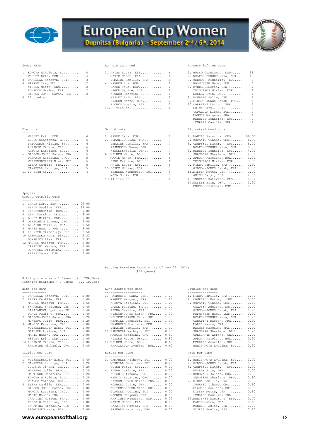

## **European Cup Women** Dupnitsa (Bulgaria) - September 2nd / 6th, 2014



- 
- 
- 
- 

| 1. KONOVA Nikoleta, BUL 4  | 1. ARIAS Laura, ESP 6 |   | 1. BUSSO Constanza, ESP 11     |
|----------------------------|-----------------------|---|--------------------------------|
| WESLEY Erin, DEN 4         | MARIE Manon, FRA 6    |   | 2. WOLFENSBERGER Nina, SUI 10  |
| 3. CAMPBELL Kathryn, SUI 3 | LEMAIRE Camille, FRA  | 6 | 3. ZEHNDER Kimberley, SUI<br>8 |
| 4. WARREN Iva, BUL 2       | 4. WARREN Iva, BUL 2  |   | RASMUSSEN Nana, DEN 8          |
| NISSEN Mette, DEN 2        | GARDE Sara, ESP 2     |   | 5. KYNDESENSofia, DEN<br>7     |
| BONAUDO Marion, FRA 2      | HAGER Nadine, SUI 2   |   | TRIGUEROS Miriam, ESP<br>- 7   |
| GIBSON-JONES Sarah, FRA 2  | ALONSO Beatriz, ESP 2 |   | WESLEY Erin, DEN<br>7          |
| 8. 22 tied at 1            | WESLEY Erin, DEN 2    |   | 8. MONBERG Julie, DEN<br>6     |
|                            | NISSEN Mette, DEN 2   |   | 9. GIBSON-JONES Sarah, FRA 5   |
|                            | FLORES Noelia, ESP 2  |   | 10. CARATINI Marion, FRA 4     |
|                            |                       |   | GUINN Daryl, SUI 4             |

| 1. WESLEY Erin, DEN 6      |                | 1. GARDE Sara, ESP     | 8  |
|----------------------------|----------------|------------------------|----|
| BUSSO Constanza, ESP 6     |                | 2. DOMANICO Elsa, FRA  | 7  |
| TRIGUEROS Miriam, ESP      | $6 -$          | LEMAIRE Camille, FRA   | 7  |
| ZUPANIC Tihana, CRO        | 6 <sup>6</sup> | RASMUSSEN Nana, DEN    | 7  |
| ARBOVA Karoline, BUL       | - 6            | KYNDESENSofia, DEN     | 7  |
| 6. GIBSON-JONES Sarah, FRA | 5 <sub>5</sub> | 6. WILKEN Mette, DEN   | 6  |
| PRSKALO Katarina, CRO      | $5 -$          | MARIE Manon, FRA       | 6  |
| WOLFENSBERGER Nina, SUI    | 5 <sub>5</sub> | LIND Katrine, DEN      | 6  |
| RIERA Camille, FRA         | $5 - 5$        | ARIAS Laura, ESP       | 6  |
| CAMPBELL Kathryn, SUI      | $5 - 1$        | 10.LOPEZ Miriam, ESP   | 5  |
| $11.10$ tied at            | $4\degree$     | ZEHNDER Kimberley, SUI | 5  |
|                            |                | MOYA Sonia, ESP        | .5 |
|                            |                | 13.14 tied at 4        |    |

2-out RBIs Runners advanced Runners left on base

| 1. KONOVA Nikoleta, BUL 4 |                | 1. ARIAS Laura, ESP  | - 6            | 1. BUSSO Constanza, ESP 11 |                |
|---------------------------|----------------|----------------------|----------------|----------------------------|----------------|
| WESLEY Erin, DEN 4        |                | MARIE Manon, FRA     | -6             | 2. WOLFENSBERGER Nina, SUI | 10             |
| 3. CAMPBELL Kathryn, SUI  | -3             | LEMAIRE Camille, FRA | 6              | 3. ZEHNDER Kimberley, SUI  | 8              |
| 4. WARREN Iva, BUL 2      |                | 4. WARREN Iva, BUL   | $\overline{2}$ | RASMUSSEN Nana, DEN        | 8              |
| NISSEN Mette, DEN         | $\overline{2}$ | GARDE Sara, ESP 2    |                | 5. KYNDESENSofia, DEN      | 7              |
| BONAUDO Marion, FRA 2     |                | HAGER Nadine, SUI    | -2             | TRIGUEROS Miriam, ESP      | 7              |
| GIBSON-JONES Sarah, FRA 2 |                | ALONSO Beatriz, ESP  | 2              | WESLEY Erin, DEN           | 7              |
| 8. 22 tied at             |                | WESLEY Erin, DEN     | $\overline{2}$ | 8. MONBERG Julie, DEN      | 6              |
|                           |                | NISSEN Mette, DEN 2  |                | 9. GIBSON-JONES Sarah, FRA | 5              |
|                           |                | FLORES Noelia, ESP 2 |                | 10. CARATINI Marion, FRA   | $4^{\circ}$    |
|                           |                | $11.20$ tied at      | and the state  | GUINN Daryl, SUI           | 4              |
|                           |                |                      |                | TOPALOVA Elena, BUL        | 4              |
|                           |                |                      |                | MAGNEE Margaux, FRA        | $\overline{4}$ |
|                           |                |                      |                | MERRILL Jennifer, SUI      | $\overline{4}$ |
|                           |                |                      |                | LEMAIRE Camille, FRA       | $\overline{4}$ |
| Fly outs                  |                | Ground outs          |                | Fly outs/Ground outs       |                |
|                           |                |                      |                | --------------------       |                |

| 1. WESLEY Erin, DEN        | - 6 | 1. GARDE Sara, ESP       | 8  | 1. MANCIC Katarina, CRO 99.00  |
|----------------------------|-----|--------------------------|----|--------------------------------|
| BUSSO Constanza, ESP       | 6   | 2. DOMANICO Elsa, FRA 7  |    | 2. ZUPANIC Tihana, CRO 6.00    |
| TRIGUEROS Miriam, ESP      | 6   | LEMAIRE Camille, FRA 7   |    | 3. CAMPBELL Kathryn, SUI 5.00  |
| ZUPANIC Tihana, CRO        | -6  | RASMUSSEN Nana, DEN      | 7  | WOLFENSBERGER Nina, SUI 5.00   |
| ARBOVA Karoline, BUL       | -6  | KYNDESENSofia, DEN 7     |    | 5. MERRILL Jennifer, SUI 4.00  |
| 6. GIBSON-JONES Sarah, FRA | - 5 | 6. WILKEN Mette, DEN     | -6 | SWANBERG Sharlene, DEN 4.00    |
| PRSKALO Katarina, CRO      |     | MARIE Manon, FRA         | 6. | 7. ARBOVA Karoline, BUL 3.00   |
| WOLFENSBERGER Nina, SUI 5  |     | LIND Katrine, DEN        | -6 | TRIGUEROS Miriam, ESP 3.00     |
| RIERA Camille, FRA         | -5  | ARIAS Laura, ESP         | 6  | 9. RIERA Camille, FRA 2.50     |
| CAMPBELL Kathryn, SUI      | -5  | 10. LOPEZ Miriam, ESP    |    | GIBSON-JONES Sarah, FRA 2.50   |
| 11.10 tied at              | 4   | ZEHNDER Kimberley, SUI 5 |    | 11.NISSEN Mette, DEN 2.00      |
|                            |     | MOYA Sonia, ESP          |    | GUINN Daryl, SUI 2.00          |
|                            |     | $13.14$ tied at          |    | 13. PRSKALO Katarina, CRO 1.67 |
|                            |     |                          |    | 14. WESLEY Erin, DEN 1.50      |
|                            |     |                          |    | BUSSO Constanza, ESP 1.50      |

Ground outs/Fly outs

<page/>

99.00<br>
3. KYNDESENSOfia, DEN.......... 7.00<br>
4. LIND Katrine, DEN........... 6.00<br>
5. LOPEZ Miriam, ESP.......... 5.00<br>
6. ORESCANIN Lorena, CRO....... 4.00<br>
7. LEMAIRE Camille, FRA......... 3.50<br>
8. MARIE Manon, FRA...... 9. ZEHNDER Kimberley, SUI..... 2.50 10.RASMUSSEN Nana, DEN........ 2.33 DOMANICO Elsa, FRA......... 2.33 12.MAGNEE Margaux, FRA........ 2.00

-------------------- 1. GARDE Sara, ESP............ 99.00

CARATINI Marion, FRA....... 2.00 OVNARSKA Filipina, BUL..... 2.00 ARIAS Laura, ESP........... 2.00

## Batting Per-Game Leaders (as of Sep 04, 2014)

# Hitting minimums - 1 Games 2.5 TPA/Game Pitching minimums - 1 Games 2.1 IP/Game Hits per game Runs scored per game Doubles per game

| KONOVA Nikoleta, BUL    | 0.20 |
|-------------------------|------|
| FRANCO Yolanda, ESP     | 0.20 |
| 8. RIERA Camille, FRA   | 0.00 |
| GIBSON-JONES Sarah, FRA | 0.00 |
| MANCIC Katarina, CRO    | 0.00 |
| MARIE Manon, FRA        | 0.00 |
| CARATINI Marion, FRA    | 0.00 |
| PRSKALO Katarina, CRO   | 0.00 |
| HARAMINA Michaela, CRO  | 0.00 |
| RASMUSSEN Nana, DEN     | 0.00 |
|                         |      |

#### **www.europeansoftball.org** 18

| urro her dame<br>-------------                                | Kuns scored ber dame<br>-------------------- | nnmres her dame<br>----------------- |  |
|---------------------------------------------------------------|----------------------------------------------|--------------------------------------|--|
| 1. CAMPBELL Kathryn, SUI 2.00                                 | 1. RASMUSSEN Nana, DEN 1.20                  | 1. RIERA Camille, FRA 0.80           |  |
| 2. RIERA Camille, FRA 1.60                                    | MAGNEE Margaux, FRA 1.20                     | 2. CAMPBELL Kathryn, SUI 0.60        |  |
| MAGNEE Margaux, FRA 1.60                                      | ARBOVA Karoline, BUL 1.20                    | 3. ZUPANIC Tihana, CRO 0.40          |  |
| 4. SWANBERG Sharlene, DEN 1.40                                | PRADE Pauline, FRA 1.20                      | GLAUSER Adeline, SUI 0.40            |  |
| HARIZANOVA Lyubima, BUL 1.40                                  | 5. RIERA Camille, FRA 1.00                   | 5. GIBSON-JONES Sarah, FRA 0.20      |  |
| PRADE Pauline, FRA 1.40                                       | GIBSON-JONES Sarah, FRA 1.00                 | RASMUSSEN Nana, DEN 0.20             |  |
| 7. GIBSON-JONES Sarah, FRA 1.20                               | WOLFENSBERGER Nina, SUI 1.00                 | WOLFENSBERGER Nina, SUI 0.20         |  |
| MONBERG Julie, DEN 1.20                                       | MERRILL Jennifer, SUI 1.00                   | CARATINI Marion, FRA 0.20            |  |
| 9. MANCIC Katarina, CRO 1.00                                  | SWANBERG Sharlene, DEN 1.00                  | MARIE Manon, FRA 0.20                |  |
| WOLFENSBERGER Nina, SUI 1.00                                  | LEMAIRE Camille, FRA 1.00                    | MAGNEE Margaux, FRA 0.20             |  |
| GLAUSER Adeline, SUI 1.00                                     | 11. CAMPBELL Kathryn, SUI 0.80               | SWANBERG Sharlene, DEN 0.20          |  |
| MARIE Manon, FRA 1.00                                         | MANCIC Katarina, CRO 0.80                    | ORESCANIN Lorena, CRO 0.20           |  |
| WESLEY Erin, DEN 1.00                                         | NISSEN Mette, DEN 0.80                       | ARBOVA Karoline, BUL 0.20            |  |
| 14.ZUPANIC Tihana, CRO 0.80                                   | 14.WILKEN Mette, DEN 0.60                    | MERRILL Jennifer, SUI 0.20           |  |
| HARAMINA Michaela, CRO 0.80                                   | HARIZANOVA Lyubima, BUL 0.60                 | HARIZANOVA Lyubima, BUL 0.20         |  |
| Triples per game<br>----------------                          | Homers per game<br>---------------           | RBIs per game<br>--------------      |  |
| 1. WOLFENSBERGER Nina, SUI 0.40 1. CAMPBELL Kathryn, SUI 0.20 |                                              | 1. HARIZANOVA Lyubima, BUL 1.40      |  |

| 1. WOLFENSBERGER Nina, SUI 0.40 |  | 1. CAMPBELL Kathryn, SUI 0.20 | 1. HARIZANOVA Lyubima, BUL 1.40 |  |
|---------------------------------|--|-------------------------------|---------------------------------|--|
| 2. CAMPBELL Kathryn, SUI 0.20   |  | MERRILL Jennifer, SUI 0.20    | 2. GIBSON-JONES Sarah, FRA 1.20 |  |
| ZUPANIC Tihana, CRO 0.20        |  | GUINN Daryl, SUI 0.20         | 3. CAMPBELL Kathryn, SUI 1.00   |  |
| MONBERG Julie, DEN 0.20         |  | 4. RIERA Camille, FRA 0.00    | WESLEY Erin, DEN 1.00           |  |
| MARTINEZ Macarena, ESP 0.20     |  | ZUPANIC Tihana, CRO 0.00      | 5. KONOVA Nikoleta, BUL 0.80    |  |
| KONOVA Nikoleta, BUL 0.20       |  | MANCIC Katarina, CRO 0.00     | SWANBERG Sharlene, DEN 0.80     |  |
| FRANCO Yolanda, ESP 0.20        |  | GIBSON-JONES Sarah, FRA 0.00  | 7. RIERA Camille, FRA 0.60      |  |
| 8. RIERA Camille, FRA 0.00      |  | MONBERG Julie, DEN 0.00       | ZUPANIC Tihana, CRO 0.60        |  |
| GIBSON-JONES Sarah, FRA 0.00    |  | WOLFENSBERGER Nina, SUI 0.00  | GLAUSER Adeline, SUI 0.60       |  |
| MANCIC Katarina, CRO 0.00       |  | GLAUSER Adeline, SUI 0.00     | NISSEN Mette, DEN 0.60          |  |
| MARIE Manon, FRA 0.00           |  | MAGNEE Margaux, FRA 0.00      | LEMAIRE Camille, FRA 0.60       |  |
| CARATINI Marion, FRA 0.00       |  | MARTINEZ Macarena, ESP 0.00   | 12. MARTINEZ Macarena, ESP 0.40 |  |
| PRSKALO Katarina, CRO 0.00      |  | MARIE Manon, FRA 0.00         | MARIE Manon, FRA 0.40           |  |
| HARAMINA Michaela, CRO 0.00     |  | CARATINI Marion, FRA 0.00     | MONBERG Julie, DEN 0.40         |  |
| RASMUSSEN Nana, DEN 0.00        |  | PRSKALO Katarina, CRO 0.00    | FLORES Noelia, ESP 0.40         |  |
|                                 |  |                               |                                 |  |

| 2. RIERA Camille, FRA 1.60<br>MAGNEE Margaux, FRA 1.20<br>ARBOVA Karoline, BUL 1.20<br>MAGNEE Margaux, FRA 1.60<br>PRADE Pauline, FRA 1.20<br>HARIZANOVA Lyubima, BUL 1.40<br>5. RIERA Camille, FRA 1.00<br>PRADE Pauline, FRA 1.40<br>GIBSON-JONES Sarah, FRA 1.00<br>WOLFENSBERGER Nina, SUI 1.00<br>MONBERG Julie, DEN 1.20<br>MERRILL Jennifer, SUI 1.00<br>SWANBERG Sharlene, DEN 1.00<br>WOLFENSBERGER Nina, SUI 1.00<br>LEMAIRE Camille, FRA 1.00<br>GLAUSER Adeline, SUI 1.00<br>11. CAMPBELL Kathryn, SUI 0.80<br>MARIE Manon, FRA 1.00<br>MANCIC Katarina, CRO 0.80<br>WESLEY Erin, DEN 1.00<br>NISSEN Mette, DEN 0.80<br>14.WILKEN Mette, DEN 0.60<br>HARAMINA Michaela, CRO 0.80<br>HARIZANOVA Lyubima, BUL 0.60<br>RBIs per game<br>Homers per game<br>---------------<br>-------------<br>1. CAMPBELL Kathryn, SUI 0.20<br>MERRILL Jennifer, SUI 0.20<br>ZUPANIC Tihana, CRO 0.20<br>GUINN Daryl, SUI 0.20<br>MONBERG Julie, DEN<br>4. RIERA Camille, FRA 0.00<br>0.20 | 0.60 | 1. RIERA Camille, FRA 0.80      |  | 1. RASMUSSEN Nana, DEN 1.20 |      | 1. CAMPBELL Kathryn, SUI 2.00 |  |
|--------------------------------------------------------------------------------------------------------------------------------------------------------------------------------------------------------------------------------------------------------------------------------------------------------------------------------------------------------------------------------------------------------------------------------------------------------------------------------------------------------------------------------------------------------------------------------------------------------------------------------------------------------------------------------------------------------------------------------------------------------------------------------------------------------------------------------------------------------------------------------------------------------------------------------------------------------------------------------------|------|---------------------------------|--|-----------------------------|------|-------------------------------|--|
| 4. SWANBERG Sharlene, DEN 1.40<br>7. GIBSON-JONES Sarah, FRA 1.20<br>9. MANCIC Katarina, CRO 1.00<br>14.ZUPANIC Tihana, CRO 0.80<br>Triples per game<br>-----------------<br>1. WOLFENSBERGER Nina, SUI 0.40<br>2. CAMPBELL Kathryn, SUI 0.20                                                                                                                                                                                                                                                                                                                                                                                                                                                                                                                                                                                                                                                                                                                                        |      | 2. CAMPBELL Kathryn, SUI        |  |                             |      |                               |  |
|                                                                                                                                                                                                                                                                                                                                                                                                                                                                                                                                                                                                                                                                                                                                                                                                                                                                                                                                                                                      | 0.40 | 3. ZUPANIC Tihana, CRO          |  |                             |      |                               |  |
|                                                                                                                                                                                                                                                                                                                                                                                                                                                                                                                                                                                                                                                                                                                                                                                                                                                                                                                                                                                      | 0.40 | GLAUSER Adeline, SUI            |  |                             |      |                               |  |
|                                                                                                                                                                                                                                                                                                                                                                                                                                                                                                                                                                                                                                                                                                                                                                                                                                                                                                                                                                                      | 0.20 | 5. GIBSON-JONES Sarah, FRA      |  |                             |      |                               |  |
|                                                                                                                                                                                                                                                                                                                                                                                                                                                                                                                                                                                                                                                                                                                                                                                                                                                                                                                                                                                      | 0.20 | RASMUSSEN Nana, DEN             |  |                             |      |                               |  |
|                                                                                                                                                                                                                                                                                                                                                                                                                                                                                                                                                                                                                                                                                                                                                                                                                                                                                                                                                                                      | 0.20 | WOLFENSBERGER Nina, SUI         |  |                             |      |                               |  |
|                                                                                                                                                                                                                                                                                                                                                                                                                                                                                                                                                                                                                                                                                                                                                                                                                                                                                                                                                                                      | 0.20 | CARATINI Marion, FRA            |  |                             |      |                               |  |
|                                                                                                                                                                                                                                                                                                                                                                                                                                                                                                                                                                                                                                                                                                                                                                                                                                                                                                                                                                                      | 0.20 | MARIE Manon, FRA                |  |                             |      |                               |  |
|                                                                                                                                                                                                                                                                                                                                                                                                                                                                                                                                                                                                                                                                                                                                                                                                                                                                                                                                                                                      |      | MAGNEE Margaux, FRA 0.20        |  |                             |      |                               |  |
|                                                                                                                                                                                                                                                                                                                                                                                                                                                                                                                                                                                                                                                                                                                                                                                                                                                                                                                                                                                      |      | SWANBERG Sharlene, DEN 0.20     |  |                             |      |                               |  |
|                                                                                                                                                                                                                                                                                                                                                                                                                                                                                                                                                                                                                                                                                                                                                                                                                                                                                                                                                                                      |      | ORESCANIN Lorena, CRO 0.20      |  |                             |      |                               |  |
|                                                                                                                                                                                                                                                                                                                                                                                                                                                                                                                                                                                                                                                                                                                                                                                                                                                                                                                                                                                      |      | ARBOVA Karoline, BUL 0.20       |  |                             |      |                               |  |
|                                                                                                                                                                                                                                                                                                                                                                                                                                                                                                                                                                                                                                                                                                                                                                                                                                                                                                                                                                                      |      | MERRILL Jennifer, SUI 0.20      |  |                             |      |                               |  |
|                                                                                                                                                                                                                                                                                                                                                                                                                                                                                                                                                                                                                                                                                                                                                                                                                                                                                                                                                                                      |      | HARIZANOVA Lyubima, BUL 0.20    |  |                             |      |                               |  |
|                                                                                                                                                                                                                                                                                                                                                                                                                                                                                                                                                                                                                                                                                                                                                                                                                                                                                                                                                                                      |      |                                 |  |                             |      |                               |  |
|                                                                                                                                                                                                                                                                                                                                                                                                                                                                                                                                                                                                                                                                                                                                                                                                                                                                                                                                                                                      |      |                                 |  |                             |      |                               |  |
|                                                                                                                                                                                                                                                                                                                                                                                                                                                                                                                                                                                                                                                                                                                                                                                                                                                                                                                                                                                      |      | 1. HARIZANOVA Lyubima, BUL 1.40 |  |                             |      |                               |  |
|                                                                                                                                                                                                                                                                                                                                                                                                                                                                                                                                                                                                                                                                                                                                                                                                                                                                                                                                                                                      | 1.20 | 2. GIBSON-JONES Sarah, FRA      |  |                             |      |                               |  |
|                                                                                                                                                                                                                                                                                                                                                                                                                                                                                                                                                                                                                                                                                                                                                                                                                                                                                                                                                                                      |      | 3. CAMPBELL Kathryn, SUI 1.00   |  |                             |      |                               |  |
|                                                                                                                                                                                                                                                                                                                                                                                                                                                                                                                                                                                                                                                                                                                                                                                                                                                                                                                                                                                      | 1.00 | WESLEY Erin, DEN                |  |                             |      |                               |  |
|                                                                                                                                                                                                                                                                                                                                                                                                                                                                                                                                                                                                                                                                                                                                                                                                                                                                                                                                                                                      | 0.80 | 5. KONOVA Nikoleta, BUL         |  | ZUPANIC Tihana, CRO 0.00    | 0.20 | MARTINEZ Macarena, ESP        |  |
| KONOVA Nikoleta, BUL 0.20<br>MANCIC Katarina, CRO 0.00                                                                                                                                                                                                                                                                                                                                                                                                                                                                                                                                                                                                                                                                                                                                                                                                                                                                                                                               |      | SWANBERG Sharlene, DEN 0.80     |  |                             |      |                               |  |
| FRANCO Yolanda, ESP 0.20<br>GIBSON-JONES Sarah, FRA 0.00                                                                                                                                                                                                                                                                                                                                                                                                                                                                                                                                                                                                                                                                                                                                                                                                                                                                                                                             | 0.60 | 7. RIERA Camille, FRA           |  |                             |      |                               |  |
| 8. RIERA Camille, FRA 0.00                                                                                                                                                                                                                                                                                                                                                                                                                                                                                                                                                                                                                                                                                                                                                                                                                                                                                                                                                           |      | ZUPANIC Tihana, CRO 0.60        |  | MONBERG Julie, DEN 0.00     |      |                               |  |

| GLAUSER Adeline, SUI 0.6       |  |
|--------------------------------|--|
| NISSEN Mette, DEN 0.6          |  |
| LEMAIRE Camille, FRA 0.6       |  |
| 12. MARTINEZ Macarena, ESP 0.4 |  |
| MARIE Manon, FRA 0.4           |  |
| MONBERG Julie, DEN 0.4         |  |
| FLORES Noelia, ESP 0.4         |  |

(All games)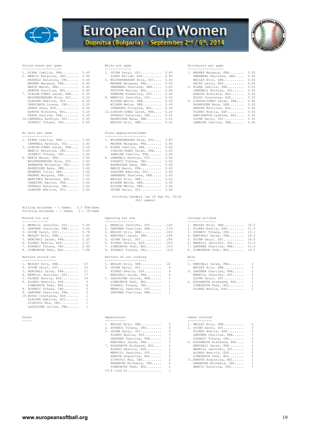

## **European Cup Women** Dupnitsa (Bulgaria) - September 2nd / 6th, 2014



| 1. RIERA Camille, FRA 0.60      | 1. GUINN Daryl, SUI 0.80        | 1. MAGNEE Margaux, FRA 0.00     |  |
|---------------------------------|---------------------------------|---------------------------------|--|
| 2. MANCIC Katarina, CRO 0.40    | LOPEZ Miriam, ESP 0.80          | SWANBERG Sharlene, DEN 0.00     |  |
| PRSKALO Katarina, CRO 0.40      | 3. WOLFENSBERGER Nina, SUI 0.60 | WESLEY Erin, DEN 0.00           |  |
| MAGNEE Margaux, FRA 0.40        | MAGNEE Margaux, FRA 0.60        | ARIAS Laura, ESP 0.00           |  |
| MARIE Manon, FRA 0.40           | SWANBERG Sharlene, DEN 0.60     | 5. RIERA Camille, FRA 0.20      |  |
| ARBOVA Karoline, BUL 0.40       | FETVOVA Mariya, BUL 0.60        | CAMPBELL Kathryn, SUI 0.20      |  |
| 7. GIBSON-JONES Sarah, FRA 0.20 | ZEHNDER Kimberley, SUI 0.60     | KONOVA Nikoleta, BUL 0.20       |  |
| WOLFENSBERGER Nina, SUI 0.20    | 8. MERRILL Jennifer, SUI 0.40   | BUSSO Constanza, ESP 0.20       |  |
| GLAUSER Adeline, SUI 0.20       | NISSEN Mette, DEN 0.40          | 9. GIBSON-JONES Sarah, FRA 0.40 |  |
| ORESCANIN Lorena, CRO 0.20      | WILKEN Mette, DEN 0.40          | RASMUSSEN Nana, DEN 0.40        |  |
| GARDE Sara, ESP 0.20            | OVNARSKA Filipina, BUL 0.40     | ARBOVA Karoline, BUL 0.40       |  |
| KONOVA Nikoleta, BUL 0.20       | 12.GIBSON-JONES Sarah, FRA 0.20 | FLORES Noelia, ESP 0.40         |  |
| PRADE Pauline, FRA 0.20         | PRSKALO Katarina, CRO 0.20      | HARIZANOVA Lyubima, BUL 0.40    |  |
| 14. CAMPBELL Kathryn, SUI 0.00  | RASMUSSEN Nana, DEN 0.20        | GUINN Daryl, SUI 0.40           |  |
| ZUPANIC Tihana, CRO 0.00        | WESLEY Erin, DEN 0.20           | LEMAIRE Camille, FRA 0.40       |  |

| Hitting minimums - 1 Games  |  | 2.5 TPA/Game |
|-----------------------------|--|--------------|
| Pitching minimums - 1 Games |  | 2.1 IP/Game  |

| 1. MERRILL Jennifer, SUI<br>2. GARTNER Charline, FRA<br>3. GUINN Daryl, SUI<br>4. WESLEY Erin, DEN<br>5. BENCHALI Sarah, FRA<br>6. FLORES Noelia, ESP<br>7. ZUPANIC Tihana, CRO | 0.00<br>0.64<br>0.78<br>1.40<br>2.25<br>2.67<br>2.90 |
|---------------------------------------------------------------------------------------------------------------------------------------------------------------------------------|------------------------------------------------------|
| 8. SIMEONOVA Tedi, BUL 7.88                                                                                                                                                     |                                                      |

| 1. WESLEY Erin, DEN      | 67           |
|--------------------------|--------------|
| 2. GUINN Daryl, SUI      | 22           |
| 3. BENCHALI Sarah, FRA   | 21           |
| 4. MERRILL Jennifer, SUI | 17           |
| 5. FLORES Noelia, ESP    | 14           |
| 6. ALONSO Beatriz, ESP   | 6            |
| SIMEONOVA Tedi, BUL      | 6            |
| 8. ZUPANIC Tihana, CRO   | -5           |
| 9. GARTNER Charline, FRA | 3            |
| 10. BUSSO Constanza, ESP | 1            |
| GLAUSER Adeline, SUI     | 1            |
| ZIVKOVIC Mia, CRO        | 1            |
| LASSAIGNE Celine, FRA    | $\mathbf{1}$ |

#### Saves

|          |  | WIIIN PHY ME |
|----------|--|--------------|
| OVNARSKA |  |              |

## At bats per game Plate appearances/game

| 1. RIERA Camille, FRA<br>CAMPBELL Kathryn, SUI                                                                                               | 3.40<br>3.40                                 | 1. WOLFENSBERGER Nina, SUI<br>MAGNEE Margaux, FRA                                                                                            | 3.80<br>3.80                                 |
|----------------------------------------------------------------------------------------------------------------------------------------------|----------------------------------------------|----------------------------------------------------------------------------------------------------------------------------------------------|----------------------------------------------|
| 3. GIBSON-JONES Sarah, FRA<br>MANCIC Katarina, CRO<br>ZUPANIC Tihana, CRO                                                                    | 3.20<br>3.20<br>3.20                         | 3. RIERA Camille, FRA<br>GIBSON-JONES Sarah, FRA<br>LEMAIRE Camille, FRA                                                                     | 3.60<br>3.60<br>3.60                         |
| 6. MARIE Manon, FRA<br>WOLFENSBERGER Nina, SUI<br>HARAMINA Michaela, CRO<br>RASMUSSEN Nana, DEN<br>MONBERG Julie, DEN<br>MAGNEE Margaux, FRA | 3,00<br>3.00<br>3.00<br>3.00<br>3.00<br>3.00 | 6. CAMPBELL Kathryn, SUI<br>ZUPANIC Tihana, CRO<br>RASMUSSEN Nana, DEN<br>MARIE Manon, FRA<br>GLAUSER Adeline, SUI<br>SWANBERG Sharlene, DEN | 3.40<br>3.40<br>3.40<br>3.40<br>3.40<br>3.40 |
| MARTINEZ Macarena, ESP<br>CARATINI Marion, FRA<br>PRSKALO Katarina, CRO<br>GLAUSER Adeline, SUI                                              | 3.00<br>3.00<br>3.00<br>3.00                 | WESLEY Erin, DEN<br>WILKEN Mette, DEN<br>NISSEN Mette, DEN<br>GUINN Daryl, SUI                                                               | 3.40<br>3.40<br>3.40<br>3.40                 |

 Pitching Leaders (as of Sep 04, 2014) (All games)

## -------------- ---------------- --------------- 1. MERRILL Jennifer, SUI...... 0.00 1. MERRILL Jennifer, SUI...... .140 1. WESLEY Erin, DEN........... 30.0 2. GARTNER Charline, FRA...... 0.64 2. GARTNER Charline, FRA...... .179 2. FLORES Noelia, ESP......... 21.0 3. GUINN Daryl, SUI........... 0.78 3. WESLEY Erin, DEN............ 183 3. ZUPANIC Tihana, CRO........ 19.1<br>4. WESLEY Erin, DEN........... 1.40 4. BENCHALI Sarah, FRA........ 188 4. BENCHALI Sarah, FRA........ 18.2 5. BENCHALI Sarah, FRA........ 2.25 5. GUINN Daryl, SUI........... .206 5. GUINN Daryl, SUI........... 18.0<br>7. ZUPANIC Tihana, CRO........ 2.90 6. FLORES Noelia, ESP......... .293 6. MERRILL Jennifer, SUI...... 12.0<br>7. ZUP

#### Batters struck out extending the Batters SO out looking

| 1. WESLEY Erin, DEN 67      | 1. WESLEY Erin, DEN 22     | 1. BENCHALI Sarah, FRA 3     |  |
|-----------------------------|----------------------------|------------------------------|--|
| 2. GUINN Daryl, SUI 22      | 2. GUINN Daryl, SUI 4      | WESLEY Erin, DEN 3           |  |
| 3. BENCHALI Sarah, FRA 21   | FLORES Noelia, ESP 4       | 3. GARTNER Charline, FRA 2   |  |
| 4. MERRILL Jennifer, SUI 17 | BENCHALI Sarah, FRA 4      | MERRILL Jennifer, SUI 2      |  |
| 5. FLORES Noelia, ESP 14    | 5. LASSAIGNE Celine, FRA 1 | GUINN Daryl, SUI 2           |  |
| 6. ALONSO Beatriz, ESP 6    | SIMEONOVA Tedi, BUL 1      | 6. BOGDANOVA Aleksand, BUL 1 |  |
| SIMEONOVA Tedi, BUL 6       | ZUPANIC Tihana, CRO 1      | SIMEONOVA Tedi, BUL 1        |  |
| 8. ZUPANIC Tihana, CRO 5    | MERRILL Jennifer, SUI 1    | FLORES Noelia, ESP 1         |  |
| 9. GARTNER Charline, FRA 3  | GARTNER Charline, FRA 1    |                              |  |

| 1. WESLEY Erin, DEN 5        |        | 1. WESLEY Erin, DEN 5                                                                                                                                                                                                                                                                                                                                       |  |
|------------------------------|--------|-------------------------------------------------------------------------------------------------------------------------------------------------------------------------------------------------------------------------------------------------------------------------------------------------------------------------------------------------------------|--|
| 2. ZUPANIC Tihana, CRO 4     |        | 2. GUINN Daryl, SUI 3                                                                                                                                                                                                                                                                                                                                       |  |
| 3. GUINN Daryl, SUI 3        |        | FLORES Noelia, ESP 3                                                                                                                                                                                                                                                                                                                                        |  |
| FLORES Noelia, ESP 3         |        | GARTNER Charline, FRA 3                                                                                                                                                                                                                                                                                                                                     |  |
| GARTNER Charline, FRA 3      |        | ZUPANIC Tihana, CRO 3                                                                                                                                                                                                                                                                                                                                       |  |
| BENCHALI Sarah, FRA 3        |        | 6. BOGDANOVA Aleksand, BUL 2                                                                                                                                                                                                                                                                                                                                |  |
| 7. BOGDANOVA Aleksand, BUL 2 |        | BENCHALI Sarah, FRA 2                                                                                                                                                                                                                                                                                                                                       |  |
| ALONSO Beatriz, ESP 2        |        | MERRILL Jennifer, SUI 2                                                                                                                                                                                                                                                                                                                                     |  |
| MERRILL Jennifer, SUI 2      |        | ALONSO Beatriz, ESP 2                                                                                                                                                                                                                                                                                                                                       |  |
| ARBOVA Avqustina, BUL 2      |        | SIMEONOVA Tedi, BUL 2                                                                                                                                                                                                                                                                                                                                       |  |
|                              | $\sim$ | $\mathcal{A}$ $\mathcal{A}$ $\mathcal{A}$ $\mathcal{A}$ $\mathcal{A}$ $\mathcal{A}$ $\mathcal{A}$ $\mathcal{A}$ $\mathcal{A}$ $\mathcal{A}$ $\mathcal{A}$ $\mathcal{A}$ $\mathcal{A}$ $\mathcal{A}$ $\mathcal{A}$ $\mathcal{A}$ $\mathcal{A}$ $\mathcal{A}$ $\mathcal{A}$ $\mathcal{A}$ $\mathcal{A}$ $\mathcal{A}$ $\mathcal{A}$ $\mathcal{A}$ $\mathcal{$ |  |

## ZIVKOVIC Mia, CRO.......... 2 11.ARBOVA Avgustina, BUL...... 1 HARAMINA Michaela, CRO..... 2 HARAMINA Michaela, CRO..... 1 SIMEONOVA Tedi, BUL........ 2 MANCIC Katarina, CRO....... 1 14.4 tied at.................. 1

#### Stolen bases per game Walks per game Strikeouts per game

| 1. RIERA Camille, FRA 0.60      | 1. GUINN Daryl, SUI 0.80        | 1. MAGNEE Margaux, FRA 0.00     |  |
|---------------------------------|---------------------------------|---------------------------------|--|
| 2. MANCIC Katarina, CRO 0.40    | LOPEZ Miriam, ESP 0.80          | SWANBERG Sharlene, DEN 0.00     |  |
| PRSKALO Katarina, CRO 0.40      | 3. WOLFENSBERGER Nina, SUI 0.60 | WESLEY Erin, DEN 0.00           |  |
| MAGNEE Margaux, FRA 0.40        | MAGNEE Margaux, FRA 0.60        | ARIAS Laura, ESP 0.00           |  |
| MARIE Manon, FRA 0.40           | SWANBERG Sharlene, DEN 0.60     | 5. RIERA Camille, FRA 0.20      |  |
| ARBOVA Karoline, BUL 0.40       | FETVOVA Mariya, BUL 0.60        | CAMPBELL Kathryn, SUI 0.20      |  |
| 7. GIBSON-JONES Sarah, FRA 0.20 | ZEHNDER Kimberley, SUI 0.60     | KONOVA Nikoleta, BUL 0.20       |  |
| WOLFENSBERGER Nina, SUI 0.20    | 8. MERRILL Jennifer, SUI 0.40   | BUSSO Constanza, ESP 0.20       |  |
| GLAUSER Adeline, SUI 0.20       | NISSEN Mette, DEN 0.40          | 9. GIBSON-JONES Sarah, FRA 0.40 |  |
| ORESCANIN Lorena, CRO 0.20      | WILKEN Mette, DEN 0.40          | RASMUSSEN Nana, DEN 0.40        |  |
| GARDE Sara, ESP 0.20            | OVNARSKA Filipina, BUL 0.40     | ARBOVA Karoline, BUL 0.40       |  |
| KONOVA Nikoleta, BUL 0.20       | 12.GIBSON-JONES Sarah, FRA 0.20 | FLORES Noelia, ESP 0.40         |  |
| PRADE Pauline, FRA 0.20         | PRSKALO Katarina, CRO 0.20      | HARIZANOVA Lyubima, BUL 0.40    |  |
| 14. CAMPBELL Kathryn, SUI 0.00  | RASMUSSEN Nana, DEN 0.20        | GUINN Daryl, SUI 0.40           |  |
| ZUPANIC Tihana, CRO 0.00        | WESLEY Erin, DEN 0.20           | LEMATRE Camille, FRA 0.40       |  |

#### Earned run avg Opposing bat avg Innings pitched

| 1. WESLEY Erin, DEN 67                    | 1. WESLEY Erin, DEN 22         | 1. BENCHALI Sarah, FRA 3      |  |
|-------------------------------------------|--------------------------------|-------------------------------|--|
| Batters struck out<br>------------------- | Batters SO out looking         | Wins<br>----                  |  |
| 8. SIMEONOVA Tedi, BUL 7.88               | 8. ZUPANIC Tihana, CRO .318    | 8. SIMEONOVA Tedi, BUL 10.2   |  |
| 7. ZUPANIC Tihana, CRO 2.90               | 7. SIMEONOVA Tedi, BUL 313     | 7. GARTNER Charline, FRA 11.0 |  |
| 6. FLORES Noelia, ESP 2.67                | 6. FLORES Noelia, ESP .293     | 6. MERRILL Jennifer, SUI 12.0 |  |
| 5. BENCHALI Sarah, FRA 2.25               | 5. GUINN Daryl, SUI .206       | 5. GUINN Daryl, SUI 18.0      |  |
| 4. WESLEY Erin, DEN 1.40                  | 4. BENCHALI Sarah, FRA .188    | 4. BENCHALI Sarah, FRA 18.2   |  |
| 3. GUINN Daryl, SUI 0.78                  | 3. WESLEY Erin, DEN .183       | 3. ZUPANIC Tihana, CRO 19.1   |  |
| 2. GARTNER Charline, FRA 0.64             | 2. GARTNER Charline, FRA . 179 | 2. FLORES Noelia, ESP 21.0    |  |
| 1. MERRILL Jennifer, SUI 0.00             | 1. MERRILL Jennifer, SUI . 140 | 1. WESLEY Erin, DEN 30.0      |  |
|                                           |                                |                               |  |

| WESLEY Erin, DEN          | 3 |
|---------------------------|---|
| . GARTNER Charline, FRA   | ś |
| MERRILL Jennifer, SUI     | ź |
| GUINN Daryl, SUI          | ź |
| . BOGDANOVA Aleksand, BUL | 1 |
| SIMEONOVA Tedi, BUL       | 1 |
| FLORES Noelia, ESP        | 1 |

#### Appearances and Sames started

| 1. WESLEY Erin, DEN        | 5                        |
|----------------------------|--------------------------|
| 2. GUINN Daryl, SUI        | 3                        |
| FLORES Noelia, ESP         | 3                        |
| GARTNER Charline, FRA      | 3                        |
| ZUPANIC Tihana, CRO        | 3                        |
| 6. BOGDANOVA Aleksand, BUL | $\overline{\phantom{a}}$ |
| BENCHALI Sarah, FRA        | $\overline{\phantom{a}}$ |
| MERRILL Jennifer, SUI      | $\overline{\mathcal{L}}$ |
| ALONSO Beatriz, ESP        | $\overline{\mathcal{L}}$ |
| SIMEONOVA Tedi, BUL        | $\overline{\mathcal{L}}$ |
| 11. ARBOVA Avqustina, BUL  | 1                        |
|                            | п.                       |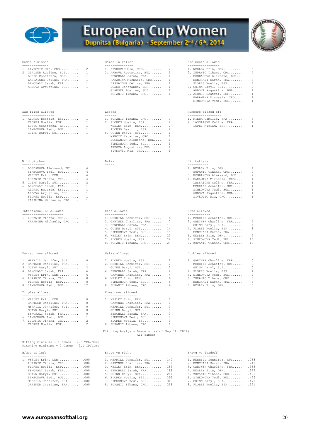

# European Cup Women



| Games finished                                                                                                                                                                                                                                                                                                  | Games in relief                                                                                                                                                                                                                                                                                                                           | Sac bunts allowed<br>-----------------                                                                                                                                                                                                                                                                                                     |
|-----------------------------------------------------------------------------------------------------------------------------------------------------------------------------------------------------------------------------------------------------------------------------------------------------------------|-------------------------------------------------------------------------------------------------------------------------------------------------------------------------------------------------------------------------------------------------------------------------------------------------------------------------------------------|--------------------------------------------------------------------------------------------------------------------------------------------------------------------------------------------------------------------------------------------------------------------------------------------------------------------------------------------|
| --------------<br>2<br>1. ZIVKOVIC Mia, CRO<br>$\mathbf{1}$<br>2. GLAUSER Adeline, SUI<br>BUSSO Constanza, ESP<br>1<br>1<br>LASSAIGNE Celine, FRA<br>$\mathbf{1}$<br>BENCHALI Sarah, FRA<br>$\mathbf{1}$<br>ARBOVA Avgustina, BUL                                                                               | ---------------<br>2<br>1. ZIVKOVIC Mia, CRO<br>$\mathbf{1}$<br>2. ARBOVA Avqustina, BUL<br>BENCHALI Sarah, FRA<br>$\mathbf{1}$<br>$\mathbf{1}$<br>HARAMINA Michaela, CRO<br>$\mathbf{1}$<br>LASSAIGNE Celine, FRA<br>BUSSO Constanza, ESP<br>$\mathbf{1}$<br>GLAUSER Adeline, SUI<br>$\mathbf{1}$<br>ZUPANIC Tihana, CRO<br>$\mathbf{1}$ | 5<br>1. WESLEY Erin, DEN<br>4<br>2. ZUPANIC Tihana, CRO<br>3<br>3. BOGDANOVA Aleksand, BUL<br>3<br>BENCHALI Sarah, FRA<br>FLORES Noelia, ESP<br>3<br>$\overline{c}$<br>6. GUINN Daryl, SUI<br>$\sqrt{2}$<br>ARBOVA Avgustina, BUL<br>1<br>8. ALONSO Beatriz, ESP<br>1<br>HARAMINA Michaela, CRO<br>$\mathbf{1}$<br>SIMEONOVA Tedi, BUL     |
| Sac flies allowed<br>----------------                                                                                                                                                                                                                                                                           | Losses<br>$\frac{1}{2}$                                                                                                                                                                                                                                                                                                                   | Runners picked off<br>------------------                                                                                                                                                                                                                                                                                                   |
| 1. ALONSO Beatriz, ESP<br>-1<br>1<br>FLORES Noelia, ESP<br>1<br>BUSSO Constanza, ESP<br>$\mathbf{1}$<br>SIMEONOVA Tedi, BUL<br>GUINN Daryl, SUI<br>1                                                                                                                                                            | 1. ZUPANIC Tihana, CRO<br>3<br>2<br>2. FLORES Noelia, ESP<br>2<br>WESLEY Erin, DEN<br>2<br>ALONSO Beatriz, ESP<br>$\mathbf{1}$<br>5. GUINN Daryl, SUI<br>MANCIC Katarina, CRO<br>1<br>BOGDANOVA Aleksand, BUL<br>1<br>$\mathbf{1}$<br>SIMEONOVA Tedi, BUL<br>$\mathbf{1}$<br>ARBOVA Avqustina, BUL<br>ZIVKOVIC Mia, CRO<br>1              | 1. RIERA Camille, FRA<br>3<br>$\mathbf{1}$<br>2. LASSAIGNE Celine, FRA<br>$\mathbf{1}$<br>LOPEZ Miriam, ESP                                                                                                                                                                                                                                |
| Wild pitches                                                                                                                                                                                                                                                                                                    | Balks                                                                                                                                                                                                                                                                                                                                     | Hit batters                                                                                                                                                                                                                                                                                                                                |
| ------------<br>1. BOGDANOVA Aleksand, BUL<br>4<br>SIMEONOVA Tedi, BUL<br>4<br>WESLEY Erin, DEN<br>4<br>4<br>ZUPANIC Tihana, CRO<br>2<br>5. GUINN Daryl, SUI<br>6. BENCHALI Sarah, FRA<br>1<br>ALONSO Beatriz, ESP<br>1<br>ARBOVA Avqustina, BUL<br>1<br>1<br>FLORES Noelia, ESP<br>HARAMINA Michaela, CRO<br>1 | -----                                                                                                                                                                                                                                                                                                                                     | -----------<br>1. WESLEY Erin, DEN<br>4<br>ZUPANIC Tihana, CRO<br>4<br>2<br>3. BOGDANOVA Aleksand, BUL<br>$\,1\,$<br>4. HARAMINA Michaela, CRO<br>$\mathbf{1}$<br>LASSAIGNE Celine, FRA<br>MERRILL Jennifer, SUI<br>$\mathbf{1}$<br>SIMEONOVA Tedi, BUL<br>$\mathbf{1}$<br>1<br>ARBOVA Avqustina, BUL<br>$\mathbf{1}$<br>ZIVKOVIC Mia, CRO |
| Intentional BB allowed<br>----------------------                                                                                                                                                                                                                                                                | Hits allowed<br>------------                                                                                                                                                                                                                                                                                                              | Runs allowed<br>------------                                                                                                                                                                                                                                                                                                               |
| 1. ZUPANIC Tihana, CRO<br>1<br>HARAMINA Michaela, CRO<br>1                                                                                                                                                                                                                                                      | 1. MERRILL Jennifer, SUI<br>6<br>7<br>2. GARTNER Charline, FRA<br>13<br>3. BENCHALI Sarah, FRA<br>14<br>4. GUINN Daryl, SUI<br>15<br>5. SIMEONOVA Tedi, BUL<br>6. WESLEY Erin, DEN<br>20<br>24<br>7. FLORES Noelia, ESP<br>27<br>8. ZUPANIC Tihana, CRO                                                                                   | 0<br>1. MERRILL Jennifer, SUI<br>2. GARTNER Charline, FRA<br>4<br>GUINN Daryl, SUI<br>4<br>8<br>4. FLORES Noelia, ESP<br>8<br>BENCHALI Sarah, FRA<br>9<br>6. WESLEY Erin, DEN<br>7. SIMEONOVA Tedi, BUL<br>15<br>8. ZUPANIC Tihana, CRO<br>18                                                                                              |
| Earned runs allowed<br>------------------                                                                                                                                                                                                                                                                       | Walks allowed<br>-------------                                                                                                                                                                                                                                                                                                            | Doubles allowed<br>---------------                                                                                                                                                                                                                                                                                                         |
| 1. MERRILL Jennifer, SUI<br>0<br>$\mathbf{1}$<br>2. GARTNER Charline, FRA<br>2<br>3. GUINN Daryl, SUI<br>6<br>4. BENCHALI Sarah, FRA<br>6<br>WESLEY Erin, DEN<br>8<br>6. ZUPANIC Tihana, CRO<br>8<br>FLORES Noelia, ESP<br>12<br>8. SIMEONOVA Tedi, BUL                                                         | 1. FLORES Noelia, ESP<br>1<br>2. MERRILL Jennifer, SUI<br>2<br>2<br>GUINN Daryl, SUI<br>4<br>4. BENCHALI Sarah, FRA<br>4<br>GARTNER Charline, FRA<br>6. WESLEY Erin, DEN<br>6<br>SIMEONOVA Tedi, BUL<br>6<br>9<br>8. ZUPANIC Tihana, CRO                                                                                                  | 0<br>1. GARTNER Charline, FRA<br>MERRILL Jennifer, SUI<br>0<br>0<br>GUINN Daryl, SUI<br>1<br>4. FLORES Noelia, ESP<br>$\sqrt{2}$<br>5. SIMEONOVA Tedi, BUL<br>3<br>6. ZUPANIC Tihana, CRO<br>3<br>BENCHALI Sarah, FRA<br>5<br>8. WESLEY Erin, DEN                                                                                          |
| Triples allowed<br>---------------                                                                                                                                                                                                                                                                              | Home runs allowed<br>-----------------                                                                                                                                                                                                                                                                                                    |                                                                                                                                                                                                                                                                                                                                            |
| 1. WESLEY Erin, DEN<br>0<br>GARTNER Charline, FRA<br>0<br>MERRILL Jennifer, SUI<br>0<br>0<br>GUINN Daryl, SUI<br>0<br>BENCHALI Sarah, FRA<br>6. SIMEONOVA Tedi, BUL<br>$\mathbf{1}$<br>2<br>7. ZUPANIC Tihana, CRO<br>2<br>FLORES Noelia, ESP                                                                   | 1. WESLEY Erin, DEN<br>0<br>GARTNER Charline, FRA<br>0<br>MERRILL Jennifer, SUI<br>0<br>$\circ$<br>GUINN Daryl, SUI<br>0<br>BENCHALI Sarah, FRA<br>0<br>SIMEONOVA Tedi, BUL<br>FLORES Noelia, ESP<br>0<br>8. ZUPANIC Tihana, CRO<br>1                                                                                                     |                                                                                                                                                                                                                                                                                                                                            |
|                                                                                                                                                                                                                                                                                                                 | Pitching Analysis Leaders (as of Sep 04, 2014)<br>(All games)                                                                                                                                                                                                                                                                             |                                                                                                                                                                                                                                                                                                                                            |
| Hitting minimums - 1 Games<br>2.5 TPA/Game<br>Pitching minimums - 1 Games 2.1 IP/Game                                                                                                                                                                                                                           |                                                                                                                                                                                                                                                                                                                                           |                                                                                                                                                                                                                                                                                                                                            |
| B/avg vs left<br>-------------                                                                                                                                                                                                                                                                                  | B/avg vs right<br>--------------                                                                                                                                                                                                                                                                                                          | B/avg vs leadoff<br>----------------                                                                                                                                                                                                                                                                                                       |
| 1. WESLEY Erin, DEN .000<br>ZUPANIC Tihana, CRO .000<br>FLORES Noelia, ESP .000<br>BENCHALI Sarah, FRA .000<br>GUINN Daryl, SUI .000<br>SIMEONOVA Tedi, BUL .000<br>MERRILL Jennifer, SUI .000<br>GARTNER Charline, FRA . 000                                                                                   | 1. MERRILL Jennifer, SUI . 140<br>2. GARTNER Charline, FRA . 179<br>3. WESLEY Erin, DEN . 183<br>4. BENCHALI Sarah, FRA . 188<br>5. GUINN Daryl, SUI .206<br>6. FLORES Noelia, ESP .293<br>7. SIMEONOVA Tedi, BUL .313<br>8. ZUPANIC Tihana, CRO .318                                                                                     | 1. MERRILL Jennifer, SUI<br>.083<br>2. BENCHALI Sarah, FRA . 211<br>3. GARTNER Charline, FRA .333<br>4. WESLEY Erin, DEN .379<br>5. ZUPANIC Tihana, CRO . 429<br>6. SIMEONOVA Tedi, BUL . 455<br>7. GUINN Daryl, SUI .471<br>8. FLORES Noelia, ESP .571                                                                                    |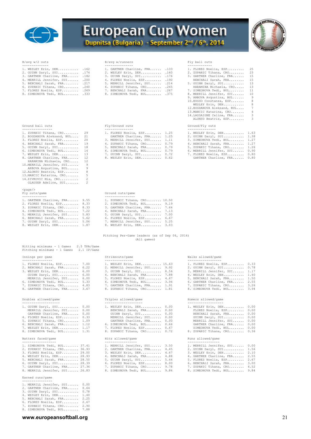



#### $B/$ avg w/2 outs

| 1. WESLEY Erin, DEN . 162      | 1. GARTNER Charline, FRA . 133 | 1. FLORES Noel |
|--------------------------------|--------------------------------|----------------|
| 2. GUINN Daryl, SUI . 174      | 2. WESLEY Erin, DEN . 160      | 2. ZUPANIC Tih |
| 3. GARTNER Charline, FRA . 182 | 3. GUINN Daryl, SUI .176       | 3. GARTNER Cha |
| 4. MERRILL Jennifer, SUI . 200 | 4. FLORES Noelia, ESP . 190    | BENCHALI Sa    |
| 5. BENCHALI Sarah, FRA .217    | 5. MERRILL Jennifer, SUI . 214 | 5. GUINN Daryl |
| 6. ZUPANIC Tihana, CRO . 240   | 6. ZUPANIC Tihana, CRO .245    | HARAMINA Mi    |
| 7. FLORES Noelia, ESP . 269    | 7. BENCHALI Sarah, FRA . 267   | 7. SIMEONOVA T |
| 8. SIMEONOVA Tedi, BUL .333    | 8. SIMEONOVA Tedi, BUL .375    | 8. MERRILL Jen |

#### Ground ball outs

| 1. ZUPANIC Tihana, CRO     | 29                       |
|----------------------------|--------------------------|
| 2. BOGDANOVA Aleksand, BUL | 21                       |
| 3. FLORES Noelia, ESP      | 20                       |
| 4. BENCHALI Sarah, FRA     | 19                       |
| 5. GUINN Daryl, SUI        | 18                       |
| 6. SIMEONOVA Tedi, BUL     | 14                       |
| 7. WESLEY Erin, DEN        | 13                       |
| 8. GARTNER Charline, FRA   | 12                       |
| HARAMINA Michaela, CRO     | 12                       |
| 10. MERRILL Jennifer, SUI  | -9                       |
| ARBOVA Avqustina, BUL      | 9                        |
| 12.ALONSO Beatriz, ESP     | 8                        |
| 13. MANCIC Katarina, CRO   | 5                        |
| 14.ZIVKOVIC Mia, CRO       | $\mathfrak{D}$           |
| GLAUSER Adeline, SUI       | $\overline{\mathcal{L}}$ |

#### <page/>

| 1. GARTNER Charline, FRA 9.55 | 1. ZUPANIC Tihana, CRO 10.50                                                                                                                                                                                                    |  |
|-------------------------------|---------------------------------------------------------------------------------------------------------------------------------------------------------------------------------------------------------------------------------|--|
| 2. FLORES Noelia, ESP 8.33    | 2. SIMEONOVA Tedi, BUL 9.19                                                                                                                                                                                                     |  |
| 3. ZUPANIC Tihana, CRO 8.33   | 3. GARTNER Charline, FRA 7.64                                                                                                                                                                                                   |  |
| 4. SIMEONOVA Tedi, BUL 7.22   | 4. BENCHALI Sarah, FRA 7.13                                                                                                                                                                                                     |  |
| 5. MERRILL Jennifer, SUI 5.83 | 5. GUINN Daryl, SUI 7.00                                                                                                                                                                                                        |  |
| 6. BENCHALI Sarah, FRA 5.62   | 6. FLORES Noelia, ESP 6.67                                                                                                                                                                                                      |  |
| 7. GUINN Daryl, SUI 5.06      | 7. MERRILL Jennifer, SUI 5.25                                                                                                                                                                                                   |  |
|                               | $\sim$ . The contract of the contract of the contract of the contract of the contract of the contract of the contract of the contract of the contract of the contract of the contract of the contract of the contract of the co |  |

Hitting minimums - 1 Games 2.5 TPA/Game

#### B/avg w/runners Fly ball outs

| --------------                 |                                |                             |  |
|--------------------------------|--------------------------------|-----------------------------|--|
| 1. WESLEY Erin, DEN . 162      | 1. GARTNER Charline, FRA .133  | 1. FLORES Noelia, ESP 25    |  |
| 2. GUINN Daryl, SUI .174       | 2. WESLEY Erin, DEN .160       | 2. ZUPANIC Tihana, CRO 23   |  |
| 3. GARTNER Charline, FRA . 182 | 3. GUINN Daryl, SUI .176       | 3. GARTNER Charline, FRA 15 |  |
| 4. MERRILL Jennifer, SUI . 200 | 4. FLORES Noelia, ESP .190     | BENCHALI Sarah, FRA 15      |  |
| 5. BENCHALI Sarah, FRA .217    | 5. MERRILL Jennifer, SUI . 214 | 5. GUINN Daryl, SUI 13      |  |
| 6. ZUPANIC Tihana, CRO .240    | 6. ZUPANIC Tihana, CRO .245    | HARAMINA Michaela, CRO 13   |  |
| 7. FLORES Noelia, ESP . 269    | 7. BENCHALI Sarah, FRA . 267   | 7. SIMEONOVA Tedi, BUL 11   |  |
| 8. SIMEONOVA Tedi, BUL .333    | 8. SIMEONOVA Tedi, BUL .375    | 8. MERRILL Jennifer, SUI 10 |  |
|                                |                                |                             |  |

#### Fly/Ground outs Ground/Fly outs

| -----------------             | ----------------              | ----------------              |  |
|-------------------------------|-------------------------------|-------------------------------|--|
| 1. ZUPANIC Tihana, CRO 29     | 1. FLORES Noelia, ESP 1.25    | 1. WESLEY Erin, DEN 1.63      |  |
| 2. BOGDANOVA Aleksand, BUL 21 | GARTNER Charline, FRA 1.25    | 2. GUINN Daryl, SUI 1.38      |  |
| 3. FLORES Noelia, ESP 20      | 3. MERRILL Jennifer, SUI 1.11 | 3. SIMEONOVA Tedi, BUL 1.27   |  |
| 4. BENCHALI Sarah, FRA 19     | 4. ZUPANIC Tihana, CRO 0.79   | 4. BENCHALI Sarah, FRA 1.27   |  |
| 5. GUINN Daryl, SUI 18        | 5. BENCHALI Sarah, FRA 0.79   | 5. ZUPANIC Tihana, CRO 1.26   |  |
| 6. SIMEONOVA Tedi, BUL 14     | 6. SIMEONOVA Tedi, BUL 0.79   | 6. MERRILL Jennifer, SUI 0.90 |  |
| 7. WESLEY Erin, DEN 13        | 7. GUINN Daryl, SUI 0.72      | 7. FLORES Noelia, ESP 0.80    |  |
| 8. GARTNER Charline, FRA 12   | 8. WESLEY Erin, DEN 0.62      | GARTNER Charline, FRA 0.80    |  |

| 1. WESLEY Erin, DEN .162       | 1. GARTNER Charline, FRA . 133 | 1. FLORES Noelia, ESP 25    |                         |
|--------------------------------|--------------------------------|-----------------------------|-------------------------|
| 2. GUINN Daryl, SUI .174       | 2. WESLEY Erin, DEN .160       | 2. ZUPANIC Tihana, CRO 23   |                         |
| 3. GARTNER Charline, FRA .182  | 3. GUINN Daryl, SUI .176       | 3. GARTNER Charline, FRA 15 |                         |
| 4. MERRILL Jennifer, SUI . 200 | 4. FLORES Noelia, ESP . 190    | BENCHALI Sarah, FRA 15      |                         |
| 5. BENCHALI Sarah, FRA . 217   | 5. MERRILL Jennifer, SUI . 214 | 5. GUINN Daryl, SUI 13      |                         |
| 6. ZUPANIC Tihana, $CRO$ .240  | 6. ZUPANIC Tihana, CRO .245    | HARAMINA Michaela, CRO 13   |                         |
| 7. FLORES Noelia, ESP .269     | 7. BENCHALI Sarah, FRA .267    | 7. SIMEONOVA Tedi, BUL 11   |                         |
| 8. SIMEONOVA Tedi, BUL .333    | 8. SIMEONOVA Tedi, BUL .375    | 8. MERRILL Jennifer, SUI 10 |                         |
|                                |                                | 9. ARBOVA Avqustina, BUL 9  |                         |
|                                |                                | 10.BUSSO Constanza, ESP 8   |                         |
|                                |                                | WESLEY Erin, DEN            | 8 <sup>1</sup>          |
|                                |                                | 12.BOGDANOVA Aleksand, BUL  | 7                       |
|                                |                                | 13. MANCIC Katarina, CRO    | $\overline{4}$          |
|                                |                                | 14.LASSAIGNE Celine, FRA    | $\overline{\mathbf{3}}$ |
|                                |                                | ALONSO Beatriz, ESP         | 3                       |

| -------------- |  |  |  |  |  |  |  |
|----------------|--|--|--|--|--|--|--|
|                |  |  |  |  |  |  |  |

| 1. WESLEY Erin, DEN 1.63    |      |
|-----------------------------|------|
| 2. GUINN Daryl, SUI         | 1.38 |
| 3. SIMEONOVA Tedi, BUL 1.27 |      |
| 4. BENCHALI Sarah, FRA      | 1.27 |
| 5. ZUPANIC Tihana, CRO      | 1.26 |
| 6. MERRILL Jennifer, SUI    | 0.90 |
| 7. FLORES Noelia, ESP 0.80  |      |
|                             |      |

#### - Fly outs/game Ground outs/game Ground outs/game Ground outs/game Ground outs/game  $\overline{S}$

| 1. GARTNER Charline, FRA 9.55 |  | 1. ZUPANIC Tihana, CRO 10.50  |      |
|-------------------------------|--|-------------------------------|------|
| 2. FLORES Noelia, ESP 8.33    |  | 2. SIMEONOVA Tedi, BUL 9.19   |      |
| 3. ZUPANIC Tihana, CRO 8.33   |  | 3. GARTNER Charline, FRA 7.64 |      |
| 4. SIMEONOVA Tedi, BUL 7.22   |  | 4. BENCHALI Sarah, FRA 7.13   |      |
| 5. MERRILL Jennifer, SUI 5.83 |  | 5. GUINN Daryl, SUI 7.00      |      |
| 6. BENCHALI Sarah, FRA 5.62   |  | 6. FLORES Noelia, ESP 6.67    |      |
| 7. GUINN Daryl, SUI 5.06      |  | 7. MERRILL Jennifer, SUI      | 5.25 |
| 8. WESLEY Erin, DEN 1.87      |  | 8. WESLEY Erin, DEN 3.03      |      |

#### Pitching Per-Game leaders (as of Sep 04, 2014) (All games)

| Pitching minimums - 1 Games 2.1 IP/Game                                                                                                                                                                                                     |                                                                                                                                                                                                                                                    |                                                                                                                                                                                                                                                                          |                      |  |  |
|---------------------------------------------------------------------------------------------------------------------------------------------------------------------------------------------------------------------------------------------|----------------------------------------------------------------------------------------------------------------------------------------------------------------------------------------------------------------------------------------------------|--------------------------------------------------------------------------------------------------------------------------------------------------------------------------------------------------------------------------------------------------------------------------|----------------------|--|--|
| Innings per game<br>-----------------                                                                                                                                                                                                       | Strikeouts/game<br>----------------                                                                                                                                                                                                                | Walks allowed/game                                                                                                                                                                                                                                                       |                      |  |  |
| 1. FLORES Noelia, ESP 7.00<br>2. BENCHALI Sarah, FRA 6.22<br>3. WESLEY Erin, DEN 6.00<br>GUINN Daryl, SUI 6.00<br>MERRILL Jennifer, SUI 6.00<br>6. SIMEONOVA Tedi, BUL 5.33<br>7. ZUPANIC Tihana, CRO 4.83<br>8. GARTNER Charline, FRA 3.67 | 1. WESLEY Erin, DEN 15.63<br>2. MERRILL Jennifer, SUI 9.92<br>3. GUINN Daryl, SUI 8.56<br>4. BENCHALI Sarah, FRA 7.88<br>5. FLORES Noelia, ESP 4.67<br>6. SIMEONOVA Tedi, BUL 3.94<br>7. GARTNER Charline, FRA 1.91<br>8. ZUPANIC Tihana, CRO 1.81 | -------------------<br>1. FLORES Noelia, ESP 0.33<br>2. GUINN Daryl, SUI 0.78<br>3. MERRILL Jennifer, SUI 1.17<br>4. WESLEY Erin, DEN 1.40<br>5. BENCHALI Sarah, FRA 1.50<br>6. GARTNER Charline, FRA 2.55<br>7. ZUPANIC Tihana, CRO 3.26<br>8. SIMEONOVA Tedi, BUL 3.94 |                      |  |  |
| Doubles allowed/game<br>--------------------                                                                                                                                                                                                | Triples allowed/game<br>---------------------                                                                                                                                                                                                      | Homers allowed/game<br>-------------------                                                                                                                                                                                                                               |                      |  |  |
| 1. GUINN Daryl, SUI 0.00<br>MERRILL Jennifer, SUI 0.00<br>GARTNER Charline, FRA 0.00<br>4. FLORES Noelia, ESP 0.33<br>5. ZUPANIC Tihana, CRO 1.09<br>6. BENCHALI Sarah, FRA 1.12<br>7. WESLEY Erin, DEN 1.17<br>8. SIMEONOVA Tedi, BUL 1.31 | 1. WESLEY Erin, DEN 0.00<br>BENCHALI Sarah, FRA 0.00<br>GUINN Daryl, SUI 0.00<br>MERRILL Jennifer, SUI 0.00<br>GARTNER Charline, FRA 0.00<br>6. SIMEONOVA Tedi, BUL 0.66<br>7. FLORES Noelia, ESP 0.67<br>8. ZUPANIC Tihana, CRO 0.72              | 1. WESLEY Erin, DEN<br>FLORES Noelia, ESP<br>BENCHALI Sarah, FRA 0.00<br>GUINN Daryl, SUI<br>MERRILL Jennifer, SUI 0.00<br>GARTNER Charline, FRA 0.00<br>SIMEONOVA Tedi, BUL 0.00<br>8. ZUPANIC Tihana, CRO 0.36                                                         | 0.00<br>0.00<br>0.00 |  |  |

| -----------------              | -------------                 | ------------------ |
|--------------------------------|-------------------------------|--------------------|
| 1. SIMEONOVA Tedi, BUL 37.41   | 1. MERRILL Jennifer, SUI 3.50 | 1. MERRILL Jennife |
| 2. ZUPANIC Tihana, CRO 36.93   | 2. GARTNER Charline, FRA 4.45 | 2. GUINN Daryl, SU |
| 3. FLORES Noelia, ESP 29.00    | 3. WESLEY Erin, DEN 4.67      | 3. WESLEY Erin, DE |
| 4. WESLEY Erin, DEN 28.93      | 4. BENCHALI Sarah, FRA 4.88   | 4. GARTNER Charlin |
| 5. BENCHALI Sarah, FRA 28.50   | 5. GUINN Daryl, SUI 5.44      | 5. FLORES Noelia,  |
| 6. GUINN Daryl, SUI 28.39      | 6. FLORES Noelia, ESP 8.00    | 6. BENCHALI Sarah, |
| 7. GARTNER Charline, FRA 27.36 | 7. ZUPANIC Tihana, CRO 9.78   | 7. ZUPANIC Tihana, |

## Earned runs/game

| ---------------             |      |
|-----------------------------|------|
| 1. MERRILL Jennifer, SUI    | 0.00 |
| 2. GARTNER Charline, FRA    | 0.64 |
| 3. GUINN Daryl, SUI         | 0.78 |
| 4. WESLEY Erin, DEN         | 1.40 |
| 5. BENCHALI Sarah, FRA      | 2.25 |
| 6. FLORES Noelia, ESP       | 2.67 |
| 7. ZUPANIC Tihana, CRO      | 2.90 |
| 8. SIMEONOVA Tedi, BUL 7.88 |      |

| 7. GARTNER Charline, FRA<br>8. ZUPANIC Tihana, CRO             |
|----------------------------------------------------------------|
| Triples allowed/game                                           |
| 1. WESLEY Erin, DEN<br>BENCHALI Sarah, FRA<br>GUINN Darvl, SUI |

| Batters faced/game          | Hits allowed/game           | Runs allowed/game |
|-----------------------------|-----------------------------|-------------------|
| 8. SIMEONOVA Tedi, BUL 1.31 | 8. ZUPANIC Tihana, CRO 0.72 | 8. ZUPANIC Tihana |
| 7. WESLEY Erin, DEN 1.17    | 7. FLORES Noelia, ESP 0.67  | SIMEONOVA Tedi    |
| 6. BENCHALI Sarah, FRA 1.12 | 6. SIMEONOVA Tedi, BUL 0.66 | GARTNER Charli    |
| 5. ZUPANIC Tihana, CRO 1.09 | GARTNER Charline, FRA 0.00  | MERRILL Jennif    |
| 4. FLORES Noelia, ESP 0.33  | MERRILL Jennifer, SUI 0.00  | GUINN Daryl, S    |
| GARINER CHAILING, TRA V.VV  | GUINN DAIYI, UUI U.UU       | penchasi caran    |

| 1. SIMEONOVA Tedi, BUL 37.41   | 1. MERRILL Jennifer, SUI 3.50 | 1. MERRILL Jennifer, SUI 0.00 |  |
|--------------------------------|-------------------------------|-------------------------------|--|
| 2. ZUPANIC Tihana, CRO 36.93   | 2. GARTNER Charline, FRA 4.45 | 2. GUINN Daryl, SUI 1.56      |  |
| 3. FLORES Noelia, ESP 29.00    | 3. WESLEY Erin, DEN 4.67      | 3. WESLEY Erin, DEN 2.10      |  |
| 4. WESLEY Erin, DEN 28.93      | 4. BENCHALI Sarah, FRA 4.88   | 4. GARTNER Charline, FRA 2.55 |  |
| 5. BENCHALI Sarah, FRA 28.50   | 5. GUINN Daryl, SUI 5.44      | 5. FLORES Noelia, ESP 2.67    |  |
| 6. GUINN Daryl, SUI 28.39      | 6. FLORES Noelia, ESP 8.00    | 6. BENCHALI Sarah, FRA 3.00   |  |
| 7. GARTNER Charline, FRA 27.36 | 7. ZUPANIC Tihana, CRO 9.78   | 7. ZUPANIC Tihana, CRO 6.52   |  |
| 8. MERRILL Jennifer, SUI 26.83 | 8. SIMEONOVA Tedi, BUL 9.84   | 8. SIMEONOVA Tedi, BUL 9.84   |  |

#### Strikeouts/game **Strikeouts/game** Walks allowed/game

| 1. FLORES Noelia, ESP         | 0.33 |
|-------------------------------|------|
| 2. GUINN Daryl, SUI           | 0.78 |
| 3. MERRILL Jennifer, SUI 1.17 |      |
| 4. WESLEY Erin, DEN           | 1.40 |
| 5. BENCHALI Sarah, FRA        | 1.50 |
| 6. GARTNER Charline, FRA      | 2.55 |
| 7. ZUPANIC Tihana, CRO        | 3.26 |
| $\Omega$ CTMPONOUA Bodi DUI   | 201  |

#### Homers allowed/game

| 1. WESLEY Erin, DEN    | 0.00 |
|------------------------|------|
| FLORES Noelia, ESP     | 0.00 |
| BENCHALI Sarah, FRA    | 0.00 |
| GUINN Daryl, SUI       | 0.00 |
| MERRILL Jennifer, SUI  | 0.00 |
| GARTNER Charline, FRA  | 0.00 |
| SIMEONOVA Tedi, BUL    | 0.00 |
| 8. ZUPANIC Tihana, CRO | 0.36 |
|                        |      |
|                        |      |

|  | 1. MERRILL Jennifer, SUI | 0.00 |
|--|--------------------------|------|
|  | 2. GUINN Daryl, SUI      | 1.56 |
|  | 3. WESLEY Erin, DEN      | 2.10 |
|  | 4. GARTNER Charline, FRA | 2.55 |
|  | 5. FLORES Noelia, ESP    | 2.67 |
|  | 6. BENCHALI Sarah, FRA   | 3.00 |
|  | 7. ZUPANIC Tihana, CRO   | 6.52 |
|  | 8. SIMEONOVA Tedi, BUL   | 9.84 |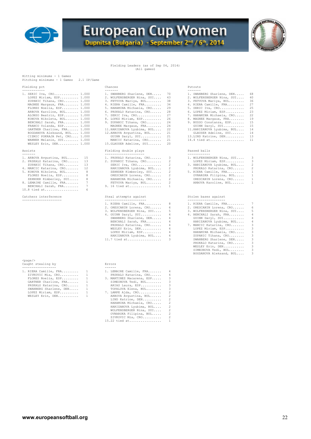

## Fielding Leaders (as of Sep 04, 2014) (All games)

Hitting minimums - 1 Games Pitching minimums - 1 Games 2.1 IP/Game

#### Fielding pct **Chances** Chances **Putouts** Putouts

| 1. SERIC Iva, CRO 1.000       | 1. SWANBERG Sharlene, DEN 70   |          | 1. SWANBERG Sharlene, DEN      | 68  |
|-------------------------------|--------------------------------|----------|--------------------------------|-----|
| LOPEZ Miriam, ESP 1.000       | 2. WOLFENSBERGER Nina, SUI 43  |          | 2. WOLFENSBERGER Nina, SUI     | -40 |
| ZUPANIC Tihana, CRO 1.000     | 3. FETVOVA Mariya, BUL 38      |          | 3. FETVOVA Mariya, BUL         | -36 |
| MAGNEE Margaux, FRA 1.000     | 4. RIERA Camille, FRA 34       |          | 4. RIERA Camille, FRA          | 27  |
| FLORES Noelia, ESP 1.000      | 5. HARAMINA Michaela, CRO 29   |          | 5. SERIC Iva, CRO 25           |     |
| ARBOVA Karoline, BUL 1.000    | 6. PRSKALO Katarina, CRO 28    |          | 6. LOPEZ Miriam, ESP 23        |     |
| ALONSO Beatriz, ESP 1.000     | 7. SERIC Iva, CRO 27           |          | 7. HARAMINA Michaela, CRO 22   |     |
| KONOVA Nikoleta, BUL 1.000    | 8. LOPEZ Miriam, ESP 26        |          | 8. MAGNEE Margaux, FRA         | 19  |
| BENCHALI Sarah, FRA 1.000     | 9. ZUPANIC Tihana, CRO 24      |          | 9. BUSSO Constanza, ESP 15     |     |
| FRANCO Yolanda, ESP 1.000     | MAGNEE Margaux, FRA 24         |          | GUINN Daryl, SUI 15            |     |
| GARTNER Charline, FRA 1.000   | 11. HARIZANOVA Lyubima, BUL 22 |          | 11. HARIZANOVA Lyubima, BUL 14 |     |
| BOGDANOVA Aleksand, BUL 1.000 | 12.ARBOVA Avqustina, BUL 21    |          | GLAUSER Adeline, SUI           | 14  |
| CIZMIC POKRAJA Pet, CRO 1.000 | GUINN Daryl, SUI 21            |          | 13.LIND Katrine, DEN           | 13  |
| WANNER Melanie, SUI 1.000     | MANCIC Katarina, CRO 21        |          | 14.4 tied at 11                |     |
| $MDOTEV P2 1 1 1 0 0 1$       | 15 CLAHODD Adalina CHT         | $\Omega$ |                                |     |

#### Assists

| 1. ARBOVA Avgustina, BUL 15 |       | 1. PRSKALO Katarina, CRO     |
|-----------------------------|-------|------------------------------|
| 2. PRSKALO Katarina, CRO 13 |       | 2. ZUPANIC Tihana, CRO<br>2  |
| ZUPANIC Tihana, CRO 13      |       | 2<br>SERIC Iva, CRO          |
| 4. MANCIC Katarina, CRO 12  |       | HARIZANOVA Lyubima, BUL<br>2 |
| 5. KONOVA Nikoleta, BUL     | 8     | ZEHNDER Kimberley, SUI<br>2  |
| FLORES Noelia, ESP          | 8     | ORESCANIN Lorena, CRO<br>2   |
| ZEHNDER Kimberley, SUI      | 8     | HARAMINA Michaela, CRO<br>2  |
| 8. LEMAIRE Camille, FRA     | 7     | FETVOVA Mariya, BUL<br>-2    |
| BENCHALI Sarah, FRA         | $7 -$ | 9. 16 tied at 1              |
| $10.8$ tied at              | 6     |                              |
|                             |       |                              |

#### Catchers interference

| $<$ page $/$       |        |
|--------------------|--------|
| Caught stealing by | Errors |

| 1. RIERA Camille, FRA  | $\sim$ 1      | 1. LEMAIRE Camille, FRA<br>4   |  |
|------------------------|---------------|--------------------------------|--|
| ZIVKOVIC Mia, CRO      |               | PRSKALO Katarina, CRO<br>4     |  |
| FLORES Noelia, ESP     |               | 3. MARTINEZ Macarena, ESP<br>3 |  |
| GARTNER Charline, FRA  | $\frac{1}{2}$ | SIMEONOVA Tedi, BUL<br>3       |  |
| PRSKALO Katarina, CRO  |               | ARIAS Laura, ESP               |  |
| SWANBERG Sharlene, DEN |               | TOPALOVA Elena, BUL<br>₹       |  |
| LOPEZ Miriam, ESP      | $\sim$ 1      | 7. LAMPE Ajda, CRO             |  |
| WESLEY Erin, DEN       | 1             | ARBOVA Avgustina, BUL          |  |

| $\frac{1}{2}$ and $\frac{1}{2}$ are the contract of $\frac{1}{2}$ in the contract $\frac{1}{2}$ in the contract of $\frac{1}{2}$ |                                |    | חסת מהסת במש  |
|----------------------------------------------------------------------------------------------------------------------------------|--------------------------------|----|---------------|
| Assists                                                                                                                          | Fielding double plays          |    | Passed balls  |
| WESLEY Erin, DEN 1.000                                                                                                           | 15. GLAUSER Adeline, SUI       | 20 |               |
| WANNER Melanie, SUI 1.000                                                                                                        | MANCIC Katarina, CRO 21        |    | 14.4 tied at. |
| CIZMIC POKRAJA Pet, CRO 1.000                                                                                                    | GUINN Daryl, SUI               | 21 | 13.LIND Katri |
| BOGDANOVA Aleksand, BUL 1.000                                                                                                    | 12.ARBOVA Avqustina, BUL       | 21 | GLAUSER Ad    |
| GARTNER Charline, FRA 1.000                                                                                                      | 11. HARIZANOVA Lyubima, BUL 22 |    | 11.HARIZANOVA |
| FRANCO Yolanda, ESP 1.000                                                                                                        | MAGNEE Margaux, FRA            | 24 | GUINN Dary    |
| BENCHALI Sarah, FRA 1.000                                                                                                        | 9. ZUPANIC Tihana, CRO         | 24 | 9. BUSSO Cons |
| KONOVA Nikoleta, BUL 1.000                                                                                                       | 8. LOPEZ Miriam, ESP           | 26 | 8. MAGNEE Mar |
| ALONSO Beatriz, ESP 1.000                                                                                                        | 7. SERIC Iva, CRO              | 27 | 7. HARAMINA M |
| ARBOVA Karoline, BUL 1.000                                                                                                       | 6. PRSKALO Katarina, CRO       | 28 | 6. LOPEZ Miri |
| FLORES Noelia, ESP 1.000                                                                                                         | 5. HARAMINA Michaela, CRO      | 29 | 5. SERIC Iva, |
| MAGNEE Margaux, FRA 1.000                                                                                                        | 4. RIERA Camille, FRA          | 34 | 4. RIERA Cami |
| ZUPANIC Tihana, CRO 1.000                                                                                                        | 3. FETVOVA Mariya, BUL         | 38 | 3. FETVOVA Ma |
| LOPEZ Miriam, ESP 1.000                                                                                                          | 2. WOLFENSBERGER Nina, SUI 43  |    | 2. WOLFENSBER |
| 1. SERIC Iva, CRO 1.000                                                                                                          | 1. SWANBERG Sharlene, DEN 70   |    | 1. SWANBERG S |
|                                                                                                                                  |                                |    |               |

| 1. PRSKALO Katarina, CRO |
|--------------------------|
| 2. ZUPANIC Tihana, CRO   |
| SERIC Iva, CRO           |
| HARIZANOVA Lyubima, BUL  |
| ZEHNDER Kimberley, SUI   |
| ORESCANIN Lorena, CRO    |
| HARAMINA Michaela, CRO   |
| FETVOVA Mariya, BUL      |
| 9. 16 tied at            |

#### Steal attempts against Stolen bases against

| ---------------------- | ----------------------- |  |       | --------------------- |      |
|------------------------|-------------------------|--|-------|-----------------------|------|
|                        | --                      |  | ----- | $ -$                  | $-1$ |

| $\pm$ . Italian cumatar right $\cup$                    | $\cdots$ . The state of the state of the state of $\cdots$ |  |
|---------------------------------------------------------|------------------------------------------------------------|--|
| 2. ORESCANIN Lorena, CRO 6 6 2. ORESCANIN Lorena, CRO 6 |                                                            |  |
| 3. WOLFENSBERGER Nina, SUI 5                            | 3. WOLFENSBERGER Nina, SUI 5                               |  |
| 4. GUINN Daryl, SUI 4                                   | 4. BENCHALI Sarah, FRA 4                                   |  |
| SWANBERG Sharlene, DEN 4                                | GUINN Daryl, SUI 4                                         |  |
| BENCHALI Sarah, FRA 4                                   | HARIZANOVA Lyubima, BUL 4                                  |  |
|                                                         | PRSKALO Katarina, CRO 4 7. MANCIC Katarina, CRO 3          |  |
| WESLEY Erin, DEN 4                                      | LOPEZ Miriam, ESP 3                                        |  |
| LOPEZ Miriam, ESP 4                                     | HARAMINA Michaela, CRO 3                                   |  |
| HARIZANOVA Lyubima, BUL 4                               | ZUPANIC Tihana, CRO 3                                      |  |
|                                                         | SWANBERG Sharlene, DEN 3                                   |  |
|                                                         |                                                            |  |

| 6. LOPEZ Miriam, ESP        | 23 |
|-----------------------------|----|
| 7. HARAMINA Michaela, CRO   | 22 |
| 8. MAGNEE Margaux, FRA      | 19 |
| 9. BUSSO Constanza, ESP     | 15 |
| GUINN Daryl, SUI            | 15 |
| 11. HARIZANOVA Lyubima, BUL | 14 |
| GLAUSER Adeline, SUI        | 14 |
| 13. LIND Katrine, DEN       | 13 |
| 14.4 tied at                | 11 |
|                             |    |

#### Passed balls

| 1. ARBOVA Avqustina, BUL 15 | 1. PRSKALO Katarina, CRO 3 |                | 1. WOLFENSBERGER Nina, SUI 3 |                         |
|-----------------------------|----------------------------|----------------|------------------------------|-------------------------|
| 2. PRSKALO Katarina, CRO 13 | 2. ZUPANIC Tihana, CRO     | $\overline{2}$ | LOPEZ Miriam, ESP            | $\overline{\mathbf{3}}$ |
| ZUPANIC Tihana, CRO 13      | SERIC Iva, $CRO$ 2         |                | 3. HARIZANOVA Lyubima, BUL 2 |                         |
| 4. MANCIC Katarina, CRO 12  | HARIZANOVA Lyubima, BUL 2  |                | PRSKALO Katarina, CRO 2      |                         |
| 5. KONOVA Nikoleta, BUL 8   | ZEHNDER Kimberley, SUI     |                | 5. RIERA Camille, FRA        | $\overline{1}$          |
| FLORES Noelia, ESP 8        | ORESCANIN Lorena, CRO 2    |                | OVNARSKA Filipina, BUL       | $\overline{1}$          |
| ZEHNDER Kimberley, SUI 8    | HARAMINA Michaela, CRO 2   |                | ORESCANIN Lorena, CRO        | $\overline{1}$          |
| 8. LEMAIRE Camille, FRA 7   | FETVOVA Mariya, BUL 2      |                | ARBOVA Karoline, BUL 1       |                         |
|                             |                            |                |                              |                         |

| 1. RIERA Camille, FRA 8      |       | 1. RIERA Camille, FRA      | 7                       |
|------------------------------|-------|----------------------------|-------------------------|
| 2. ORESCANIN Lorena, CRO 6   |       | 2. ORESCANIN Lorena, CRO   | -6                      |
| 3. WOLFENSBERGER Nina, SUI 5 |       | 3. WOLFENSBERGER Nina, SUI | -5                      |
| 4. GUINN Daryl, SUI 4        |       | 4. BENCHALI Sarah, FRA     | 4                       |
| SWANBERG Sharlene, DEN 4     |       | GUINN Daryl, SUI           | 4                       |
| BENCHALI Sarah, FRA 4        |       | HARIZANOVA Lyubima, BUL    | 4                       |
| PRSKALO Katarina, CRO 4      |       | 7. MANCIC Katarina, CRO 3  |                         |
| WESLEY Erin, DEN 4           |       | LOPEZ Miriam, ESP          | 3                       |
| LOPEZ Miriam, ESP 4          |       | HARAMINA Michaela, CRO 3   |                         |
| HARIZANOVA Lvubima, BUL      | $4\,$ | ZUPANIC Tihana, CRO        | $\overline{\mathbf{3}}$ |
| $11.7$ tied at 3             |       | SWANBERG Sharlene, DEN 3   |                         |
|                              |       | PRSKALO Katarina, CRO      | 3                       |
|                              |       | WESLEY Erin, DEN           | 3                       |
|                              |       | SIMEONOVA Tedi, BUL        | $\overline{\mathbf{3}}$ |
|                              |       | BOGDANOVA Aleksand, BUL    | -3.                     |

SWANBERG Sharlene, DEN..... 1 TOPALOVA Elena, BUL........ 3<br>
LOPEZ Miriam, ESP.......... 1 7. LAMPE Ajda, CRO............ 2<br>
WESLEY Erin, DEN........... 1 ARBOVA Avgustina, BUL....... 2<br>
LIND Katrine, DEN......... 2<br>
HARAM HARIZANOVA Lyubima, BUL.... 2 WOLFENSBERGER Nina, SUI.... 2 OVNARSKA Filipina, BUL..... 2 ZIVKOVIC Mia, CRO.......... 2 15.22 tied at................. 1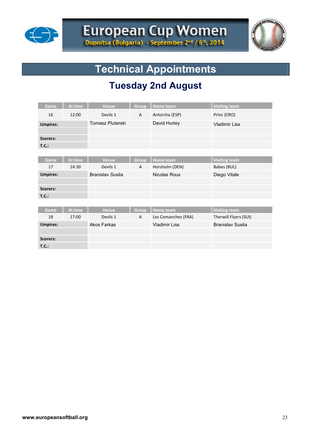



## **Technical Appointments**

## **Tuesday 2nd August**

| Game            | At time | <b>Venue</b>            | Group        | <b>Home</b> team     | <b>Visiting team</b>    |
|-----------------|---------|-------------------------|--------------|----------------------|-------------------------|
| 16              | 12:00   | Devils 1                | $\mathsf{A}$ | Antorcha (ESP)       | Princ (CRO)             |
| <b>Umpires:</b> |         | Tomasz Plutarski        |              | David Hurley         | <b>Vladimir Liss</b>    |
|                 |         |                         |              |                      |                         |
| <b>Scorers:</b> |         |                         |              |                      |                         |
| T.C.:           |         |                         |              |                      |                         |
|                 |         |                         |              |                      |                         |
| Game            | At time | <b>Venue</b>            | Group        | <b>Home team</b>     | <b>Visiting team</b>    |
| 17              | 14:30   | Devils 1                | A            | Horsholm (DEN)       | Babes (BUL)             |
| <b>Umpires:</b> |         | <b>Branislav Susila</b> |              | Nicolas Roux         | Diego Vitale            |
|                 |         |                         |              |                      |                         |
| <b>Scorers:</b> |         |                         |              |                      |                         |
| T.C.:           |         |                         |              |                      |                         |
|                 |         |                         |              |                      |                         |
| <b>Game</b>     | At time | <b>Venue</b>            | Group        | <b>Home</b> team     | <b>Visiting team</b>    |
| 18              | 17:00   | Devils 1                | $\mathsf{A}$ | Les Comanches (FRA)  | Therwill Flyers (SUI)   |
| <b>Umpires:</b> |         | <b>Akos Farkas</b>      |              | <b>Vladimir Liss</b> | <b>Branislav Susila</b> |
|                 |         |                         |              |                      |                         |
| <b>Scorers:</b> |         |                         |              |                      |                         |
| T.C.:           |         |                         |              |                      |                         |